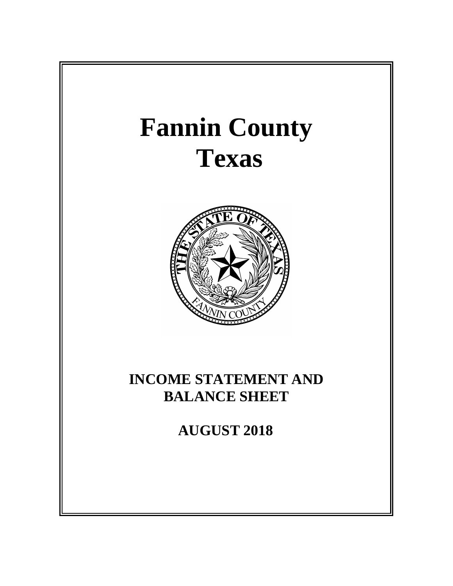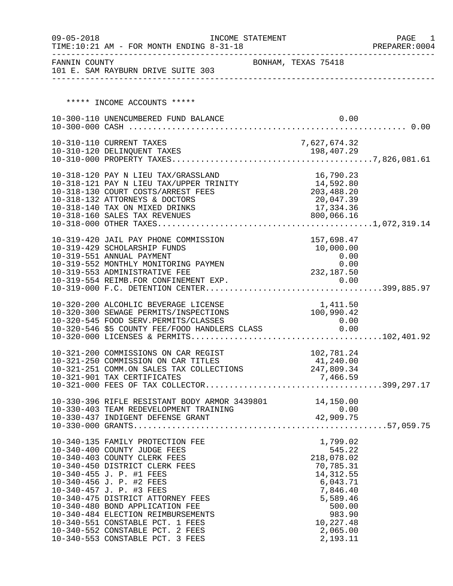| $09 - 05 - 2018$ | INCOME STATEMENT<br>TIME:10:21 AM - FOR MONTH ENDING 8-31-18                               |                     |                     |                         |      | PAGE<br>1<br>PREPARER: 0004 |
|------------------|--------------------------------------------------------------------------------------------|---------------------|---------------------|-------------------------|------|-----------------------------|
|                  | FANNIN COUNTY<br>101 E. SAM RAYBURN DRIVE SUITE 303                                        | BONHAM, TEXAS 75418 |                     |                         |      |                             |
|                  |                                                                                            |                     |                     |                         |      |                             |
|                  | ***** INCOME ACCOUNTS *****                                                                |                     |                     |                         |      |                             |
|                  | 10-300-110 UNENCUMBERED FUND BALANCE                                                       |                     |                     |                         | 0.00 |                             |
|                  |                                                                                            |                     |                     |                         |      |                             |
|                  | 10-310-110 CURRENT TAXES                                                                   |                     | 7,627,674.32        |                         |      |                             |
|                  |                                                                                            |                     |                     |                         |      |                             |
|                  |                                                                                            |                     |                     |                         |      |                             |
|                  | 10-318-120 PAY N LIEU TAX/GRASSLAND<br>10-318-121 PAY N LIEU TAX/UPPER TRINITY 14,592.80   |                     |                     | 16,790.23               |      |                             |
|                  | 10-318-130 COURT COSTS/ARREST FEES                                                         |                     | 203,488.20          |                         |      |                             |
|                  | 10-318-132 ATTORNEYS & DOCTORS                                                             |                     |                     | 20,047.39               |      |                             |
|                  | 10-318-140 TAX ON MIXED DRINKS<br>10-318-160 SALES TAX REVENUES                            |                     |                     | 17,334.36<br>800,066.16 |      |                             |
|                  |                                                                                            |                     |                     |                         |      |                             |
|                  |                                                                                            |                     |                     | 157,698.47              |      |                             |
|                  | 10-319-420 JAIL PAY PHONE COMMISSION<br>10-319-429 SCHOLARSHIP FUNDS                       |                     |                     | 10,000.00               |      |                             |
|                  | 10-319-551 ANNUAL PAYMENT                                                                  |                     |                     | 0.00                    |      |                             |
|                  | 10-319-552 MONTHLY MONITORING PAYMEN<br>10-319-553 ADMINISTRATIVE FEE                      |                     | 0.00<br>232, 187.50 |                         |      |                             |
|                  | 10-319-554 REIMB.FOR CONFINEMENT EXP.                                                      |                     |                     | 0.00                    |      |                             |
|                  |                                                                                            |                     |                     |                         |      |                             |
|                  | 10-320-200 ALCOHLIC BEVERAGE LICENSE                                                       |                     |                     | 1,411.50                |      |                             |
|                  | 10-320-300 SEWAGE PERMITS/INSPECTIONS                                                      |                     | 100,990.42          |                         |      |                             |
|                  | 10-320-545 FOOD SERV.PERMITS/CLASSES<br>10-320-546 \$5 COUNTY FEE/FOOD HANDLERS CLASS 0.00 |                     |                     | 0.00                    |      |                             |
|                  |                                                                                            |                     |                     |                         |      |                             |
|                  | 10-321-200 COMMISSIONS ON CAR REGIST                                                       |                     |                     | 102,781.24              |      |                             |
|                  | 10-321-250 COMMISSION ON CAR TITLES                                                        |                     |                     | 41,240.00               |      |                             |
|                  | 10-321-251 COMM.ON SALES TAX COLLECTIONS 247,809.34<br>10-321-901 TAX CERTIFICATES         |                     |                     | 7,466.59                |      |                             |
|                  |                                                                                            |                     |                     |                         |      |                             |
|                  |                                                                                            |                     |                     |                         |      |                             |
|                  | 10-330-396 RIFLE RESISTANT BODY ARMOR 3439801 14,150.00                                    |                     |                     |                         |      |                             |
|                  |                                                                                            |                     |                     |                         |      |                             |
|                  |                                                                                            |                     |                     |                         |      |                             |
|                  | 10-340-135 FAMILY PROTECTION FEE                                                           |                     |                     | 1,799.02                |      |                             |
|                  | 10-340-400 COUNTY JUDGE FEES<br>10-340-403 COUNTY CLERK FEES                               |                     |                     | 545.22<br>218,078.02    |      |                             |
|                  | 10-340-450 DISTRICT CLERK FEES                                                             |                     |                     | 70,785.31               |      |                             |
|                  | 10-340-455 J. P. #1 FEES                                                                   |                     |                     | 14, 312.55              |      |                             |
|                  | 10-340-456 J. P. #2 FEES<br>10-340-457 J. P. #3 FEES                                       |                     |                     | 6,043.71<br>7,846.40    |      |                             |
|                  | 10-340-475 DISTRICT ATTORNEY FEES                                                          |                     |                     | 5,589.46                |      |                             |
|                  | 10-340-480 BOND APPLICATION FEE<br>10-340-484 ELECTION REIMBURSEMENTS                      |                     |                     | 500.00<br>983.90        |      |                             |
|                  | 10-340-551 CONSTABLE PCT. 1 FEES                                                           |                     |                     | 10,227.48               |      |                             |
|                  | 10-340-552 CONSTABLE PCT. 2 FEES                                                           |                     |                     | 2,065.00                |      |                             |
|                  | 10-340-553 CONSTABLE PCT. 3 FEES                                                           |                     |                     | 2,193.11                |      |                             |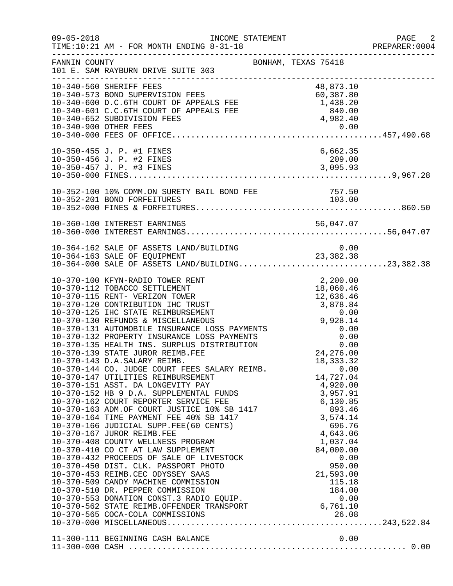| $09 - 05 - 2018$ | TIME:10:21 AM - FOR MONTH ENDING 8-31-18                                                                                                                                                                                                                                                                                                                                                                                                                                                                                                                                                                                                                                                                                                                                              |                                                                                                                      | PAGE 2<br>PREPARER: 0004 |
|------------------|---------------------------------------------------------------------------------------------------------------------------------------------------------------------------------------------------------------------------------------------------------------------------------------------------------------------------------------------------------------------------------------------------------------------------------------------------------------------------------------------------------------------------------------------------------------------------------------------------------------------------------------------------------------------------------------------------------------------------------------------------------------------------------------|----------------------------------------------------------------------------------------------------------------------|--------------------------|
| FANNIN COUNTY    | BONHAM, TEXAS 75418<br>101 E. SAM RAYBURN DRIVE SUITE 303                                                                                                                                                                                                                                                                                                                                                                                                                                                                                                                                                                                                                                                                                                                             |                                                                                                                      |                          |
|                  | 10-340-573 BOND SUPERVISION FEES<br>10-340-600 D.C.6TH COURT OF APPEALS FEE 60,387.80<br>10-340-601 C.C.6TH COURT OF APPEALS FEE 1,438.20<br>10-340-601 C.C.6TH COURT OF APPEALS FEE 840.00<br>10-340-900 OTHER FEES<br>10-340-900 OTHER                                                                                                                                                                                                                                                                                                                                                                                                                                                                                                                                              |                                                                                                                      |                          |
|                  | 10-350-455 J. P. #1 FINES                                                                                                                                                                                                                                                                                                                                                                                                                                                                                                                                                                                                                                                                                                                                                             | 6,662.35                                                                                                             |                          |
|                  | 10-352-100 10% COMM.ON SURETY BAIL BOND FEE<br>10-352-201 BOND FOREFITURES<br>10-352-201 BOND FORFEITURES                                                                                                                                                                                                                                                                                                                                                                                                                                                                                                                                                                                                                                                                             | 757.50<br>103.00                                                                                                     |                          |
|                  |                                                                                                                                                                                                                                                                                                                                                                                                                                                                                                                                                                                                                                                                                                                                                                                       |                                                                                                                      |                          |
|                  | 10-364-162 SALE OF ASSETS LAND/BUILDING<br>10-364-163 SALE OF EQUIPMENT 23,382.38<br>10-364-000 SALE OF ASSETS LAND/BUILDING23,382.38                                                                                                                                                                                                                                                                                                                                                                                                                                                                                                                                                                                                                                                 |                                                                                                                      |                          |
|                  | 10-370-143 D.A.SALARY REIMB.<br>10-370-144 CO. JUDGE COURT FEES SALARY REIMB.<br>10-370-147 UTILITIES REIMBURSEMENT<br>10-370-151 ASST. DA LONGEVITY PAY<br>10-370-152 HB 9 D.A. SUPPLEMENTAL FUNDS<br>10-370-162 COURT REPORTER SERVICE FEE<br>10-370-163 ADM.OF COURT JUSTICE 10% SB 1417<br>10-370-164 TIME PAYMENT FEE 40% SB 1417<br>10-370-166 JUDICIAL S<br>10-370-408 COUNTY WELLNESS PROGRAM<br>10-370-410 CO CT AT LAW SUPPLEMENT<br>10-370-432 PROCEEDS OF SALE OF LIVESTOCK<br>10-370-450 DIST. CLK. PASSPORT PHOTO<br>10-370-453 REIMB.CEC ODYSSEY SAAS<br>10-370-509 CANDY MACHINE COMMISSION<br>10-370-510 DR. PEPPER COMMISSION<br>10-370-510 DR. PEPPER COMMISSION<br>10-370-553 DONATION CONST.3 RADIO EQUIP.<br>10-370-562 STATE REIMB.OFFENDER TRANSPORT 6,761.10 | 18, 333. 32<br>0.00<br>14,727.04<br>1,037.04<br>84,000.00<br>0.00<br>950.00<br>21,593.00<br>115.18<br>184.00<br>0.00 |                          |
|                  |                                                                                                                                                                                                                                                                                                                                                                                                                                                                                                                                                                                                                                                                                                                                                                                       |                                                                                                                      |                          |
|                  |                                                                                                                                                                                                                                                                                                                                                                                                                                                                                                                                                                                                                                                                                                                                                                                       |                                                                                                                      |                          |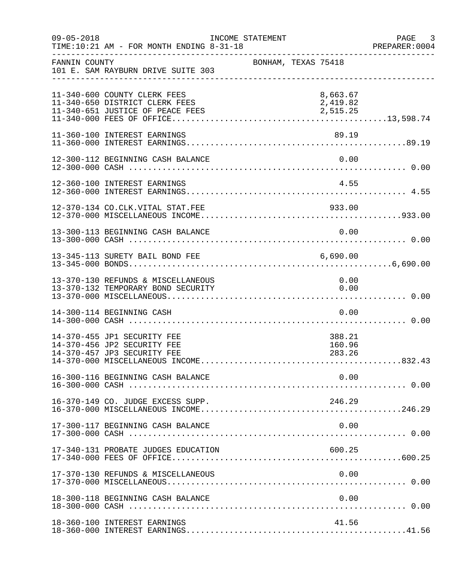| $09 - 05 - 2018$ | TIME:10:21 AM - FOR MONTH ENDING 8-31-18                                                           | INCOME STATEMENT |                     |                                  |      | PAGE 3<br>PREPARER: 0004 |
|------------------|----------------------------------------------------------------------------------------------------|------------------|---------------------|----------------------------------|------|--------------------------|
| FANNIN COUNTY    | 101 E. SAM RAYBURN DRIVE SUITE 303                                                                 |                  | BONHAM, TEXAS 75418 |                                  |      |                          |
|                  | 11-340-600 COUNTY CLERK FEES<br>11-340-650 DISTRICT CLERK FEES<br>11-340-651 JUSTICE OF PEACE FEES |                  |                     | 8,663.67<br>2,419.82<br>2,515.25 |      |                          |
|                  | 11-360-100 INTEREST EARNINGS                                                                       |                  |                     | 89.19                            |      |                          |
|                  | 12-300-112 BEGINNING CASH BALANCE                                                                  |                  |                     | 0.00                             |      |                          |
|                  | 12-360-100 INTEREST EARNINGS                                                                       |                  |                     | 4.55                             |      |                          |
|                  | 12-370-134 CO.CLK.VITAL STAT.FEE                                                                   |                  |                     | 933.00                           |      |                          |
|                  | 13-300-113 BEGINNING CASH BALANCE                                                                  |                  |                     |                                  | 0.00 |                          |
|                  | 13-345-113 SURETY BAIL BOND FEE                                                                    |                  |                     | 6,690.00                         |      |                          |
|                  | 13-370-130 REFUNDS & MISCELLANEOUS<br>13-370-132 TEMPORARY BOND SECURITY                           |                  |                     | 0.00<br>0.00                     |      |                          |
|                  | 14-300-114 BEGINNING CASH                                                                          |                  |                     |                                  | 0.00 |                          |
|                  | 14-370-455 JP1 SECURITY FEE<br>14-370-456 JP2 SECURITY FEE<br>14-370-457 JP3 SECURITY FEE          |                  |                     | 388.21<br>160.96<br>283.26       |      |                          |
|                  | 16-300-116 BEGINNING CASH BALANCE                                                                  |                  |                     |                                  | 0.00 |                          |
|                  | 16-370-149 CO. JUDGE EXCESS SUPP.                                                                  |                  |                     | 246.29                           |      |                          |
|                  | 17-300-117 BEGINNING CASH BALANCE                                                                  |                  |                     |                                  | 0.00 |                          |
|                  | 17-340-131 PROBATE JUDGES EDUCATION                                                                |                  |                     | 600.25                           |      |                          |
|                  | 17-370-130 REFUNDS & MISCELLANEOUS                                                                 |                  |                     |                                  | 0.00 |                          |
|                  | 18-300-118 BEGINNING CASH BALANCE                                                                  |                  |                     | 0.00                             |      |                          |
|                  | 18-360-100 INTEREST EARNINGS                                                                       |                  |                     | 41.56                            |      |                          |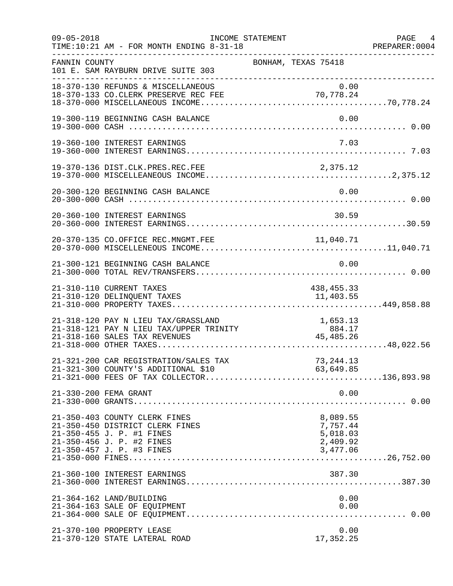| $09 - 05 - 2018$ | TIME:10:21 AM - FOR MONTH ENDING 8-31-18                                                                                                                | INCOME STATEMENT | ____________________________________                     | PAGE 4<br>PREPARER:0004 |
|------------------|---------------------------------------------------------------------------------------------------------------------------------------------------------|------------------|----------------------------------------------------------|-------------------------|
| FANNIN COUNTY    | 101 E. SAM RAYBURN DRIVE SUITE 303<br>_________________________________                                                                                 |                  | BONHAM, TEXAS 75418                                      |                         |
|                  | 18-370-130 REFUNDS & MISCELLANEOUS<br>18-370-133 CO.CLERK PRESERVE REC FEE                                                                              |                  | 0.00<br>70,778.24                                        |                         |
|                  | 19-300-119 BEGINNING CASH BALANCE                                                                                                                       |                  | 0.00                                                     |                         |
|                  | 19-360-100 INTEREST EARNINGS                                                                                                                            |                  | 7.03                                                     |                         |
|                  | 19-370-136 DIST.CLK.PRES.REC.FEE                                                                                                                        |                  | 2,375.12                                                 |                         |
|                  | 20-300-120 BEGINNING CASH BALANCE                                                                                                                       |                  | 0.00                                                     |                         |
|                  | 20-360-100 INTEREST EARNINGS                                                                                                                            |                  | 30.59                                                    |                         |
|                  | 20-370-135 CO.OFFICE REC.MNGMT.FEE                                                                                                                      |                  | 11,040.71                                                |                         |
|                  | 21-300-121 BEGINNING CASH BALANCE                                                                                                                       |                  | 0.00                                                     |                         |
|                  | 21-310-110 CURRENT TAXES<br>21-310-120 DELINQUENT TAXES                                                                                                 |                  | 438, 455. 33<br>11,403.55                                |                         |
|                  |                                                                                                                                                         |                  |                                                          |                         |
|                  | 21-321-200 CAR REGISTRATION/SALES TAX                                                                                                                   |                  | 73, 244. 13                                              |                         |
|                  | 21-330-200 FEMA GRANT                                                                                                                                   |                  | 0.00                                                     |                         |
|                  | 21-350-403 COUNTY CLERK FINES<br>21-350-450 DISTRICT CLERK FINES<br>21-350-455 J. P. #1 FINES<br>21-350-456 J. P. #2 FINES<br>21-350-457 J. P. #3 FINES |                  | 8,089.55<br>7,757.44<br>5,018.03<br>2,409.92<br>3,477.06 |                         |
|                  | 21-360-100 INTEREST EARNINGS                                                                                                                            |                  | 387.30                                                   |                         |
|                  | 21-364-162 LAND/BUILDING<br>21-364-163 SALE OF EQUIPMENT                                                                                                |                  | 0.00<br>0.00                                             |                         |
|                  | 21-370-100 PROPERTY LEASE<br>21-370-120 STATE LATERAL ROAD                                                                                              |                  | 0.00<br>17,352.25                                        |                         |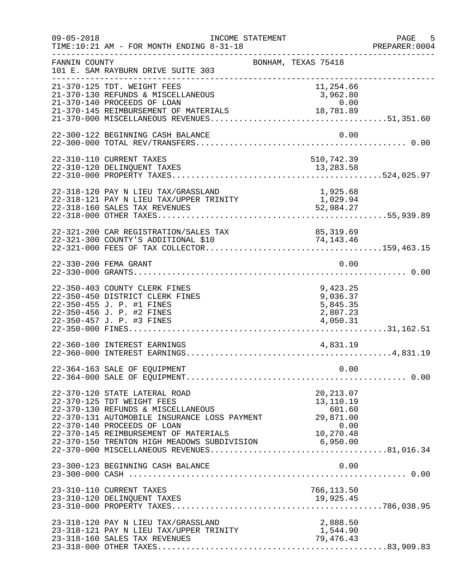| $09 - 05 - 2018$      | INCOME STATEMENT<br>TIME:10:21 AM - FOR MONTH ENDING 8-31-18                                                                                                                                                                                                                                                           | ___________________________________                      | PAGE 5<br>PREPARER: 0004 |
|-----------------------|------------------------------------------------------------------------------------------------------------------------------------------------------------------------------------------------------------------------------------------------------------------------------------------------------------------------|----------------------------------------------------------|--------------------------|
| FANNIN COUNTY         | 101 E. SAM RAYBURN DRIVE SUITE 303<br>________________________________                                                                                                                                                                                                                                                 | BONHAM, TEXAS 75418                                      |                          |
|                       | 21-370-125 TDT. WEIGHT FEES<br>21-370-130 REFUNDS & MISCELLANEOUS<br>21-370-140 PROCEEDS OF LOAN                                                                                                                                                                                                                       | 11,254.66<br>3,962.80<br>0.00                            |                          |
|                       | 22-300-122 BEGINNING CASH BALANCE                                                                                                                                                                                                                                                                                      | 0.00                                                     |                          |
|                       | 22-310-110 CURRENT TAXES                                                                                                                                                                                                                                                                                               | 510,742.39                                               |                          |
|                       | 22-318-120 PAY N LIEU TAX/GRASSLAND<br>22-318-121 PAY N LIEU TAX/UPPER TRINITY<br>22-318-160 SALES TAX REVENUES                                                                                                                                                                                                        | 1,925.68<br>1,029.94<br>52,984.27                        |                          |
|                       | 22-321-200 CAR REGISTRATION/SALES TAX 85,319.69<br>22-321-300 COUNTY'S ADDITIONAL \$10 74,143.46                                                                                                                                                                                                                       |                                                          |                          |
| 22-330-200 FEMA GRANT |                                                                                                                                                                                                                                                                                                                        | 0.00                                                     |                          |
|                       | 22-350-403 COUNTY CLERK FINES<br>22-350-450 DISTRICT CLERK FINES<br>22-350-455 J. P. #1 FINES<br>22-350-456 J. P. #2 FINES<br>22-350-457 J. P. #3 FINES                                                                                                                                                                | 9,423.25<br>9,036.37<br>5,845.35<br>2,807.23<br>4,050.31 |                          |
|                       | 22-360-100 INTEREST EARNINGS                                                                                                                                                                                                                                                                                           | 4,831.19                                                 |                          |
|                       | 22-364-163 SALE OF EQUIPMENT                                                                                                                                                                                                                                                                                           | 0.00                                                     |                          |
|                       | 22-370-120 STATE LATERAL ROAD<br>22-370-125 TDT WEIGHT FEES<br>22-370-130 REFUNDS & MISCELLANEOUS<br>22-370-131 AUTOMOBILE INSURANCE LOSS PAYMENT<br>22-370-140 PROCEEDS OF LOAN<br>22-370-145 REIMBURSEMENT OF MATERIALS<br>22-370-150 TRENTON HIGH MEADOWS SUBDIVISION 6,950.00<br>22-370-000 MISCELLANEOUS PEVENUES | 20, 213.07<br>13,110.19<br>601.60<br>29,871.00           |                          |
|                       | 23-300-123 BEGINNING CASH BALANCE                                                                                                                                                                                                                                                                                      | 0.00                                                     |                          |
|                       | 23-310-110 CURRENT TAXES                                                                                                                                                                                                                                                                                               | 766,113.50                                               |                          |
|                       | 23-318-120 PAY N LIEU TAX/GRASSLAND<br>23-318-121 PAY N LIEU TAX/UPPER TRINITY<br>23-318-160 SALES TAX REVENUES                                                                                                                                                                                                        | 2,888.50<br>79,476.43                                    |                          |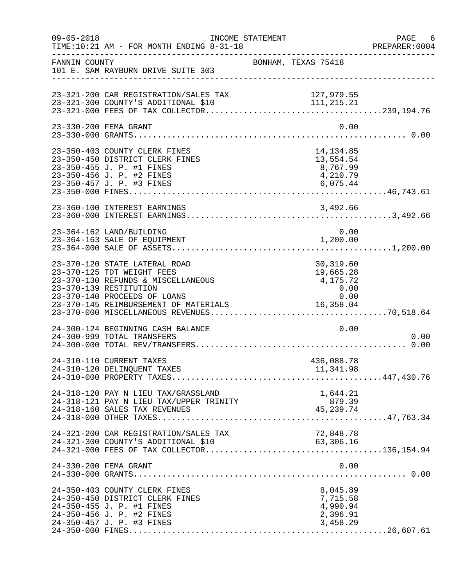| $09 - 05 - 2018$ | INCOME STATEMENT<br>TIME:10:21 AM - FOR MONTH ENDING 8-31-18                                                                                                                                         |                                                                  | PAGE 6<br>PREPARER: 0004 |
|------------------|------------------------------------------------------------------------------------------------------------------------------------------------------------------------------------------------------|------------------------------------------------------------------|--------------------------|
| FANNIN COUNTY    | 101 E. SAM RAYBURN DRIVE SUITE 303                                                                                                                                                                   | ----------------------------------<br>BONHAM, TEXAS 75418        |                          |
|                  | 23-321-200 CAR REGISTRATION/SALES TAX<br>23-321-300 COUNTY'S ADDITIONAL \$10                                                                                                                         | 127,979.55                                                       |                          |
|                  | 23-330-200 FEMA GRANT                                                                                                                                                                                | 0.00                                                             |                          |
|                  | 23-350-403 COUNTY CLERK FINES<br>23-350-450 DISTRICT CLERK FINES<br>23-350-455 J. P. #1 FINES<br>23-350-456 J. P. #2 FINES                                                                           | 14,134.85<br>13,554.54<br>8,767.99<br>4,210.79                   |                          |
|                  | 23-360-100 INTEREST EARNINGS                                                                                                                                                                         |                                                                  |                          |
|                  | 23-364-162 LAND/BUILDING<br>23-364-163 SALE OF EQUIPMENT                                                                                                                                             | 0.00<br>1,200.00                                                 |                          |
|                  | 23-370-120 STATE LATERAL ROAD<br>23-370-125 TDT WEIGHT FEES<br>23-370-130 REFUNDS & MISCELLANEOUS<br>23-370-139 RESTITUTION<br>23-370-140 PROCEEDS OF LOANS<br>23-370-145 REIMBURSEMENT OF MATERIALS | 30,319.60<br>19,665.28<br>4,175.72<br>0.00<br>0.00<br>16, 358.04 |                          |
|                  | 24-300-124 BEGINNING CASH BALANCE<br>24-300-999 TOTAL TRANSFERS                                                                                                                                      | 0.00                                                             | 0.00                     |
|                  | 24-310-110 CURRENT TAXES<br>24-310-120 DELINQUENT TAXES                                                                                                                                              | 436,088.78<br>11,341.98                                          |                          |
|                  | 24-318-120 PAY N LIEU TAX/GRASSLAND<br>24-318-121 PAY N LIEU TAX/UPPER TRINITY<br>24-318-160 SALES TAX REVENUES                                                                                      | 1,644.21<br>879.39<br>879.39<br>45,239.74                        |                          |
|                  | 24-321-200 CAR REGISTRATION/SALES TAX<br>24-321-300 COUNTY'S ADDITIONAL \$10                                                                                                                         | 72,848.78<br>63,306.16                                           |                          |
|                  | 24-330-200 FEMA GRANT                                                                                                                                                                                | 0.00                                                             |                          |
|                  | 24-350-403 COUNTY CLERK FINES<br>24-350-450 DISTRICT CLERK FINES<br>24-350-455 J. P. #1 FINES<br>24-350-456 J. P. #2 FINES<br>24-350-457 J. P. #3 FINES                                              | 8,045.89<br>7,715.58<br>4,990.94<br>2,396.91<br>3,458.29         |                          |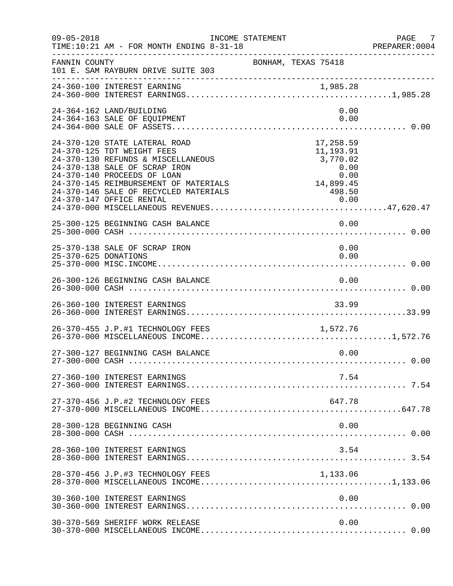| $09 - 05 - 2018$     | INCOME STATEMENT<br>TIME:10:21 AM - FOR MONTH ENDING 8-31-18                                                                                                                                                                                                                    |                                                                                                                                                                                             | PAGE 7<br>PREPARER:0004 |
|----------------------|---------------------------------------------------------------------------------------------------------------------------------------------------------------------------------------------------------------------------------------------------------------------------------|---------------------------------------------------------------------------------------------------------------------------------------------------------------------------------------------|-------------------------|
| FANNIN COUNTY        | 101 E. SAM RAYBURN DRIVE SUITE 303                                                                                                                                                                                                                                              | BONHAM, TEXAS 75418                                                                                                                                                                         |                         |
|                      | 24-360-100 INTEREST EARNING                                                                                                                                                                                                                                                     |                                                                                                                                                                                             |                         |
|                      | 24-364-162 LAND/BUILDING<br>24-364-163 SALE OF EQUIPMENT                                                                                                                                                                                                                        | 0.00<br>0.00                                                                                                                                                                                |                         |
|                      | 24-370-120 STATE LATERAL ROAD<br>24-370-125 TDT WEIGHT FEES<br>24-370-130 REFUNDS & MISCELLANEOUS<br>24-370-138 SALE OF SCRAP IRON<br>24-370-140 PROCEEDS OF LOAN<br>24-370-145 REIMBURSEMENT OF MATERIALS<br>24-370-146 SALE OF RECYCLED MATERIALS<br>24-370-147 OFFICE RENTAL | 17,258.59<br>11,193.91<br>3,770.02<br>$0.00$<br>0.00<br>14,899.45<br>498.50<br>$\begin{array}{c}\n 1 \\  \begin{array}{c}\n \circ \\  \circ \\  \circ\n \end{array} \\  0.00\n \end{array}$ |                         |
|                      | 25-300-125 BEGINNING CASH BALANCE                                                                                                                                                                                                                                               | 0.00                                                                                                                                                                                        |                         |
| 25-370-625 DONATIONS | 25-370-138 SALE OF SCRAP IRON                                                                                                                                                                                                                                                   | 0.00<br>0.00                                                                                                                                                                                |                         |
|                      | 26-300-126 BEGINNING CASH BALANCE                                                                                                                                                                                                                                               | 0.00                                                                                                                                                                                        |                         |
|                      | 26-360-100 INTEREST EARNINGS                                                                                                                                                                                                                                                    | 33.99                                                                                                                                                                                       |                         |
|                      | 26-370-455 J.P.#1 TECHNOLOGY FEES 1,572.76                                                                                                                                                                                                                                      |                                                                                                                                                                                             |                         |
|                      | 27-300-127 BEGINNING CASH BALANCE                                                                                                                                                                                                                                               | 0.00                                                                                                                                                                                        |                         |
|                      | 27-360-100 INTEREST EARNINGS                                                                                                                                                                                                                                                    | 7.54                                                                                                                                                                                        |                         |
|                      | 27-370-456 J.P.#2 TECHNOLOGY FEES                                                                                                                                                                                                                                               | 647.78                                                                                                                                                                                      |                         |
|                      | 28-300-128 BEGINNING CASH                                                                                                                                                                                                                                                       | 0.00                                                                                                                                                                                        |                         |
|                      | 28-360-100 INTEREST EARNINGS                                                                                                                                                                                                                                                    | 3.54                                                                                                                                                                                        |                         |
|                      | 28-370-456 J.P.#3 TECHNOLOGY FEES                                                                                                                                                                                                                                               | 1,133.06                                                                                                                                                                                    |                         |
|                      | 30-360-100 INTEREST EARNINGS                                                                                                                                                                                                                                                    | 0.00                                                                                                                                                                                        |                         |
|                      | 30-370-569 SHERIFF WORK RELEASE                                                                                                                                                                                                                                                 | 0.00                                                                                                                                                                                        |                         |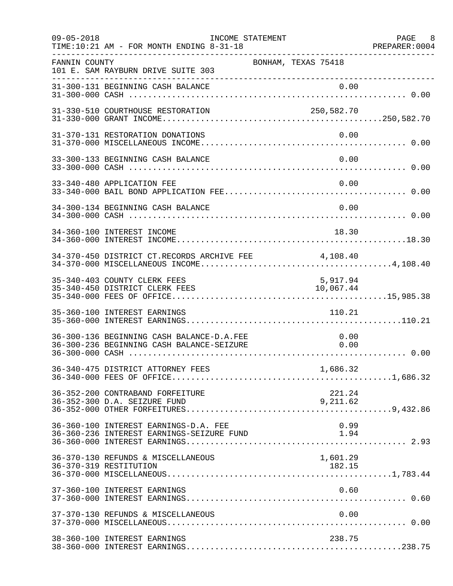| $09 - 05 - 2018$ | INCOME STATEMENT<br>TIME:10:21 AM - FOR MONTH ENDING 8-31-18                           |                       | PAGE 8<br>PREPARER:0004 |
|------------------|----------------------------------------------------------------------------------------|-----------------------|-------------------------|
| FANNIN COUNTY    | 101 E. SAM RAYBURN DRIVE SUITE 303<br>---------------------------------                | BONHAM, TEXAS 75418   |                         |
|                  | 31-300-131 BEGINNING CASH BALANCE                                                      | 0.00                  |                         |
|                  | 31-330-510 COURTHOUSE RESTORATION                                                      | 250,582.70            |                         |
|                  | 31-370-131 RESTORATION DONATIONS                                                       | 0.00                  |                         |
|                  | 33-300-133 BEGINNING CASH BALANCE                                                      | 0.00                  |                         |
|                  | 33-340-480 APPLICATION FEE                                                             | 0.00                  |                         |
|                  | 34-300-134 BEGINNING CASH BALANCE                                                      | 0.00                  |                         |
|                  | 34-360-100 INTEREST INCOME                                                             | 18.30                 |                         |
|                  | 34-370-450 DISTRICT CT.RECORDS ARCHIVE FEE 4,108.40                                    |                       |                         |
|                  | 35-340-403 COUNTY CLERK FEES<br>35-340-450 DISTRICT CLERK FEES                         | 5,917.94<br>10,067.44 |                         |
|                  | 35-360-100 INTEREST EARNINGS                                                           | 110.21                |                         |
|                  | 36-300-136 BEGINNING CASH BALANCE-D.A.FEE<br>36-300-236 BEGINNING CASH BALANCE-SEIZURE | 0.00<br>0.00          |                         |
|                  |                                                                                        | 1,686.32              |                         |
|                  | 36-352-200 CONTRABAND FORFEITURE<br>36-352-300 D.A. SEIZURE FUND                       | 221.24<br>9,211.62    |                         |
|                  | 36-360-100 INTEREST EARNINGS-D.A. FEE<br>36-360-236 INTEREST EARNINGS-SEIZURE FUND     | 0.99<br>1.94          |                         |
|                  | 36-370-130 REFUNDS & MISCELLANEOUS<br>36-370-319 RESTITUTION                           | 1,601.29<br>182.15    |                         |
|                  | 37-360-100 INTEREST EARNINGS                                                           | 0.60                  |                         |
|                  | 37-370-130 REFUNDS & MISCELLANEOUS                                                     | 0.00                  |                         |
|                  | 38-360-100 INTEREST EARNINGS                                                           | 238.75                |                         |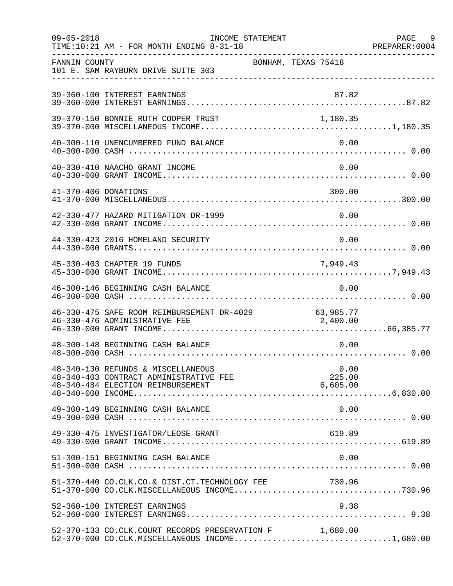| $09 - 05 - 2018$     | TIME:10:21 AM - FOR MONTH ENDING 8-31-18                                                                          | INCOME STATEMENT    |                            | PAGE 9<br>PREPARER: 0004 |
|----------------------|-------------------------------------------------------------------------------------------------------------------|---------------------|----------------------------|--------------------------|
| FANNIN COUNTY        | 101 E. SAM RAYBURN DRIVE SUITE 303                                                                                | BONHAM, TEXAS 75418 |                            |                          |
|                      | 39-360-100 INTEREST EARNINGS                                                                                      |                     | 87.82                      |                          |
|                      | 39-370-150 BONNIE RUTH COOPER TRUST                                                                               |                     | 1,180.35                   |                          |
|                      | 40-300-110 UNENCUMBERED FUND BALANCE                                                                              |                     | 0.00                       |                          |
|                      | 40-330-410 NAACHO GRANT INCOME                                                                                    |                     | 0.00                       |                          |
| 41-370-406 DONATIONS |                                                                                                                   |                     | 300.00                     |                          |
|                      | 42-330-477 HAZARD MITIGATION DR-1999                                                                              |                     | 0.00                       |                          |
|                      | 44-330-423 2016 HOMELAND SECURITY                                                                                 |                     | 0.00                       |                          |
|                      | 45-330-403 CHAPTER 19 FUNDS                                                                                       |                     | 7,949.43                   |                          |
|                      | 46-300-146 BEGINNING CASH BALANCE                                                                                 |                     | 0.00                       |                          |
|                      | 46-330-475 SAFE ROOM REIMBURSEMENT DR-4029 63,985.77<br>46-330-476 ADMINISTRATIVE FEE 2,400.00                    |                     |                            |                          |
|                      | 48-300-148 BEGINNING CASH BALANCE                                                                                 |                     | 0.00                       |                          |
|                      | 48-340-130 REFUNDS & MISCELLANEOUS<br>48-340-403 CONTRACT ADMINISTRATIVE FEE<br>48-340-484 ELECTION REIMBURSEMENT |                     | 0.00<br>225.00<br>6,605.00 |                          |
|                      | 49-300-149 BEGINNING CASH BALANCE                                                                                 |                     | 0.00                       |                          |
|                      | 49-330-475 INVESTIGATOR/LEOSE GRANT                                                                               |                     | 619.89                     |                          |
|                      | 51-300-151 BEGINNING CASH BALANCE                                                                                 |                     | 0.00                       |                          |
|                      | 51-370-440 CO.CLK.CO.& DIST.CT.TECHNOLOGY FEE 730.96                                                              |                     |                            |                          |
|                      | 52-360-100 INTEREST EARNINGS                                                                                      |                     | 9.38                       |                          |
|                      | 52-370-133 CO.CLK.COURT RECORDS PRESERVATION F 1,680.00<br>52-370-000 CO.CLK.MISCELLANEOUS INCOME1,680.00         |                     |                            |                          |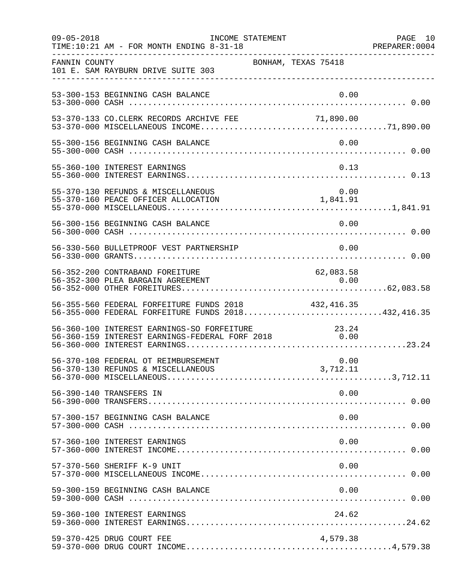| $09 - 05 - 2018$ | INCOME STATEMENT<br>TIME:10:21 AM - FOR MONTH ENDING 8-31-18                                            |                     | PAGE 10<br>PREPARER: 0004 |
|------------------|---------------------------------------------------------------------------------------------------------|---------------------|---------------------------|
| FANNIN COUNTY    | 101 E. SAM RAYBURN DRIVE SUITE 303                                                                      | BONHAM, TEXAS 75418 |                           |
|                  | 53-300-153 BEGINNING CASH BALANCE                                                                       | 0.00                |                           |
|                  | 53-370-133 CO.CLERK RECORDS ARCHIVE FEE                                                                 | 71,890.00           |                           |
|                  | 55-300-156 BEGINNING CASH BALANCE                                                                       | 0.00                |                           |
|                  | 55-360-100 INTEREST EARNINGS                                                                            | 0.13                |                           |
|                  | 55-370-130 REFUNDS & MISCELLANEOUS                                                                      |                     |                           |
|                  | 56-300-156 BEGINNING CASH BALANCE                                                                       | 0.00                |                           |
|                  | 56-330-560 BULLETPROOF VEST PARTNERSHIP                                                                 | 0.00                |                           |
|                  | 56-352-200 CONTRABAND FOREITURE                                                                         | 62,083.58           |                           |
|                  | 56-355-560 FEDERAL FORFEITURE FUNDS 2018<br>56-355-000 FEDERAL FORFEITURE FUNDS 2018432,416.35          | 432,416.35          |                           |
|                  | 56-360-100 INTEREST EARNINGS-SO FORFEITURE 23.24<br>56-360-159 INTEREST EARNINGS-FEDERAL FORF 2018 0.00 |                     |                           |
|                  | 56-370-108 FEDERAL OT REIMBURSEMENT                                                                     | 0.00                |                           |
|                  | 56-390-140 TRANSFERS IN                                                                                 | 0.00                |                           |
|                  | 57-300-157 BEGINNING CASH BALANCE                                                                       | 0.00                |                           |
|                  | 57-360-100 INTEREST EARNINGS                                                                            | 0.00                |                           |
|                  | 57-370-560 SHERIFF K-9 UNIT                                                                             | 0.00                |                           |
|                  | 59-300-159 BEGINNING CASH BALANCE                                                                       | 0.00                |                           |
|                  | 59-360-100 INTEREST EARNINGS                                                                            | 24.62               |                           |
|                  | 59-370-425 DRUG COURT FEE                                                                               | 4,579.38            |                           |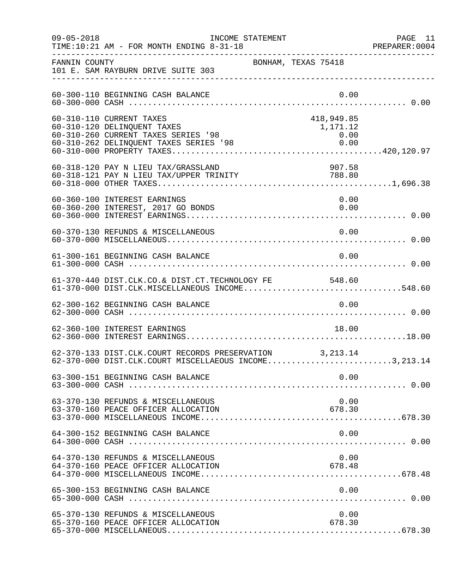| $09 - 05 - 2018$ | INCOME STATEMENT<br>TIME:10:21 AM - FOR MONTH ENDING 8-31-18                                                                             |                                        | PAGE 11<br>PREPARER: 0004 |
|------------------|------------------------------------------------------------------------------------------------------------------------------------------|----------------------------------------|---------------------------|
| FANNIN COUNTY    | BONHAM, TEXAS 75418<br>101 E. SAM RAYBURN DRIVE SUITE 303                                                                                |                                        |                           |
|                  | 60-300-110 BEGINNING CASH BALANCE                                                                                                        | 0.00                                   |                           |
|                  | 60-310-110 CURRENT TAXES<br>60-310-120 DELINQUENT TAXES<br>60-310-260 CURRENT TAXES SERIES '98<br>60-310-262 DELINQUENT TAXES SERIES '98 | 418,949.85<br>1,171.12<br>0.00<br>0.00 |                           |
|                  | 60-318-120 PAY N LIEU TAX/GRASSLAND<br>60-318-121 PAY N LIEU TAX/UPPER TRINITY                                                           | 907.58<br>788.80                       |                           |
|                  | 60-360-100 INTEREST EARNINGS<br>60-360-200 INTEREST, 2017 GO BONDS                                                                       | 0.00<br>0.00                           |                           |
|                  | 60-370-130 REFUNDS & MISCELLANEOUS                                                                                                       | 0.00                                   |                           |
|                  | 61-300-161 BEGINNING CASH BALANCE                                                                                                        | 0.00                                   |                           |
|                  | 61-370-440 DIST.CLK.CO.& DIST.CT.TECHNOLOGY FE 548.60<br>61-370-000 DIST.CLK.MISCELLANEOUS INCOME548.60                                  |                                        |                           |
|                  | 62-300-162 BEGINNING CASH BALANCE                                                                                                        | 0.00                                   |                           |
|                  | 62-360-100 INTEREST EARNINGS                                                                                                             | 18.00                                  |                           |
|                  | 62-370-133 DIST.CLK.COURT RECORDS PRESERVATION 3,213.14<br>62-370-000 DIST.CLK.COURT MISCELLAEOUS INCOME3,213.14                         |                                        |                           |
|                  | 63-300-151 BEGINNING CASH BALANCE                                                                                                        | 0.00                                   |                           |
|                  | 63-370-130 REFUNDS & MISCELLANEOUS<br>63-370-160 PEACE OFFICER ALLOCATION                                                                | 0.00<br>678.30                         |                           |
|                  | 64-300-152 BEGINNING CASH BALANCE                                                                                                        | 0.00                                   |                           |
|                  | 64-370-130 REFUNDS & MISCELLANEOUS<br>64-370-160 PEACE OFFICER ALLOCATION                                                                | 0.00<br>678.48                         |                           |
|                  | 65-300-153 BEGINNING CASH BALANCE                                                                                                        | 0.00                                   |                           |
|                  | 65-370-130 REFUNDS & MISCELLANEOUS<br>65-370-160 PEACE OFFICER ALLOCATION                                                                | 0.00<br>678.30                         |                           |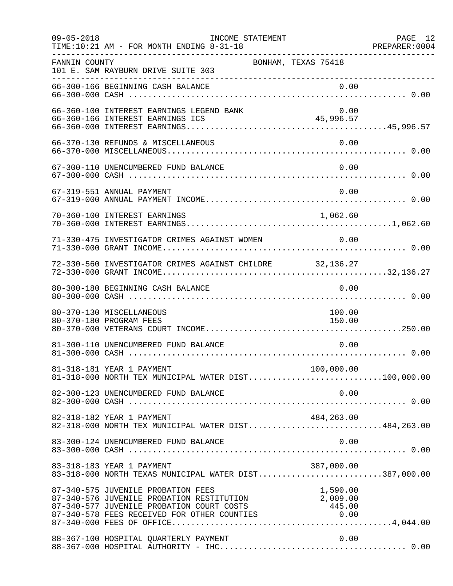| $09 - 05 - 2018$ | INCOME STATEMENT<br>TIME:10:21 AM - FOR MONTH ENDING 8-31-18                                                                                                                                                                                   |                                    | PAGE 12<br>PREPARER: 0004 |
|------------------|------------------------------------------------------------------------------------------------------------------------------------------------------------------------------------------------------------------------------------------------|------------------------------------|---------------------------|
| FANNIN COUNTY    | 101 E. SAM RAYBURN DRIVE SUITE 303<br>----------------------------------                                                                                                                                                                       | BONHAM, TEXAS 75418                |                           |
|                  | 66-300-166 BEGINNING CASH BALANCE                                                                                                                                                                                                              | 0.00                               |                           |
|                  | 66-360-100 INTEREST EARNINGS LEGEND BANK                                                                                                                                                                                                       | 0.00                               |                           |
|                  | 66-370-130 REFUNDS & MISCELLANEOUS                                                                                                                                                                                                             | 0.00                               |                           |
|                  | 67-300-110 UNENCUMBERED FUND BALANCE                                                                                                                                                                                                           | 0.00                               |                           |
|                  | 67-319-551 ANNUAL PAYMENT                                                                                                                                                                                                                      | 0.00                               |                           |
|                  | 70-360-100 INTEREST EARNINGS                                                                                                                                                                                                                   | 1,062.60                           |                           |
|                  | 71-330-475 INVESTIGATOR CRIMES AGAINST WOMEN                                                                                                                                                                                                   | 0.00                               |                           |
|                  | 72-330-560 INVESTIGATOR CRIMES AGAINST CHILDRE 32,136.27                                                                                                                                                                                       |                                    |                           |
|                  | 80-300-180 BEGINNING CASH BALANCE                                                                                                                                                                                                              | 0.00                               |                           |
|                  | 80-370-130 MISCELLANEOUS<br>80-370-180 PROGRAM FEES                                                                                                                                                                                            | 100.00<br>150.00                   |                           |
|                  | 81-300-110 UNENCUMBERED FUND BALANCE                                                                                                                                                                                                           | 0.00                               |                           |
|                  | 81-318-181 YEAR 1 PAYMENT<br>81-318-000 NORTH TEX MUNICIPAL WATER DIST100,000.00                                                                                                                                                               | 100,000.00                         |                           |
|                  | 82-300-123 UNENCUMBERED FUND BALANCE                                                                                                                                                                                                           | 0.00                               |                           |
|                  | 82-318-182 YEAR 1 PAYMENT<br>82-318-000 NORTH TEX MUNICIPAL WATER DIST484,263.00                                                                                                                                                               | 484,263.00                         |                           |
|                  | 83-300-124 UNENCUMBERED FUND BALANCE                                                                                                                                                                                                           | 0.00                               |                           |
|                  | 83-318-183 YEAR 1 PAYMENT<br>83-318-183 YEAR 1 PAYMENT<br>83-318-000 NORTH TEXAS MUNICIPAL WATER DIST387,000.00                                                                                                                                | 387,000.00                         |                           |
|                  | 87-340-575 JUVENILE PROBATION FEES<br>87-340-575 JUVENILE PROBATION FEES<br>87-340-576 JUVENILE PROBATION RESTITUTION<br>87-340-577 JUVENILE PROBATION COURT COSTS<br>87-340-578 FEES RECEIVED FOR OTHER COUNTIES<br>87-340-000 FEES OF OFFICE | 1,590.00<br>$\frac{1}{2}$ , 009.00 |                           |
|                  | 88-367-100 HOSPITAL QUARTERLY PAYMENT                                                                                                                                                                                                          | 0.00                               |                           |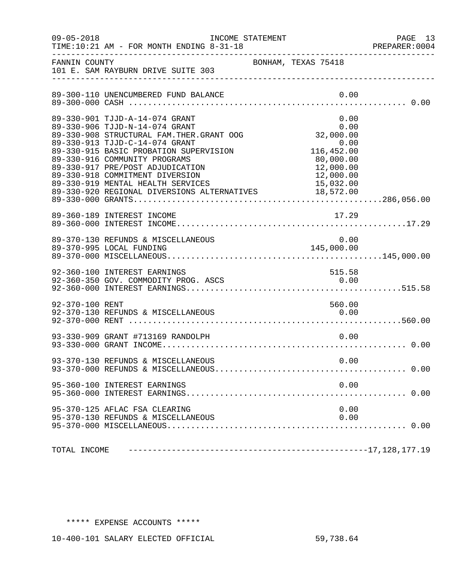| $09 - 05 - 2018$ | INCOME STATEMENT<br>TIME:10:21 AM - FOR MONTH ENDING 8-31-18                                                                                                                                                                                                                                                                                                                                               |                                                                                                  | PAGE 13<br>PREPARER: 0004 |
|------------------|------------------------------------------------------------------------------------------------------------------------------------------------------------------------------------------------------------------------------------------------------------------------------------------------------------------------------------------------------------------------------------------------------------|--------------------------------------------------------------------------------------------------|---------------------------|
| FANNIN COUNTY    | 101 E. SAM RAYBURN DRIVE SUITE 303                                                                                                                                                                                                                                                                                                                                                                         | BONHAM, TEXAS 75418                                                                              |                           |
|                  | 89-300-110 UNENCUMBERED FUND BALANCE                                                                                                                                                                                                                                                                                                                                                                       | 0.00                                                                                             |                           |
|                  | 89-330-901 TJJD-A-14-074 GRANT<br>89-330-906 TJJD-N-14-074 GRANT<br>89-330-908 STRUCTURAL FAM. THER. GRANT OOG<br>89-330-913 TJJD-C-14-074 GRANT<br>89-330-915 BASIC PROBATION SUPERVISION<br>89-330-916 COMMUNITY PROGRAMS<br>89-330-917 PRE/POST ADJUDICATION<br>89-330-918 COMMITMENT DIVERSION<br>89-330-919 MENTAL HEALTH SERVICES 15,032.00<br>89-330-920 REGIONAL DIVERSIONS ALTERNATIVES 18,572.00 | 0.00<br>$0.00$<br>0.00<br>32,000.00<br>0.00<br>116,452.00<br>80,000.00<br>12,000.00<br>12,000.00 |                           |
|                  | 89-360-189 INTEREST INCOME                                                                                                                                                                                                                                                                                                                                                                                 | 17.29                                                                                            |                           |
|                  | 89-370-130 REFUNDS & MISCELLANEOUS<br>89-370-995 LOCAL FUNDING                                                                                                                                                                                                                                                                                                                                             | $0.00$<br>145,000.00                                                                             |                           |
|                  | 92-360-100 INTEREST EARNINGS<br>92-360-350 GOV. COMMODITY PROG. ASCS                                                                                                                                                                                                                                                                                                                                       | 515.58<br>0.00                                                                                   |                           |
| 92-370-100 RENT  | 92-370-130 REFUNDS & MISCELLANEOUS                                                                                                                                                                                                                                                                                                                                                                         | 560.00<br>0.00                                                                                   |                           |
|                  | 93-330-909 GRANT #713169 RANDOLPH                                                                                                                                                                                                                                                                                                                                                                          | 0.00                                                                                             |                           |
|                  | 93-370-130 REFUNDS & MISCELLANEOUS                                                                                                                                                                                                                                                                                                                                                                         | 0.00                                                                                             |                           |
|                  | 95-360-100 INTEREST EARNINGS                                                                                                                                                                                                                                                                                                                                                                               | 0.00                                                                                             |                           |
|                  | 95-370-125 AFLAC FSA CLEARING<br>95-370-130 REFUNDS & MISCELLANEOUS                                                                                                                                                                                                                                                                                                                                        | 0.00<br>0.00                                                                                     |                           |
| TOTAL INCOME     |                                                                                                                                                                                                                                                                                                                                                                                                            |                                                                                                  |                           |

## \*\*\*\*\* EXPENSE ACCOUNTS \*\*\*\*\*

10-400-101 SALARY ELECTED OFFICIAL 59,738.64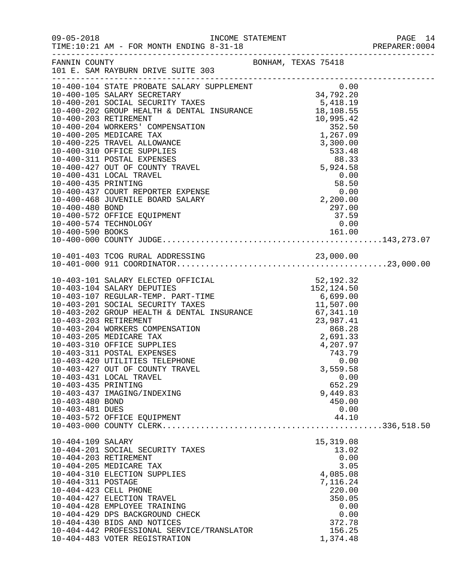| $09 - 05 - 2018$                                          | TIME:10:21 AM - FOR MONTH ENDING 8-31-18<br>-------------------------------------                                                                                                                                                                                                                                                                                                                                                                                                                                                                                                                                                                                                     |                                                                                                                                | PAGE 14<br>PREPARER: 0004 |
|-----------------------------------------------------------|---------------------------------------------------------------------------------------------------------------------------------------------------------------------------------------------------------------------------------------------------------------------------------------------------------------------------------------------------------------------------------------------------------------------------------------------------------------------------------------------------------------------------------------------------------------------------------------------------------------------------------------------------------------------------------------|--------------------------------------------------------------------------------------------------------------------------------|---------------------------|
| FANNIN COUNTY                                             | 101 E. SAM RAYBURN DRIVE SUITE 303                                                                                                                                                                                                                                                                                                                                                                                                                                                                                                                                                                                                                                                    | BONHAM, TEXAS 75418                                                                                                            |                           |
| 10-400-480 BOND                                           | $\begin{tabular}{lllllllllllllllllllllllllllllllllllll} \rule{0pt}{0pt} \multicolumn{3}{l}{} & 0-400-104& \text{STATE PROBATE SALARY SUPPLEMENT} & 0.00 \\ \hline 10-400-105& \text{SLLARY SECRETRY} & 34,792.20 \\ \hline 10-400-201& \text{SOLIA} & \text{SCURTY TAXES} & 5,418.19 \\ \hline 10-400-202& \text{RROUP HEALTH & \text{DENTAL INSURANCE} & 18,108.55 \\ \hline 10-400-203 & \$<br>$10-400-431$ $10-400-435$ $10-400-437$ $10-400-437$ $10-400-468$ $10-400-468$ $10-400-468$ $10-400-468$ $10-400-468$ $10-400-468$ $10-400-468$ $10-400-468$ $10-400-468$ $10-400-468$ $10-400-468$ $10-400-468$ $10-400-468$<br>10-400-572 OFFICE EQUIPMENT<br>10-400-574 TECHNOLOGY | 297.00<br>37.59<br>0.00                                                                                                        |                           |
|                                                           |                                                                                                                                                                                                                                                                                                                                                                                                                                                                                                                                                                                                                                                                                       |                                                                                                                                |                           |
|                                                           |                                                                                                                                                                                                                                                                                                                                                                                                                                                                                                                                                                                                                                                                                       |                                                                                                                                |                           |
| 10-403-435 PRINTING<br>10-403-480 BOND<br>10-403-481 DUES | $\begin{tabular}{lllllllllllllllllllllllllllllllllllll} \textbf{10-403-101} & \textbf{SALARY ELECTED OFFICIAL} & & & & & & & & & 52,192.32 \\ \textbf{10-403-104} & \textbf{SALARY DEPUTIES} & & & & & 152,124.50 \\ \textbf{10-403-107 REGULAR-TEMP. PART-TIME} & & & & 6,699.00 \\ \textbf{10-403-201} & \textbf{SOCIAL SECURITY TAXES} & & & & 6,699.00 \\ \textbf{10-403-202} & \textbf$<br>10-403-427 OUT OF COUNTY TRAVEL<br>10-403-431 LOCAL TRAVEL<br>10-403-437 IMAGING/INDEXING<br>10-403-572 OFFICE EQUIPMENT                                                                                                                                                              | 3,559.58<br>0.00<br>652.29<br>9,449.83<br>450.00<br>0.00<br>44.10                                                              |                           |
| 10-404-109 SALARY<br>10-404-311 POSTAGE                   | 10-404-201 SOCIAL SECURITY TAXES<br>10-404-203 RETIREMENT<br>10-404-205 MEDICARE TAX<br>10-404-310 ELECTION SUPPLIES<br>10-404-423 CELL PHONE<br>10-404-427 ELECTION TRAVEL<br>10-404-428 EMPLOYEE TRAINING<br>10-404-429 DPS BACKGROUND CHECK<br>10-404-430 BIDS AND NOTICES<br>10-404-442 PROFESSIONAL SERVICE/TRANSLATOR<br>10-404-483 VOTER REGISTRATION                                                                                                                                                                                                                                                                                                                          | 15,319.08<br>13.02<br>0.00<br>3.05<br>4,085.08<br>7,116.24<br>220.00<br>350.05<br>0.00<br>0.00<br>372.78<br>156.25<br>1,374.48 |                           |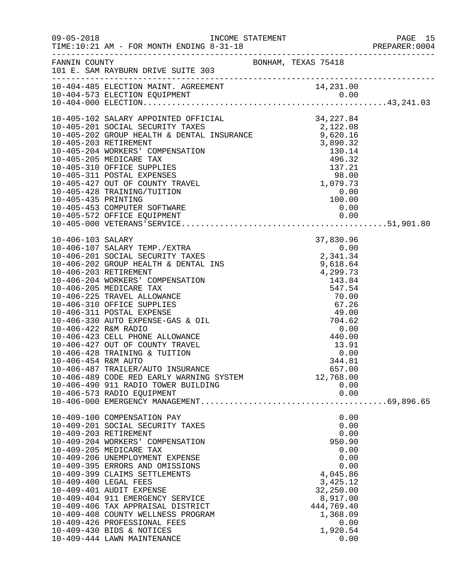| $09 - 05 - 2018$                            | TIME:10:21 AM - FOR MONTH ENDING 8-31-18<br>-------------------------------------                                                                                                                                                                                                                                                                                                                                                                                                                                              |  |                                                                                                                                                               | PAGE 15<br>PREPARER:0004 |
|---------------------------------------------|--------------------------------------------------------------------------------------------------------------------------------------------------------------------------------------------------------------------------------------------------------------------------------------------------------------------------------------------------------------------------------------------------------------------------------------------------------------------------------------------------------------------------------|--|---------------------------------------------------------------------------------------------------------------------------------------------------------------|--------------------------|
| FANNIN COUNTY                               | 101 E. SAM RAYBURN DRIVE SUITE 303                                                                                                                                                                                                                                                                                                                                                                                                                                                                                             |  | BONHAM, TEXAS 75418                                                                                                                                           |                          |
|                                             |                                                                                                                                                                                                                                                                                                                                                                                                                                                                                                                                |  |                                                                                                                                                               |                          |
|                                             |                                                                                                                                                                                                                                                                                                                                                                                                                                                                                                                                |  |                                                                                                                                                               |                          |
| 10-406-422 R&M RADIO<br>10-406-454 R&M AUTO | 10-406-423 CELL PHONE ALLOWANCE<br>10-406-427 OUT OF COUNTY TRAVEL<br>10-406-428 TRAINING & TUITION<br>10-406-487 TRAILER/AUTO INSURANCE<br>10-406-489 CODE RED EARLY WARNING SYSTEM<br>10-406-490 911 RADIO TOWER BUILDING<br>10-406-573 RADIO EQUIPMENT                                                                                                                                                                                                                                                                      |  | $\begin{array}{r}0.00\\0.00\\440.00\\13.91\\0.00\\344.81\end{array}$<br>344.81<br>657.00<br>12,768.00<br>0.00<br>0.00                                         |                          |
|                                             | 10-409-100 COMPENSATION PAY<br>10-409-201 SOCIAL SECURITY TAXES<br>10-409-203 RETIREMENT<br>10-409-204 WORKERS' COMPENSATION<br>10-409-205 MEDICARE TAX<br>10-409-206 UNEMPLOYMENT EXPENSE<br>10-409-395 ERRORS AND OMISSIONS<br>10-409-399 CLAIMS SETTLEMENTS<br>10-409-400 LEGAL FEES<br>10-409-401 AUDIT EXPENSE<br>10-409-404 911 EMERGENCY SERVICE<br>10-409-406 TAX APPRAISAL DISTRICT<br>10-409-408 COUNTY WELLNESS PROGRAM<br>10-409-426 PROFESSIONAL FEES<br>10-409-430 BIDS & NOTICES<br>10-409-444 LAWN MAINTENANCE |  | 0.00<br>0.00<br>0.00<br>950.90<br>0.00<br>0.00<br>0.00<br>4,045.86<br>3,425.12<br>32,250.00<br>8,917.00<br>444,769.40<br>1,368.09<br>0.00<br>1,920.54<br>0.00 |                          |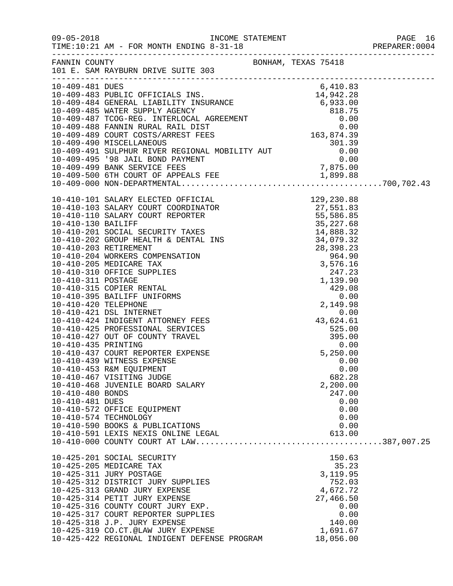| $09 - 05 - 2018$                    | TIME:10:21 AM - FOR MONTH ENDING 8-31-18                                                                                                                                                                                                                                                                                          |                                                                        |  |
|-------------------------------------|-----------------------------------------------------------------------------------------------------------------------------------------------------------------------------------------------------------------------------------------------------------------------------------------------------------------------------------|------------------------------------------------------------------------|--|
|                                     | BONHAM, TEXAS 75418<br>FANNIN COUNTY<br>101 E. SAM RAYBURN DRIVE SUITE 303                                                                                                                                                                                                                                                        |                                                                        |  |
| 10-409-481 DUES                     |                                                                                                                                                                                                                                                                                                                                   | 6,410.83                                                               |  |
|                                     |                                                                                                                                                                                                                                                                                                                                   |                                                                        |  |
|                                     |                                                                                                                                                                                                                                                                                                                                   |                                                                        |  |
|                                     | $10-410-101 \mbox{ SALARY ELECTED OPT-TED10-410-101 SALARY ELECTED OPT-TED10-410-101 SALARY ELECTED OPT-TED10-410-101 SALARY COURT COURT REPORTER10-410-101 SALARY COURT REPORTER10-410-201 SOCIAL SECURITY TAXES10-410-201 SOCIAL SECURITY TAXES10-410-202 GROUP HBLITHR10-410-203 REPTIEREMENTR10-410-203 NEPTIEREMENTS10-410-$ |                                                                        |  |
|                                     |                                                                                                                                                                                                                                                                                                                                   |                                                                        |  |
|                                     |                                                                                                                                                                                                                                                                                                                                   |                                                                        |  |
|                                     |                                                                                                                                                                                                                                                                                                                                   |                                                                        |  |
|                                     |                                                                                                                                                                                                                                                                                                                                   |                                                                        |  |
|                                     | 10-410-439 WITNESS EXPENSE<br>10-410-453 R&M EQUIPMENT<br>10-410-467 VISITING JUDGE<br>10-410-468 JUVENILE BOARD SALARY                                                                                                                                                                                                           | 0.00<br>0.00<br>682.28<br>2,200.00                                     |  |
| 10-410-480 BONDS<br>10-410-481 DUES | 10-410-572 OFFICE EQUIPMENT<br>10-410-574 TECHNOLOGY                                                                                                                                                                                                                                                                              | 247.00<br>0.00<br>0.00<br>0.00                                         |  |
|                                     | 10-410-590 BOOKS & PUBLICATIONS<br>10-410-591 LEXIS NEXIS ONLINE LEGAL                                                                                                                                                                                                                                                            | 0.00<br>613.00                                                         |  |
|                                     | 10-425-201 SOCIAL SECURITY<br>10-425-205 MEDICARE TAX<br>10-425-311 JURY POSTAGE<br>10-425-312 DISTRICT JURY SUPPLIES<br>10-425-313 GRAND JURY EXPENSE<br>10-425-314 PETIT JURY EXPENSE<br>10-425-316 COUNTY COURT JURY EXP.                                                                                                      | 150.63<br>35.23<br>3,119.95<br>752.03<br>4,672.72<br>27,466.50<br>0.00 |  |
|                                     | 10-425-317 COURT REPORTER SUPPLIES<br>10-425-318 J.P. JURY EXPENSE<br>10-425-319 CO.CT.@LAW JURY EXPENSE<br>10-425-422 REGIONAL INDIGENT DEFENSE PROGRAM                                                                                                                                                                          | 0.00<br>140.00<br>1,691.67<br>18,056.00                                |  |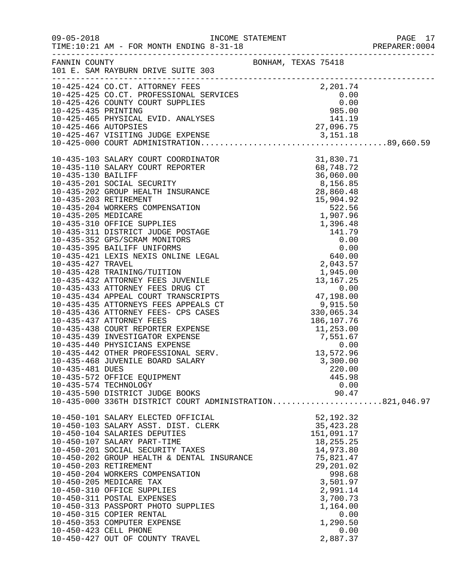|                                                                                                                                                                                                                                                                                                                                                                          |  |                      | PAGE 17<br>PREPARER: 0004 |
|--------------------------------------------------------------------------------------------------------------------------------------------------------------------------------------------------------------------------------------------------------------------------------------------------------------------------------------------------------------------------|--|----------------------|---------------------------|
| FANNIN COUNTY<br>101 E. SAM RAYBURN DRIVE SUITE 303                                                                                                                                                                                                                                                                                                                      |  | BONHAM, TEXAS 75418  |                           |
|                                                                                                                                                                                                                                                                                                                                                                          |  |                      |                           |
|                                                                                                                                                                                                                                                                                                                                                                          |  |                      |                           |
|                                                                                                                                                                                                                                                                                                                                                                          |  |                      |                           |
|                                                                                                                                                                                                                                                                                                                                                                          |  |                      |                           |
|                                                                                                                                                                                                                                                                                                                                                                          |  |                      |                           |
|                                                                                                                                                                                                                                                                                                                                                                          |  |                      |                           |
|                                                                                                                                                                                                                                                                                                                                                                          |  |                      |                           |
| $[10-435-100$ \mbox{COMHM} \mbox{COMHM} \mbox{COMHM} \mbox{COMHM} \mbox{COMHM} \mbox{COMHM} \mbox{OMHM} \mbox{OMHM} \mbox{OMHM} \mbox{OMHM} \mbox{OMHM} \mbox{OMHM} \mbox{OMHM} \mbox{SO(601, 01)} \nonumber \\ 10-435-101$ \mbox{SLARY} \mbox{COURT} \mbox{REORTER} \mbox{SPORTER} \mbox{SO(61, 01)} \nonumber \\ 10-435-201~ \mbox{SOCIA} \mbox{SCURTY} \mbox{SO(61, $ |  |                      |                           |
|                                                                                                                                                                                                                                                                                                                                                                          |  |                      |                           |
|                                                                                                                                                                                                                                                                                                                                                                          |  |                      |                           |
|                                                                                                                                                                                                                                                                                                                                                                          |  |                      |                           |
|                                                                                                                                                                                                                                                                                                                                                                          |  |                      |                           |
|                                                                                                                                                                                                                                                                                                                                                                          |  |                      |                           |
|                                                                                                                                                                                                                                                                                                                                                                          |  |                      |                           |
|                                                                                                                                                                                                                                                                                                                                                                          |  |                      |                           |
|                                                                                                                                                                                                                                                                                                                                                                          |  |                      |                           |
|                                                                                                                                                                                                                                                                                                                                                                          |  |                      |                           |
|                                                                                                                                                                                                                                                                                                                                                                          |  |                      |                           |
|                                                                                                                                                                                                                                                                                                                                                                          |  |                      |                           |
|                                                                                                                                                                                                                                                                                                                                                                          |  |                      |                           |
|                                                                                                                                                                                                                                                                                                                                                                          |  |                      |                           |
|                                                                                                                                                                                                                                                                                                                                                                          |  |                      |                           |
|                                                                                                                                                                                                                                                                                                                                                                          |  |                      |                           |
|                                                                                                                                                                                                                                                                                                                                                                          |  |                      |                           |
|                                                                                                                                                                                                                                                                                                                                                                          |  |                      |                           |
|                                                                                                                                                                                                                                                                                                                                                                          |  |                      |                           |
|                                                                                                                                                                                                                                                                                                                                                                          |  |                      |                           |
|                                                                                                                                                                                                                                                                                                                                                                          |  |                      |                           |
|                                                                                                                                                                                                                                                                                                                                                                          |  |                      |                           |
|                                                                                                                                                                                                                                                                                                                                                                          |  |                      |                           |
|                                                                                                                                                                                                                                                                                                                                                                          |  |                      |                           |
| 10-435-481 DUES                                                                                                                                                                                                                                                                                                                                                          |  | 220.00               |                           |
| 10-435-572 OFFICE EQUIPMENT                                                                                                                                                                                                                                                                                                                                              |  | 445.98               |                           |
| 10-435-574 TECHNOLOGY                                                                                                                                                                                                                                                                                                                                                    |  | 0.00                 |                           |
| 10-435-590 DISTRICT JUDGE BOOKS                                                                                                                                                                                                                                                                                                                                          |  | 90.47                |                           |
| 10-435-000 336TH DISTRICT COURT ADMINISTRATION821,046.97                                                                                                                                                                                                                                                                                                                 |  |                      |                           |
| 10-450-101 SALARY ELECTED OFFICIAL<br>10-450-103 SALARY ASST. DIST. CLERK<br>10-450-101 SALARY ASST. DIST. CLERK                                                                                                                                                                                                                                                         |  | 52, 192. 32          |                           |
|                                                                                                                                                                                                                                                                                                                                                                          |  | 35, 423. 28          |                           |
|                                                                                                                                                                                                                                                                                                                                                                          |  | 151,091.17           |                           |
| 10-450-107 SALARY PART-TIME                                                                                                                                                                                                                                                                                                                                              |  | 18,255.25            |                           |
| 10-450-201 SOCIAL SECURITY TAXES<br>10-450-202 GROUP HEALTH & DENTAL INSURANCE                                                                                                                                                                                                                                                                                           |  | 14,973.80            |                           |
|                                                                                                                                                                                                                                                                                                                                                                          |  | 75,821.47            |                           |
| 10-450-203 RETIREMENT                                                                                                                                                                                                                                                                                                                                                    |  | 29,201.02            |                           |
| 10-450-204 WORKERS COMPENSATION                                                                                                                                                                                                                                                                                                                                          |  | 998.68               |                           |
| 10-450-205 MEDICARE TAX                                                                                                                                                                                                                                                                                                                                                  |  | 3,501.97             |                           |
| 10-450-310 OFFICE SUPPLIES<br>10-450-311 POSTAL EXPENSES                                                                                                                                                                                                                                                                                                                 |  | 2,991.14<br>3,700.73 |                           |
| 10-450-313 PASSPORT PHOTO SUPPLIES                                                                                                                                                                                                                                                                                                                                       |  | 1,164.00             |                           |
| 10-450-315 COPIER RENTAL                                                                                                                                                                                                                                                                                                                                                 |  | 0.00                 |                           |
| 10-450-353 COMPUTER EXPENSE                                                                                                                                                                                                                                                                                                                                              |  | 1,290.50             |                           |
| 10-450-423 CELL PHONE                                                                                                                                                                                                                                                                                                                                                    |  | 0.00                 |                           |
| 10-450-427 OUT OF COUNTY TRAVEL                                                                                                                                                                                                                                                                                                                                          |  | 2,887.37             |                           |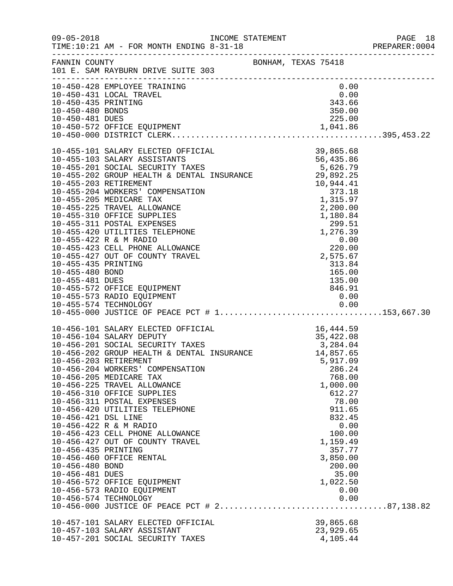|                                         |                                                                                                                                                                                               |                     |                                                                                              |                        | PREPARER: 0004 |
|-----------------------------------------|-----------------------------------------------------------------------------------------------------------------------------------------------------------------------------------------------|---------------------|----------------------------------------------------------------------------------------------|------------------------|----------------|
|                                         | FANNIN COUNTY<br>101 E. SAM RAYBURN DRIVE SUITE 303                                                                                                                                           | BONHAM, TEXAS 75418 |                                                                                              |                        |                |
|                                         | 10-450-428 EMPLOYEE TRAINING<br>10-450-431 LOCAL TRAVEL                                                                                                                                       |                     | $0.00$<br>0.00<br>343.66                                                                     | 0.00                   |                |
| 10-450-435 PRINTING<br>10-450-480 BONDS |                                                                                                                                                                                               |                     |                                                                                              | 350.00                 |                |
|                                         |                                                                                                                                                                                               |                     |                                                                                              |                        |                |
|                                         |                                                                                                                                                                                               |                     |                                                                                              |                        |                |
|                                         |                                                                                                                                                                                               |                     |                                                                                              |                        |                |
|                                         |                                                                                                                                                                                               |                     |                                                                                              |                        |                |
|                                         |                                                                                                                                                                                               |                     |                                                                                              |                        |                |
|                                         |                                                                                                                                                                                               |                     |                                                                                              |                        |                |
|                                         |                                                                                                                                                                                               |                     |                                                                                              |                        |                |
|                                         |                                                                                                                                                                                               |                     |                                                                                              |                        |                |
|                                         |                                                                                                                                                                                               |                     |                                                                                              |                        |                |
|                                         |                                                                                                                                                                                               |                     |                                                                                              |                        |                |
|                                         |                                                                                                                                                                                               |                     |                                                                                              |                        |                |
|                                         |                                                                                                                                                                                               |                     |                                                                                              |                        |                |
|                                         |                                                                                                                                                                                               |                     |                                                                                              |                        |                |
|                                         |                                                                                                                                                                                               |                     |                                                                                              |                        |                |
|                                         |                                                                                                                                                                                               |                     | $\begin{array}{r} 313.84 \\ 165.00 \\ 135.00 \\ 846.91 \\ \cap \hspace{.75mm} 0 \end{array}$ |                        |                |
| 10-455-480 BOND<br>10-455-481 DUES      |                                                                                                                                                                                               |                     |                                                                                              |                        |                |
|                                         | 10-455-572 OFFICE EQUIPMENT                                                                                                                                                                   |                     |                                                                                              |                        |                |
|                                         | 10-455-573 RADIO EQUIPMENT                                                                                                                                                                    |                     |                                                                                              | 0.00                   |                |
|                                         |                                                                                                                                                                                               |                     |                                                                                              |                        |                |
|                                         |                                                                                                                                                                                               |                     |                                                                                              |                        |                |
|                                         |                                                                                                                                                                                               |                     |                                                                                              |                        |                |
|                                         |                                                                                                                                                                                               |                     |                                                                                              |                        |                |
|                                         |                                                                                                                                                                                               |                     |                                                                                              |                        |                |
|                                         | 10-456-101 SALARY ELECTED OFFICIAL 16,444.59<br>10-456-104 SALARY DEPUTY 12XES 35,422.08<br>10-456-201 SOCIAL SECURITY TAXES 3,284.04<br>10-456-202 GROUP HEALTH & DENTAL INSURANCE 14,857.65 |                     |                                                                                              |                        |                |
|                                         | 10-456-203 RETIREMENT<br>10-456-204 WORKERS' COMPENSATION                                                                                                                                     |                     |                                                                                              | 5,917.09               |                |
|                                         | 10-456-205 MEDICARE TAX                                                                                                                                                                       |                     |                                                                                              | 286.24<br>768.00       |                |
|                                         | 10-456-225 TRAVEL ALLOWANCE                                                                                                                                                                   |                     |                                                                                              | 1,000.00               |                |
|                                         | 10-456-310 OFFICE SUPPLIES                                                                                                                                                                    |                     |                                                                                              | 612.27                 |                |
|                                         | 10-456-311 POSTAL EXPENSES                                                                                                                                                                    |                     |                                                                                              | 78.00                  |                |
|                                         | 10-456-420 UTILITIES TELEPHONE                                                                                                                                                                |                     |                                                                                              | 911.65                 |                |
| 10-456-421 DSL LINE                     | 10-456-422 R & M RADIO                                                                                                                                                                        |                     |                                                                                              | 832.45<br>0.00         |                |
|                                         | 10-456-423 CELL PHONE ALLOWANCE                                                                                                                                                               |                     |                                                                                              | 100.00                 |                |
|                                         | 10-456-427 OUT OF COUNTY TRAVEL                                                                                                                                                               |                     |                                                                                              | 1,159.49               |                |
| 10-456-435 PRINTING                     |                                                                                                                                                                                               |                     |                                                                                              | 357.77                 |                |
|                                         | 10-456-460 OFFICE RENTAL                                                                                                                                                                      |                     |                                                                                              | 3,850.00               |                |
| 10-456-480 BOND                         |                                                                                                                                                                                               |                     |                                                                                              | 200.00<br>35.00        |                |
| 10-456-481 DUES                         | 10-456-572 OFFICE EQUIPMENT                                                                                                                                                                   |                     |                                                                                              | 1,022.50               |                |
|                                         | 10-456-573 RADIO EQUIPMENT                                                                                                                                                                    |                     |                                                                                              | 0.00                   |                |
|                                         | 10-456-574 TECHNOLOGY                                                                                                                                                                         |                     |                                                                                              | 0.00                   |                |
|                                         |                                                                                                                                                                                               |                     |                                                                                              |                        |                |
|                                         |                                                                                                                                                                                               |                     |                                                                                              |                        |                |
|                                         | 10-457-101 SALARY ELECTED OFFICIAL<br>10-457-103 SALARY ASSISTANT                                                                                                                             |                     |                                                                                              | 39,865.68<br>23,929.65 |                |
|                                         | 10-457-201 SOCIAL SECURITY TAXES                                                                                                                                                              |                     |                                                                                              | 4,105.44               |                |
|                                         |                                                                                                                                                                                               |                     |                                                                                              |                        |                |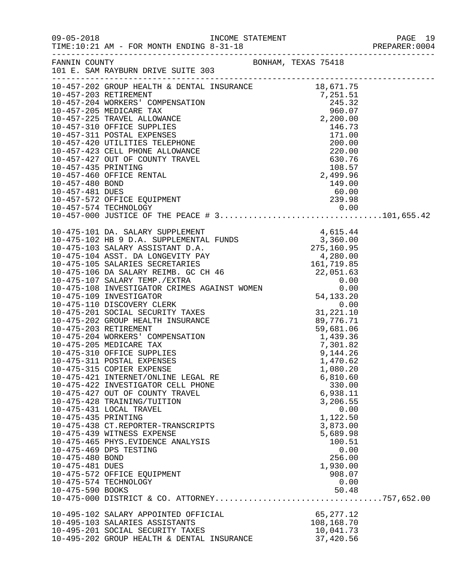| $09 - 05 - 2018$                                                              | TIME:10:21 AM - FOR MONTH ENDING 8-31-18                                                                                                                                                                                                                                                                                                                                                                                                                                                                                                                                                                                                                                                                                                                                                                            |                     |                                                                                                                                                                       | PAGE 19<br>PREPARER:0004<br>PAGE 19 |
|-------------------------------------------------------------------------------|---------------------------------------------------------------------------------------------------------------------------------------------------------------------------------------------------------------------------------------------------------------------------------------------------------------------------------------------------------------------------------------------------------------------------------------------------------------------------------------------------------------------------------------------------------------------------------------------------------------------------------------------------------------------------------------------------------------------------------------------------------------------------------------------------------------------|---------------------|-----------------------------------------------------------------------------------------------------------------------------------------------------------------------|-------------------------------------|
|                                                                               | FANNIN COUNTY<br>101 E. SAM RAYBURN DRIVE SUITE 303                                                                                                                                                                                                                                                                                                                                                                                                                                                                                                                                                                                                                                                                                                                                                                 | BONHAM, TEXAS 75418 |                                                                                                                                                                       |                                     |
|                                                                               | $\begin{tabular}{l c c c} \multicolumn{4}{c }{\textbf{10-457-202 G G G U H E E L} \hline \color{red}{10-457-202} & \textbf{REITERMENT} & \textbf{18,671.75} \\ \multicolumn{4}{c }{\textbf{10-457-203}} & \textbf{REITERMENT} & \textbf{2,251.51} \\ \multicolumn{4}{c }{\textbf{10-457-204 WOKERS'} & \textbf{COMPENSATION} & \textbf{245.32} \\ \multicolumn{4}{c }{\textbf{10-457-205}} & \text$                                                                                                                                                                                                                                                                                                                                                                                                                 |                     |                                                                                                                                                                       |                                     |
| 10-475-435 PRINTING<br>10-475-480 BOND<br>10-475-481 DUES<br>10-475-590 BOOKS | $10-475-101\ \text{DA}.\ \text{SALRY SUPPLEMENT} \begin{tabular}{l} 10-475-102\ \text{AB}\ \text{30-LN.} \end{tabular} \begin{tabular}{l} 10-475-102\ \text{AB}\ \text{30-LN.} \end{tabular} \begin{tabular}{l} 10-475-102\ \text{AB}\ \text{30-LN.} \end{tabular} \begin{tabular}{l} 10-475-103\ \text{SALARY SUPPLEMENT} \end{tabular} \begin{tabular}{l} 10-475-103\ \text{SALARY ASISTANT D.A.} \end{tabular$<br>10-475-315 COPIER EXPENSE<br>10-475-421 INTERNET/ONLINE LEGAL RE<br>10-475-422 INVESTIGATOR CELL PHONE<br>10-475-427 OUT OF COUNTY TRAVEL<br>10-475-428 TRAINING/TUITION<br>10-475-431 LOCAL TRAVEL<br>10-475-438 CT.REPORTER-TRANSCRIPTS<br>10-475-439 WITNESS EXPENSE<br>10-475-465 PHYS.EVIDENCE ANALYSIS<br>10-475-469 DPS TESTING<br>10-475-572 OFFICE EQUIPMENT<br>10-475-574 TECHNOLOGY |                     | 1,080.20<br>6,810.60<br>330.00<br>6,938.11<br>3,206.55<br>0.00<br>1,122.50<br>3,873.00<br>5,689.98<br>100.51<br>0.00<br>256.00<br>1,930.00<br>908.07<br>0.00<br>50.48 |                                     |
|                                                                               | 10-495-102 SALARY APPOINTED OFFICIAL<br>10-495-103 SALARIES ASSISTANTS<br>10-495-201 SOCIAL SECURITY TAXES<br>10-495-202 GROUP HEALTH & DENTAL INSURANCE                                                                                                                                                                                                                                                                                                                                                                                                                                                                                                                                                                                                                                                            |                     | 65,277.12<br>108,168.70<br>10,041.73<br>37,420.56                                                                                                                     |                                     |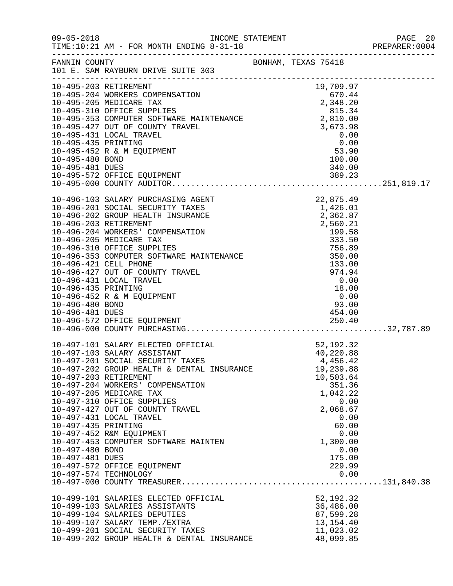|                                    |                                                                                                                                                                                                                                              |                                                                                                                                                                                |                          | PREPARER: 0004 |
|------------------------------------|----------------------------------------------------------------------------------------------------------------------------------------------------------------------------------------------------------------------------------------------|--------------------------------------------------------------------------------------------------------------------------------------------------------------------------------|--------------------------|----------------|
|                                    | FANNIN COUNTY BONHAM, TEXAS 75418<br>101 E. SAM RAYBURN DRIVE SUITE 303                                                                                                                                                                      |                                                                                                                                                                                |                          |                |
|                                    | 10-495-204 WORKERS COMPENSATION<br>10-495-204 WORKERS COMPENSATION<br>10-495-205 MEDICARE TAX<br>10-495-310 OFFICE SUPPLIES<br>10-495-353 COMPUTER SOFTWARE MAINTENANCE<br>2,348.20<br>10-495-427 OUT OF COUNTY TRAVEL<br>10-495-431 LOCAL T |                                                                                                                                                                                |                          |                |
|                                    |                                                                                                                                                                                                                                              |                                                                                                                                                                                |                          |                |
|                                    |                                                                                                                                                                                                                                              |                                                                                                                                                                                |                          |                |
|                                    |                                                                                                                                                                                                                                              |                                                                                                                                                                                |                          |                |
|                                    |                                                                                                                                                                                                                                              |                                                                                                                                                                                |                          |                |
|                                    |                                                                                                                                                                                                                                              |                                                                                                                                                                                |                          |                |
| 10-495-435 PRINTING                |                                                                                                                                                                                                                                              |                                                                                                                                                                                |                          |                |
|                                    | 10-495-452 R & M EQUIPMENT                                                                                                                                                                                                                   |                                                                                                                                                                                |                          |                |
| 10-495-480 BOND                    |                                                                                                                                                                                                                                              | 4,810.00<br>3,673.98<br>0.00<br>0.00<br>53.90<br>53.90                                                                                                                         |                          |                |
|                                    |                                                                                                                                                                                                                                              |                                                                                                                                                                                |                          |                |
|                                    |                                                                                                                                                                                                                                              |                                                                                                                                                                                |                          |                |
|                                    |                                                                                                                                                                                                                                              |                                                                                                                                                                                |                          |                |
|                                    |                                                                                                                                                                                                                                              |                                                                                                                                                                                |                          |                |
|                                    | 10-496-103 SALARY PURCHASING AGENT                                                                                                                                                                                                           | AGENT<br>XES<br>1,426.01<br>2,362.87<br>2,560.21<br>2,560.21<br>199.58<br>333.50<br>MAINTENANCE<br>EL<br>FEL<br>2,56.89<br>756.89<br>756.89<br>74.94<br>0.00<br>18.00<br>18.00 |                          |                |
|                                    | 10-496-201 SOCIAL SECURITY TAXES<br>10-496-202 GROUP HEALTH INSURANCE                                                                                                                                                                        |                                                                                                                                                                                |                          |                |
|                                    | 10-496-203 RETIREMENT                                                                                                                                                                                                                        |                                                                                                                                                                                |                          |                |
|                                    | 10-496-204 WORKERS' COMPENSATION                                                                                                                                                                                                             |                                                                                                                                                                                |                          |                |
|                                    | 10-496-205 MEDICARE TAX                                                                                                                                                                                                                      |                                                                                                                                                                                |                          |                |
|                                    | 10-496-310 OFFICE SUPPLIES                                                                                                                                                                                                                   |                                                                                                                                                                                |                          |                |
|                                    | 10-496-353 COMPUTER SOFTWARE MAINTENANCE                                                                                                                                                                                                     |                                                                                                                                                                                |                          |                |
|                                    | 10-496-421 CELL PHONE                                                                                                                                                                                                                        |                                                                                                                                                                                |                          |                |
|                                    | 10-496-427 OUT OF COUNTY TRAVEL                                                                                                                                                                                                              |                                                                                                                                                                                |                          |                |
|                                    | 10-496-431 LOCAL TRAVEL                                                                                                                                                                                                                      |                                                                                                                                                                                |                          |                |
| 10-496-435 PRINTING                |                                                                                                                                                                                                                                              |                                                                                                                                                                                | $18.00$<br>0.00<br>93.00 |                |
|                                    | 10-496-452 R & M EQUIPMENT                                                                                                                                                                                                                   |                                                                                                                                                                                |                          |                |
| 10-496-480 BOND                    |                                                                                                                                                                                                                                              |                                                                                                                                                                                |                          |                |
| 10-496-481 DUES                    |                                                                                                                                                                                                                                              |                                                                                                                                                                                | 454.00                   |                |
|                                    | 10-496-572 OFFICE EQUIPMENT                                                                                                                                                                                                                  | 250.40                                                                                                                                                                         |                          |                |
|                                    |                                                                                                                                                                                                                                              |                                                                                                                                                                                |                          |                |
|                                    | 10-497-101 SALARY ELECTED OFFICIAL                                                                                                                                                                                                           |                                                                                                                                                                                | 52,192.32                |                |
|                                    | 10-497-103 SALARY ASSISTANT                                                                                                                                                                                                                  |                                                                                                                                                                                | 40,220.88                |                |
|                                    | 10-497-201 SOCIAL SECURITY TAXES                                                                                                                                                                                                             |                                                                                                                                                                                | 4,456.42                 |                |
|                                    | 10-497-202 GROUP HEALTH & DENTAL INSURANCE                                                                                                                                                                                                   |                                                                                                                                                                                | 19,239.88                |                |
|                                    | 10-497-203 RETIREMENT                                                                                                                                                                                                                        |                                                                                                                                                                                | 10,503.64                |                |
|                                    | 10-497-204 WORKERS' COMPENSATION                                                                                                                                                                                                             |                                                                                                                                                                                | 351.36                   |                |
|                                    | 10-497-205 MEDICARE TAX                                                                                                                                                                                                                      |                                                                                                                                                                                | 1,042.22                 |                |
|                                    | 10-497-310 OFFICE SUPPLIES                                                                                                                                                                                                                   |                                                                                                                                                                                | 0.00                     |                |
|                                    | 10-497-427 OUT OF COUNTY TRAVEL                                                                                                                                                                                                              |                                                                                                                                                                                | 2,068.67                 |                |
|                                    | 10-497-431 LOCAL TRAVEL                                                                                                                                                                                                                      |                                                                                                                                                                                | 0.00                     |                |
| 10-497-435 PRINTING                |                                                                                                                                                                                                                                              |                                                                                                                                                                                | 60.00                    |                |
|                                    | 10-497-452 R&M EQUIPMENT                                                                                                                                                                                                                     |                                                                                                                                                                                | 0.00                     |                |
|                                    | 10-497-453 COMPUTER SOFTWARE MAINTEN                                                                                                                                                                                                         |                                                                                                                                                                                | 1,300.00                 |                |
| 10-497-480 BOND<br>10-497-481 DUES |                                                                                                                                                                                                                                              |                                                                                                                                                                                | 0.00<br>175.00           |                |
|                                    | 10-497-572 OFFICE EQUIPMENT                                                                                                                                                                                                                  |                                                                                                                                                                                | 229.99                   |                |
|                                    | 10-497-574 TECHNOLOGY                                                                                                                                                                                                                        |                                                                                                                                                                                | 0.00                     |                |
|                                    |                                                                                                                                                                                                                                              |                                                                                                                                                                                |                          |                |
|                                    |                                                                                                                                                                                                                                              |                                                                                                                                                                                |                          |                |
|                                    | 10-499-101 SALARIES ELECTED OFFICIAL                                                                                                                                                                                                         |                                                                                                                                                                                | 52, 192.32               |                |
|                                    | 10-499-103 SALARIES ASSISTANTS                                                                                                                                                                                                               |                                                                                                                                                                                | 36,486.00                |                |
|                                    | 10-499-104 SALARIES DEPUTIES                                                                                                                                                                                                                 |                                                                                                                                                                                | 87,599.28                |                |
|                                    | 10-499-107 SALARY TEMP./EXTRA                                                                                                                                                                                                                |                                                                                                                                                                                | 13, 154. 40              |                |
|                                    | 10-499-201 SOCIAL SECURITY TAXES                                                                                                                                                                                                             |                                                                                                                                                                                | 11,023.02                |                |
|                                    | 10-499-202 GROUP HEALTH & DENTAL INSURANCE                                                                                                                                                                                                   |                                                                                                                                                                                | 48,099.85                |                |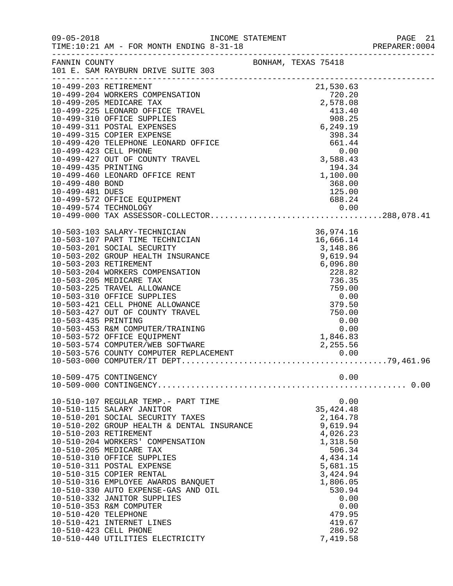|                      |                                                                                                                                                                                                                                                                       |  |                                              |      | PREPARER: 0004 |
|----------------------|-----------------------------------------------------------------------------------------------------------------------------------------------------------------------------------------------------------------------------------------------------------------------|--|----------------------------------------------|------|----------------|
|                      | FANNIN COUNTY<br>101 E. SAM RAYBURN DRIVE SUITE 303                                                                                                                                                                                                                   |  |                                              |      |                |
|                      | 10-499-203 RETIREMENT<br>10-499-203 RETIREMENT<br>10-499-204 WORKERS COMPENSATION<br>10-499-205 MEDICARE TAX<br>10-499-225 LEONARD OFFICE TRAVEL<br>10-499-310 OFFICE SUPPLIES<br>10-499-311 POSTAL EXPENSES<br>10-499-315 COPIER EXPENSE<br>10-499-315 COPIER EXPENS |  |                                              |      |                |
|                      |                                                                                                                                                                                                                                                                       |  |                                              |      |                |
|                      |                                                                                                                                                                                                                                                                       |  |                                              |      |                |
|                      |                                                                                                                                                                                                                                                                       |  |                                              |      |                |
|                      |                                                                                                                                                                                                                                                                       |  |                                              |      |                |
|                      |                                                                                                                                                                                                                                                                       |  |                                              |      |                |
|                      |                                                                                                                                                                                                                                                                       |  |                                              |      |                |
|                      |                                                                                                                                                                                                                                                                       |  |                                              |      |                |
|                      | 10-499-427 OUT OF COUNTY TRAVEL                                                                                                                                                                                                                                       |  | $0.00$<br>3,588.43<br>$194.34$<br>$1,100.00$ |      |                |
| 10-499-435 PRINTING  |                                                                                                                                                                                                                                                                       |  |                                              |      |                |
|                      | 10-499-460 LEONARD OFFICE RENT                                                                                                                                                                                                                                        |  |                                              |      |                |
| 10-499-480 BOND      |                                                                                                                                                                                                                                                                       |  | 368.00                                       |      |                |
| 10-499-481 DUES      |                                                                                                                                                                                                                                                                       |  | 125.00                                       |      |                |
|                      | 10-499-572 OFFICE EQUIPMENT                                                                                                                                                                                                                                           |  | 688.24                                       |      |                |
|                      |                                                                                                                                                                                                                                                                       |  |                                              |      |                |
|                      | 10-499-574 TECHNOLOGY 0.00<br>10-499-000 TAX ASSESSOR-COLLECTOR288,078.41                                                                                                                                                                                             |  |                                              |      |                |
|                      | 10-503-103 SALARY-TECHNICIAN<br>10-503-107 PART TIME TECHNICIAN<br>10-503-201 SOCIAL SECURITY<br>10-503-202 GROUP HEALTH INSURANCE<br>10-503-203 RETIREMENT<br>10-503-203 NETIREMENT<br>10-503-205 MEDICARE TAX<br>10-503-225 TRAVEL ALLOWANCE<br>10-5                |  | 36,974.16                                    |      |                |
|                      |                                                                                                                                                                                                                                                                       |  | 16,666.14                                    |      |                |
|                      |                                                                                                                                                                                                                                                                       |  | 3,148.86                                     |      |                |
|                      |                                                                                                                                                                                                                                                                       |  | 9,619.94                                     |      |                |
|                      |                                                                                                                                                                                                                                                                       |  | 6,096.80                                     |      |                |
|                      |                                                                                                                                                                                                                                                                       |  | 228.82                                       |      |                |
|                      |                                                                                                                                                                                                                                                                       |  | 736.35                                       |      |                |
|                      |                                                                                                                                                                                                                                                                       |  | 759.00<br>759.00<br>0.00<br>379.50<br>750.00 |      |                |
|                      |                                                                                                                                                                                                                                                                       |  | 379.50                                       |      |                |
|                      |                                                                                                                                                                                                                                                                       |  |                                              |      |                |
|                      | 10-503-427 OUT OF COUNTY TRAVEL                                                                                                                                                                                                                                       |  |                                              |      |                |
| 10-503-435 PRINTING  | 10-503-453 R&M COMPUTER/TRAINING                                                                                                                                                                                                                                      |  | $0.00$<br>0.00<br>1,846.83                   |      |                |
|                      | 10-503-572 OFFICE EQUIPMENT                                                                                                                                                                                                                                           |  |                                              |      |                |
|                      |                                                                                                                                                                                                                                                                       |  |                                              |      |                |
|                      |                                                                                                                                                                                                                                                                       |  |                                              |      |                |
|                      |                                                                                                                                                                                                                                                                       |  |                                              |      |                |
|                      | 10-509-475 CONTINGENCY                                                                                                                                                                                                                                                |  |                                              | 0.00 |                |
|                      |                                                                                                                                                                                                                                                                       |  |                                              |      |                |
|                      | 10-510-107 REGULAR TEMP.- PART TIME                                                                                                                                                                                                                                   |  |                                              | 0.00 |                |
|                      | 10-510-115 SALARY JANITOR                                                                                                                                                                                                                                             |  | 35, 424. 48                                  |      |                |
|                      | 10-510-201 SOCIAL SECURITY TAXES                                                                                                                                                                                                                                      |  | 2,164.78                                     |      |                |
|                      | 10-510-201 SOCIAL SECURITY TAXES<br>10-510-202 GROUP HEALTH & DENTAL INSURANCE                                                                                                                                                                                        |  | 9,619.94                                     |      |                |
|                      | 10-510-203 RETIREMENT                                                                                                                                                                                                                                                 |  | 4,026.23                                     |      |                |
|                      | 10-510-204 WORKERS' COMPENSATION                                                                                                                                                                                                                                      |  | 1,318.50                                     |      |                |
|                      | 10-510-205 MEDICARE TAX                                                                                                                                                                                                                                               |  | 506.34                                       |      |                |
|                      | 10-510-310 OFFICE SUPPLIES                                                                                                                                                                                                                                            |  | 4,434.14                                     |      |                |
|                      | 10-510-311 POSTAL EXPENSE<br>10-510-315 COPIER RENTAL                                                                                                                                                                                                                 |  | 5,681.15<br>3,424.94                         |      |                |
|                      | 10-510-316 EMPLOYEE AWARDS BANQUET                                                                                                                                                                                                                                    |  | 1,806.05                                     |      |                |
|                      | 10-510-330 AUTO EXPENSE-GAS AND OIL                                                                                                                                                                                                                                   |  | 530.94                                       |      |                |
|                      | 10-510-332 JANITOR SUPPLIES                                                                                                                                                                                                                                           |  |                                              | 0.00 |                |
|                      | 10-510-353 R&M COMPUTER                                                                                                                                                                                                                                               |  |                                              | 0.00 |                |
| 10-510-420 TELEPHONE |                                                                                                                                                                                                                                                                       |  | 479.95                                       |      |                |
|                      | 10-510-421 INTERNET LINES                                                                                                                                                                                                                                             |  | 419.67                                       |      |                |
|                      | 10-510-423 CELL PHONE                                                                                                                                                                                                                                                 |  | 286.92                                       |      |                |
|                      | 10-510-440 UTILITIES ELECTRICITY                                                                                                                                                                                                                                      |  | 7,419.58                                     |      |                |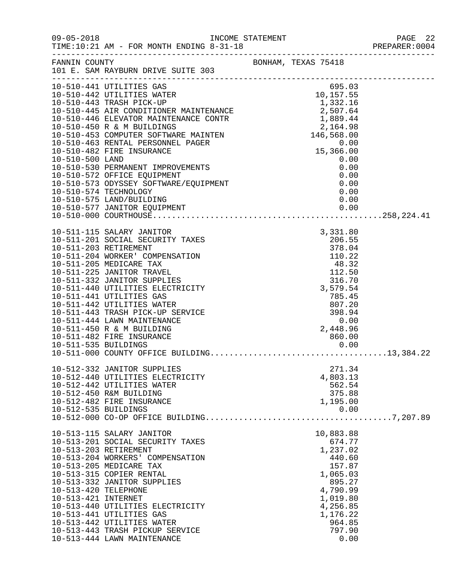| $09 - 05 - 2018$                            | TIME:10:21 AM - FOR MONTH ENDING 8-31-18                                                                                                                                                                                                                                                                                                                                                                                                    |                                                                                                                                                                      | PAGE 22<br>PREPARER: 0004                    |
|---------------------------------------------|---------------------------------------------------------------------------------------------------------------------------------------------------------------------------------------------------------------------------------------------------------------------------------------------------------------------------------------------------------------------------------------------------------------------------------------------|----------------------------------------------------------------------------------------------------------------------------------------------------------------------|----------------------------------------------|
| FANNIN COUNTY                               | 101 E. SAM RAYBURN DRIVE SUITE 303<br>.com/accommodation/accommodation/accommodation/accommodation/accommodation/                                                                                                                                                                                                                                                                                                                           | BONHAM, TEXAS 75418                                                                                                                                                  |                                              |
| 10-510-500 LAND                             | 10-510-441 UTILITIES GAS<br>10-510-441 UTILITIES GAS<br>10-510-442 UTILITIES WATER<br>10-510-442 UTILITIES WATER<br>10-510-443 TRASH PICK-UP<br>10-510-445 AIR CONDITIONER MAINTENANCE<br>10-510-446 ELEVATOR MAINTENANCE CONTR<br>10-510-450 R & M BUILDINGS<br>10-510-<br>10-510-530 PERMANENT IMPROVEMENTS<br>10-510-572 OFFICE EQUIPMENT<br>10-510-573 ODYSSEY SOFTWARE/EQUIPMENT<br>10-510-574 TECHNOLOGY<br>10-510-575 LAND/BUILDING  | 695.03                                                                                                                                                               | 0.00<br>0.00<br>0.00<br>0.00<br>0.00<br>0.00 |
| 10-511-535 BUILDINGS                        | 10-511-115 SALARY JANITOR<br>10-511-201 SOCIAL SECURITY TAXES<br>10-511-203 RETIREMENT<br>10-511-204 WORKER' COMPENSATION<br>10-511-205 MEDICARE TAX<br>10-511-225 JANITOR TRAVEL<br>10-511-332 JANITOR SUPPLIES<br>10-511-440 UTILITIES ELECTRICITY<br>10-511-441 UTILITIES GAS<br>10-511-442 UTILITIES WATER<br>10-511-443 TRASH PICK-UP SERVICE<br>10-511-444 LAWN MAINTENANCE<br>10-511-450 R & M BUILDING<br>10-511-482 FIRE INSURANCE | 3,331.80<br>$\frac{206.55}{273.24}$<br>378.04<br>$110.22$<br>$48.32$<br>$112.50$<br>112.50<br>316.70<br>3,579.54<br>785.45<br>807.20<br>398.94<br>2,448.96<br>860.00 | 0.00<br>0.00                                 |
| 10-512-535 BUILDINGS                        | 10-512-332 JANITOR SUPPLIES<br>10-512-440 UTILITIES ELECTRICITY<br>10-512-442 UTILITIES WATER<br>10-512-450 R&M BUILDING<br>10-512-482 FIRE INSURANCE                                                                                                                                                                                                                                                                                       | 271.34<br>4,803.13<br>562.54<br>375.88<br>1,195.00                                                                                                                   | 0.00                                         |
| 10-513-420 TELEPHONE<br>10-513-421 INTERNET | 10-513-115 SALARY JANITOR<br>10-513-201 SOCIAL SECURITY TAXES<br>10-513-203 RETIREMENT<br>10-513-204 WORKERS' COMPENSATION<br>10-513-205 MEDICARE TAX<br>10-513-315 COPIER RENTAL<br>10-513-332 JANITOR SUPPLIES<br>10-513-440 UTILITIES ELECTRICITY<br>10-513-441 UTILITIES GAS<br>10-513-442 UTILITIES WATER<br>10-513-443 TRASH PICKUP SERVICE<br>10-513-444 LAWN MAINTENANCE                                                            | 10,883.88<br>674.77<br>1,237.02<br>440.60<br>157.87<br>1,065.03<br>895.27<br>4,790.99<br>1,019.80<br>4,256.85<br>1,176.22<br>964.85<br>797.90                        | 0.00                                         |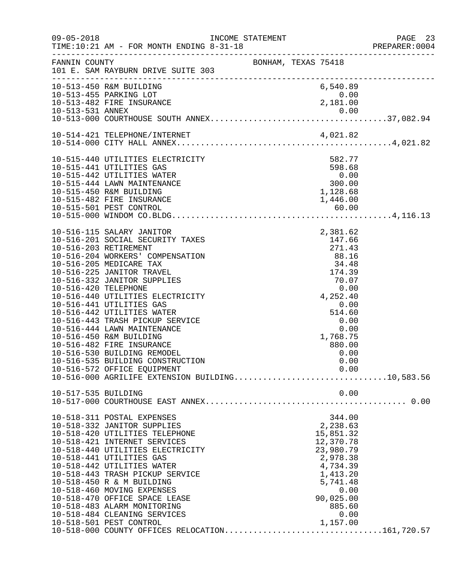| BONHAM, TEXAS 75418<br>FANNIN COUNTY<br>101 E. SAM RAYBURN DRIVE SUITE 303<br>.com/accommodation/accommodation/accommodation/accommodation/accommodation/<br>6,540.89<br>10-513-450 R&M BUILDING<br>10-513-455 PARKING LOT<br>0.00<br>0.00<br>2,181.00<br>10-513-482 FIRE INSURANCE<br>582.77<br>10-515-440 UTILITIES ELECTRICITY<br>598.68<br>10-515-441 UTILITIES GAS<br>$0.00$<br>300.00<br>1,128.68<br>10-515-442 UTILITIES WATER<br>10-515-444 LAWN MAINTENANCE<br>10-515-450 R&M BUILDING<br>10-515-482 FIRE INSURANCE<br>1,446.00<br>10-515-501 PEST CONTROL<br>10-516-115 SALARY JANITOR<br>2,381.62<br>10-516-201 SOCIAL SECURITY TAXES<br>147.66<br>$\begin{array}{r} 271.43 \\ 88.16 \\ 34.48 \\ 174.39 \\ 70.07 \\ 0.00 \\ 4,252.40 \\ \end{array}$<br>10-516-203 RETIREMENT<br>10-516-204 WORKERS' COMPENSATION<br>10-516-205 MEDICARE TAX<br>10-516-225 JANITOR TRAVEL<br>10-516-332 JANITOR SUPPLIES<br>10-516-420 TELEPHONE<br>10-516-440 UTILITIES ELECTRICITY<br>10-516-441 UTILITIES GAS<br>0.00<br>10-516-442 UTILITIES WATER<br>514.60<br>10-516-443 TRASH PICKUP SERVICE<br>0.00<br>10-516-444 LAWN MAINTENANCE<br>0.00<br>10-516-450 R&M BUILDING<br>1,768.75<br>880.00<br>10-516-482 FIRE INSURANCE<br>10-516-530 BUILDING REMODEL<br>0.00<br>10-516-535 BUILDING CONSTRUCTION<br>0.00<br>0.00<br>10-516-572 OFFICE EQUIPMENT<br>10-517-535 BUILDING<br>0.00<br>10-518-311 POSTAL EXPENSES<br>344.00<br>2,238.63<br>10-518-332 JANITOR SUPPLIES<br>10-518-420 UTILITIES TELEPHONE<br>15,851.32<br>10-518-421 INTERNET SERVICES<br>12,370.78<br>23,980.79<br>10-518-440 UTILITIES ELECTRICITY<br>10-518-441 UTILITIES GAS<br>2,978.38<br>10-518-442 UTILITIES WATER<br>4,734.39<br>10-518-443 TRASH PICKUP SERVICE<br>1,413.20<br>10-518-450 R & M BUILDING<br>5,741.48<br>10-518-460 MOVING EXPENSES<br>0.00<br>10-518-470 OFFICE SPACE LEASE<br>90,025.00<br>10-518-483 ALARM MONITORING<br>885.60<br>10-518-484 CLEANING SERVICES<br>0.00<br>10-518-501 PEST CONTROL<br>1,157.00<br>10-518-000 COUNTY OFFICES RELOCATION161,720.57 | $09 - 05 - 2018$ | TIME:10:21 AM - FOR MONTH ENDING 8-31-18 |  |  | PAGE 23<br>PREPARER:0004 |
|--------------------------------------------------------------------------------------------------------------------------------------------------------------------------------------------------------------------------------------------------------------------------------------------------------------------------------------------------------------------------------------------------------------------------------------------------------------------------------------------------------------------------------------------------------------------------------------------------------------------------------------------------------------------------------------------------------------------------------------------------------------------------------------------------------------------------------------------------------------------------------------------------------------------------------------------------------------------------------------------------------------------------------------------------------------------------------------------------------------------------------------------------------------------------------------------------------------------------------------------------------------------------------------------------------------------------------------------------------------------------------------------------------------------------------------------------------------------------------------------------------------------------------------------------------------------------------------------------------------------------------------------------------------------------------------------------------------------------------------------------------------------------------------------------------------------------------------------------------------------------------------------------------------------------------------------------------------------------------------------------------------------------------------------------------------|------------------|------------------------------------------|--|--|--------------------------|
|                                                                                                                                                                                                                                                                                                                                                                                                                                                                                                                                                                                                                                                                                                                                                                                                                                                                                                                                                                                                                                                                                                                                                                                                                                                                                                                                                                                                                                                                                                                                                                                                                                                                                                                                                                                                                                                                                                                                                                                                                                                              |                  |                                          |  |  |                          |
|                                                                                                                                                                                                                                                                                                                                                                                                                                                                                                                                                                                                                                                                                                                                                                                                                                                                                                                                                                                                                                                                                                                                                                                                                                                                                                                                                                                                                                                                                                                                                                                                                                                                                                                                                                                                                                                                                                                                                                                                                                                              |                  |                                          |  |  |                          |
|                                                                                                                                                                                                                                                                                                                                                                                                                                                                                                                                                                                                                                                                                                                                                                                                                                                                                                                                                                                                                                                                                                                                                                                                                                                                                                                                                                                                                                                                                                                                                                                                                                                                                                                                                                                                                                                                                                                                                                                                                                                              |                  |                                          |  |  |                          |
|                                                                                                                                                                                                                                                                                                                                                                                                                                                                                                                                                                                                                                                                                                                                                                                                                                                                                                                                                                                                                                                                                                                                                                                                                                                                                                                                                                                                                                                                                                                                                                                                                                                                                                                                                                                                                                                                                                                                                                                                                                                              |                  |                                          |  |  |                          |
|                                                                                                                                                                                                                                                                                                                                                                                                                                                                                                                                                                                                                                                                                                                                                                                                                                                                                                                                                                                                                                                                                                                                                                                                                                                                                                                                                                                                                                                                                                                                                                                                                                                                                                                                                                                                                                                                                                                                                                                                                                                              |                  |                                          |  |  |                          |
|                                                                                                                                                                                                                                                                                                                                                                                                                                                                                                                                                                                                                                                                                                                                                                                                                                                                                                                                                                                                                                                                                                                                                                                                                                                                                                                                                                                                                                                                                                                                                                                                                                                                                                                                                                                                                                                                                                                                                                                                                                                              |                  |                                          |  |  |                          |
|                                                                                                                                                                                                                                                                                                                                                                                                                                                                                                                                                                                                                                                                                                                                                                                                                                                                                                                                                                                                                                                                                                                                                                                                                                                                                                                                                                                                                                                                                                                                                                                                                                                                                                                                                                                                                                                                                                                                                                                                                                                              |                  |                                          |  |  |                          |
|                                                                                                                                                                                                                                                                                                                                                                                                                                                                                                                                                                                                                                                                                                                                                                                                                                                                                                                                                                                                                                                                                                                                                                                                                                                                                                                                                                                                                                                                                                                                                                                                                                                                                                                                                                                                                                                                                                                                                                                                                                                              |                  |                                          |  |  |                          |
|                                                                                                                                                                                                                                                                                                                                                                                                                                                                                                                                                                                                                                                                                                                                                                                                                                                                                                                                                                                                                                                                                                                                                                                                                                                                                                                                                                                                                                                                                                                                                                                                                                                                                                                                                                                                                                                                                                                                                                                                                                                              |                  |                                          |  |  |                          |
|                                                                                                                                                                                                                                                                                                                                                                                                                                                                                                                                                                                                                                                                                                                                                                                                                                                                                                                                                                                                                                                                                                                                                                                                                                                                                                                                                                                                                                                                                                                                                                                                                                                                                                                                                                                                                                                                                                                                                                                                                                                              |                  |                                          |  |  |                          |
|                                                                                                                                                                                                                                                                                                                                                                                                                                                                                                                                                                                                                                                                                                                                                                                                                                                                                                                                                                                                                                                                                                                                                                                                                                                                                                                                                                                                                                                                                                                                                                                                                                                                                                                                                                                                                                                                                                                                                                                                                                                              |                  |                                          |  |  |                          |
|                                                                                                                                                                                                                                                                                                                                                                                                                                                                                                                                                                                                                                                                                                                                                                                                                                                                                                                                                                                                                                                                                                                                                                                                                                                                                                                                                                                                                                                                                                                                                                                                                                                                                                                                                                                                                                                                                                                                                                                                                                                              |                  |                                          |  |  |                          |
|                                                                                                                                                                                                                                                                                                                                                                                                                                                                                                                                                                                                                                                                                                                                                                                                                                                                                                                                                                                                                                                                                                                                                                                                                                                                                                                                                                                                                                                                                                                                                                                                                                                                                                                                                                                                                                                                                                                                                                                                                                                              |                  |                                          |  |  |                          |
|                                                                                                                                                                                                                                                                                                                                                                                                                                                                                                                                                                                                                                                                                                                                                                                                                                                                                                                                                                                                                                                                                                                                                                                                                                                                                                                                                                                                                                                                                                                                                                                                                                                                                                                                                                                                                                                                                                                                                                                                                                                              |                  |                                          |  |  |                          |
|                                                                                                                                                                                                                                                                                                                                                                                                                                                                                                                                                                                                                                                                                                                                                                                                                                                                                                                                                                                                                                                                                                                                                                                                                                                                                                                                                                                                                                                                                                                                                                                                                                                                                                                                                                                                                                                                                                                                                                                                                                                              |                  |                                          |  |  |                          |
|                                                                                                                                                                                                                                                                                                                                                                                                                                                                                                                                                                                                                                                                                                                                                                                                                                                                                                                                                                                                                                                                                                                                                                                                                                                                                                                                                                                                                                                                                                                                                                                                                                                                                                                                                                                                                                                                                                                                                                                                                                                              |                  |                                          |  |  |                          |
|                                                                                                                                                                                                                                                                                                                                                                                                                                                                                                                                                                                                                                                                                                                                                                                                                                                                                                                                                                                                                                                                                                                                                                                                                                                                                                                                                                                                                                                                                                                                                                                                                                                                                                                                                                                                                                                                                                                                                                                                                                                              |                  |                                          |  |  |                          |
|                                                                                                                                                                                                                                                                                                                                                                                                                                                                                                                                                                                                                                                                                                                                                                                                                                                                                                                                                                                                                                                                                                                                                                                                                                                                                                                                                                                                                                                                                                                                                                                                                                                                                                                                                                                                                                                                                                                                                                                                                                                              |                  |                                          |  |  |                          |
|                                                                                                                                                                                                                                                                                                                                                                                                                                                                                                                                                                                                                                                                                                                                                                                                                                                                                                                                                                                                                                                                                                                                                                                                                                                                                                                                                                                                                                                                                                                                                                                                                                                                                                                                                                                                                                                                                                                                                                                                                                                              |                  |                                          |  |  |                          |
|                                                                                                                                                                                                                                                                                                                                                                                                                                                                                                                                                                                                                                                                                                                                                                                                                                                                                                                                                                                                                                                                                                                                                                                                                                                                                                                                                                                                                                                                                                                                                                                                                                                                                                                                                                                                                                                                                                                                                                                                                                                              |                  |                                          |  |  |                          |
|                                                                                                                                                                                                                                                                                                                                                                                                                                                                                                                                                                                                                                                                                                                                                                                                                                                                                                                                                                                                                                                                                                                                                                                                                                                                                                                                                                                                                                                                                                                                                                                                                                                                                                                                                                                                                                                                                                                                                                                                                                                              |                  |                                          |  |  |                          |
|                                                                                                                                                                                                                                                                                                                                                                                                                                                                                                                                                                                                                                                                                                                                                                                                                                                                                                                                                                                                                                                                                                                                                                                                                                                                                                                                                                                                                                                                                                                                                                                                                                                                                                                                                                                                                                                                                                                                                                                                                                                              |                  |                                          |  |  |                          |
|                                                                                                                                                                                                                                                                                                                                                                                                                                                                                                                                                                                                                                                                                                                                                                                                                                                                                                                                                                                                                                                                                                                                                                                                                                                                                                                                                                                                                                                                                                                                                                                                                                                                                                                                                                                                                                                                                                                                                                                                                                                              |                  |                                          |  |  |                          |
|                                                                                                                                                                                                                                                                                                                                                                                                                                                                                                                                                                                                                                                                                                                                                                                                                                                                                                                                                                                                                                                                                                                                                                                                                                                                                                                                                                                                                                                                                                                                                                                                                                                                                                                                                                                                                                                                                                                                                                                                                                                              |                  |                                          |  |  |                          |
|                                                                                                                                                                                                                                                                                                                                                                                                                                                                                                                                                                                                                                                                                                                                                                                                                                                                                                                                                                                                                                                                                                                                                                                                                                                                                                                                                                                                                                                                                                                                                                                                                                                                                                                                                                                                                                                                                                                                                                                                                                                              |                  |                                          |  |  |                          |
|                                                                                                                                                                                                                                                                                                                                                                                                                                                                                                                                                                                                                                                                                                                                                                                                                                                                                                                                                                                                                                                                                                                                                                                                                                                                                                                                                                                                                                                                                                                                                                                                                                                                                                                                                                                                                                                                                                                                                                                                                                                              |                  |                                          |  |  |                          |
|                                                                                                                                                                                                                                                                                                                                                                                                                                                                                                                                                                                                                                                                                                                                                                                                                                                                                                                                                                                                                                                                                                                                                                                                                                                                                                                                                                                                                                                                                                                                                                                                                                                                                                                                                                                                                                                                                                                                                                                                                                                              |                  |                                          |  |  |                          |
|                                                                                                                                                                                                                                                                                                                                                                                                                                                                                                                                                                                                                                                                                                                                                                                                                                                                                                                                                                                                                                                                                                                                                                                                                                                                                                                                                                                                                                                                                                                                                                                                                                                                                                                                                                                                                                                                                                                                                                                                                                                              |                  |                                          |  |  |                          |
|                                                                                                                                                                                                                                                                                                                                                                                                                                                                                                                                                                                                                                                                                                                                                                                                                                                                                                                                                                                                                                                                                                                                                                                                                                                                                                                                                                                                                                                                                                                                                                                                                                                                                                                                                                                                                                                                                                                                                                                                                                                              |                  |                                          |  |  |                          |
|                                                                                                                                                                                                                                                                                                                                                                                                                                                                                                                                                                                                                                                                                                                                                                                                                                                                                                                                                                                                                                                                                                                                                                                                                                                                                                                                                                                                                                                                                                                                                                                                                                                                                                                                                                                                                                                                                                                                                                                                                                                              |                  |                                          |  |  |                          |
|                                                                                                                                                                                                                                                                                                                                                                                                                                                                                                                                                                                                                                                                                                                                                                                                                                                                                                                                                                                                                                                                                                                                                                                                                                                                                                                                                                                                                                                                                                                                                                                                                                                                                                                                                                                                                                                                                                                                                                                                                                                              |                  |                                          |  |  |                          |
|                                                                                                                                                                                                                                                                                                                                                                                                                                                                                                                                                                                                                                                                                                                                                                                                                                                                                                                                                                                                                                                                                                                                                                                                                                                                                                                                                                                                                                                                                                                                                                                                                                                                                                                                                                                                                                                                                                                                                                                                                                                              |                  |                                          |  |  |                          |
|                                                                                                                                                                                                                                                                                                                                                                                                                                                                                                                                                                                                                                                                                                                                                                                                                                                                                                                                                                                                                                                                                                                                                                                                                                                                                                                                                                                                                                                                                                                                                                                                                                                                                                                                                                                                                                                                                                                                                                                                                                                              |                  |                                          |  |  |                          |
|                                                                                                                                                                                                                                                                                                                                                                                                                                                                                                                                                                                                                                                                                                                                                                                                                                                                                                                                                                                                                                                                                                                                                                                                                                                                                                                                                                                                                                                                                                                                                                                                                                                                                                                                                                                                                                                                                                                                                                                                                                                              |                  |                                          |  |  |                          |
|                                                                                                                                                                                                                                                                                                                                                                                                                                                                                                                                                                                                                                                                                                                                                                                                                                                                                                                                                                                                                                                                                                                                                                                                                                                                                                                                                                                                                                                                                                                                                                                                                                                                                                                                                                                                                                                                                                                                                                                                                                                              |                  |                                          |  |  |                          |
|                                                                                                                                                                                                                                                                                                                                                                                                                                                                                                                                                                                                                                                                                                                                                                                                                                                                                                                                                                                                                                                                                                                                                                                                                                                                                                                                                                                                                                                                                                                                                                                                                                                                                                                                                                                                                                                                                                                                                                                                                                                              |                  |                                          |  |  |                          |
|                                                                                                                                                                                                                                                                                                                                                                                                                                                                                                                                                                                                                                                                                                                                                                                                                                                                                                                                                                                                                                                                                                                                                                                                                                                                                                                                                                                                                                                                                                                                                                                                                                                                                                                                                                                                                                                                                                                                                                                                                                                              |                  |                                          |  |  |                          |
|                                                                                                                                                                                                                                                                                                                                                                                                                                                                                                                                                                                                                                                                                                                                                                                                                                                                                                                                                                                                                                                                                                                                                                                                                                                                                                                                                                                                                                                                                                                                                                                                                                                                                                                                                                                                                                                                                                                                                                                                                                                              |                  |                                          |  |  |                          |
|                                                                                                                                                                                                                                                                                                                                                                                                                                                                                                                                                                                                                                                                                                                                                                                                                                                                                                                                                                                                                                                                                                                                                                                                                                                                                                                                                                                                                                                                                                                                                                                                                                                                                                                                                                                                                                                                                                                                                                                                                                                              |                  |                                          |  |  |                          |
|                                                                                                                                                                                                                                                                                                                                                                                                                                                                                                                                                                                                                                                                                                                                                                                                                                                                                                                                                                                                                                                                                                                                                                                                                                                                                                                                                                                                                                                                                                                                                                                                                                                                                                                                                                                                                                                                                                                                                                                                                                                              |                  |                                          |  |  |                          |
|                                                                                                                                                                                                                                                                                                                                                                                                                                                                                                                                                                                                                                                                                                                                                                                                                                                                                                                                                                                                                                                                                                                                                                                                                                                                                                                                                                                                                                                                                                                                                                                                                                                                                                                                                                                                                                                                                                                                                                                                                                                              |                  |                                          |  |  |                          |
|                                                                                                                                                                                                                                                                                                                                                                                                                                                                                                                                                                                                                                                                                                                                                                                                                                                                                                                                                                                                                                                                                                                                                                                                                                                                                                                                                                                                                                                                                                                                                                                                                                                                                                                                                                                                                                                                                                                                                                                                                                                              |                  |                                          |  |  |                          |
|                                                                                                                                                                                                                                                                                                                                                                                                                                                                                                                                                                                                                                                                                                                                                                                                                                                                                                                                                                                                                                                                                                                                                                                                                                                                                                                                                                                                                                                                                                                                                                                                                                                                                                                                                                                                                                                                                                                                                                                                                                                              |                  |                                          |  |  |                          |
|                                                                                                                                                                                                                                                                                                                                                                                                                                                                                                                                                                                                                                                                                                                                                                                                                                                                                                                                                                                                                                                                                                                                                                                                                                                                                                                                                                                                                                                                                                                                                                                                                                                                                                                                                                                                                                                                                                                                                                                                                                                              |                  |                                          |  |  |                          |
|                                                                                                                                                                                                                                                                                                                                                                                                                                                                                                                                                                                                                                                                                                                                                                                                                                                                                                                                                                                                                                                                                                                                                                                                                                                                                                                                                                                                                                                                                                                                                                                                                                                                                                                                                                                                                                                                                                                                                                                                                                                              |                  |                                          |  |  |                          |
|                                                                                                                                                                                                                                                                                                                                                                                                                                                                                                                                                                                                                                                                                                                                                                                                                                                                                                                                                                                                                                                                                                                                                                                                                                                                                                                                                                                                                                                                                                                                                                                                                                                                                                                                                                                                                                                                                                                                                                                                                                                              |                  |                                          |  |  |                          |
|                                                                                                                                                                                                                                                                                                                                                                                                                                                                                                                                                                                                                                                                                                                                                                                                                                                                                                                                                                                                                                                                                                                                                                                                                                                                                                                                                                                                                                                                                                                                                                                                                                                                                                                                                                                                                                                                                                                                                                                                                                                              |                  |                                          |  |  |                          |
|                                                                                                                                                                                                                                                                                                                                                                                                                                                                                                                                                                                                                                                                                                                                                                                                                                                                                                                                                                                                                                                                                                                                                                                                                                                                                                                                                                                                                                                                                                                                                                                                                                                                                                                                                                                                                                                                                                                                                                                                                                                              |                  |                                          |  |  |                          |
|                                                                                                                                                                                                                                                                                                                                                                                                                                                                                                                                                                                                                                                                                                                                                                                                                                                                                                                                                                                                                                                                                                                                                                                                                                                                                                                                                                                                                                                                                                                                                                                                                                                                                                                                                                                                                                                                                                                                                                                                                                                              |                  |                                          |  |  |                          |
|                                                                                                                                                                                                                                                                                                                                                                                                                                                                                                                                                                                                                                                                                                                                                                                                                                                                                                                                                                                                                                                                                                                                                                                                                                                                                                                                                                                                                                                                                                                                                                                                                                                                                                                                                                                                                                                                                                                                                                                                                                                              |                  |                                          |  |  |                          |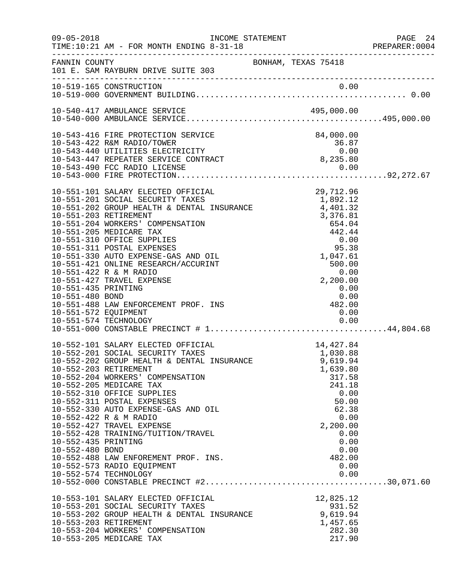| $09 - 05 - 2018$     | TIME:10:21 AM - FOR MONTH ENDING 8-31-18                                                                                                                                |                                                                                                         | PAGE 24<br>PREPARER:0004 |
|----------------------|-------------------------------------------------------------------------------------------------------------------------------------------------------------------------|---------------------------------------------------------------------------------------------------------|--------------------------|
|                      | FANNIN COUNTY COUNTY BONHAM, TEXAS 75418<br>101 E. SAM RAYBURN DRIVE SUITE 303                                                                                          |                                                                                                         |                          |
|                      | 10-519-165 CONSTRUCTION                                                                                                                                                 |                                                                                                         |                          |
|                      |                                                                                                                                                                         |                                                                                                         |                          |
|                      |                                                                                                                                                                         |                                                                                                         |                          |
|                      | 10-543-416 FIRE PROTECTION SERVICE                                                                                                                                      | 84,000.00                                                                                               |                          |
|                      | 10-543-422 R&M RADIO/TOWER                                                                                                                                              | 84,000.00<br>36.87<br>0.00<br>8,235.80                                                                  |                          |
|                      | 10-543-440 UTILITIES ELECTRICITY<br>10-543-447 REPEATER SERVICE CONTRACT<br>10-543-490 FCC DADIG ITST-                                                                  |                                                                                                         |                          |
|                      |                                                                                                                                                                         |                                                                                                         |                          |
|                      |                                                                                                                                                                         |                                                                                                         |                          |
|                      | 10-551-101 SALARY ELECTED OFFICIAL                                                                                                                                      |                                                                                                         |                          |
|                      | 10-551-101 SALARY ELECTED OFFICIAL (10-551-201 SOCIAL SECURITY TAXES 10-551-201 SOCIAL SECURITY TAXES 1.892.12<br>10-551-202 GROUP HEALTH & DENTAL INSURANCE 4,401.32   | 29,712.96                                                                                               |                          |
|                      |                                                                                                                                                                         |                                                                                                         |                          |
|                      | 10-551-203 RETIREMENT                                                                                                                                                   |                                                                                                         |                          |
|                      | 10-551-204 WORKERS' COMPENSATION                                                                                                                                        |                                                                                                         |                          |
|                      | 10-551-205 MEDICARE TAX<br>10-551-310 OFFICE SUPPLIES                                                                                                                   |                                                                                                         |                          |
|                      | 10-551-311 POSTAL EXPENSES                                                                                                                                              |                                                                                                         |                          |
|                      | 10-551-330 AUTO EXPENSE-GAS AND OIL                                                                                                                                     |                                                                                                         |                          |
|                      | 10-551-421 ONLINE RESEARCH/ACCURINT                                                                                                                                     | 4, 401.32<br>3, 376.81<br>654.04<br>442.44<br>0.00<br>95.38<br>1, 047.61<br>500.00<br>2, 200.00<br>0.00 |                          |
|                      | 10-551-422 R & M RADIO                                                                                                                                                  |                                                                                                         |                          |
| 10-551-435 PRINTING  | 10-551-427 TRAVEL EXPENSE                                                                                                                                               | 0.00                                                                                                    |                          |
|                      |                                                                                                                                                                         |                                                                                                         |                          |
|                      | 10-551-480 BOND 0.00<br>10-551-488 LAW ENFORCEMENT PROF. INS 482.00                                                                                                     |                                                                                                         |                          |
| 10-551-572 EQUIPMENT |                                                                                                                                                                         | 0.00                                                                                                    |                          |
|                      |                                                                                                                                                                         |                                                                                                         |                          |
|                      |                                                                                                                                                                         |                                                                                                         |                          |
|                      |                                                                                                                                                                         |                                                                                                         |                          |
|                      | 10-552-101 SALARY ELECTED OFFICIAL 10-552-201 SOCIAL SECURITY TAXES<br>10-552-201 SOCIAL SECURITY TAXES 1,030.88<br>10-552-202 GROUP HEALTH & DENTAL INSURANCE 9,619.94 |                                                                                                         |                          |
|                      |                                                                                                                                                                         |                                                                                                         |                          |
|                      | 10-552-203 RETIREMENT<br>10-552-204 WORKERS' COMPENSATION                                                                                                               | 1,639.80<br>317.58                                                                                      |                          |
|                      | 10-552-205 MEDICARE TAX                                                                                                                                                 | 241.18                                                                                                  |                          |
|                      | 10-552-310 OFFICE SUPPLIES                                                                                                                                              | 0.00                                                                                                    |                          |
|                      | 10-552-311 POSTAL EXPENSES                                                                                                                                              | 50.00                                                                                                   |                          |
|                      | 10-552-330 AUTO EXPENSE-GAS AND OIL<br>10-552-422 R & M RADIO                                                                                                           | 62.38<br>0.00                                                                                           |                          |
|                      | 10-552-427 TRAVEL EXPENSE                                                                                                                                               | 2,200.00                                                                                                |                          |
|                      | 10-552-428 TRAINING/TUITION/TRAVEL                                                                                                                                      | 0.00                                                                                                    |                          |
| 10-552-435 PRINTING  |                                                                                                                                                                         | 0.00                                                                                                    |                          |
| 10-552-480 BOND      |                                                                                                                                                                         | 0.00<br>482.00                                                                                          |                          |
|                      | 10-552-488 LAW ENFOREMENT PROF. INS.<br>10-552-573 RADIO EQUIPMENT                                                                                                      | 0.00                                                                                                    |                          |
|                      | 10-552-574 TECHNOLOGY                                                                                                                                                   | 0.00                                                                                                    |                          |
|                      |                                                                                                                                                                         |                                                                                                         |                          |
|                      | 10-553-101 SALARY ELECTED OFFICIAL                                                                                                                                      |                                                                                                         |                          |
|                      | 10-553-201 SOCIAL SECURITY TAXES                                                                                                                                        | 12,825.12<br>931.52                                                                                     |                          |
|                      | 10-553-202 GROUP HEALTH & DENTAL INSURANCE                                                                                                                              | 9,619.94                                                                                                |                          |
|                      | 10-553-203 RETIREMENT                                                                                                                                                   | 1,457.65                                                                                                |                          |
|                      | 10-553-204 WORKERS' COMPENSATION                                                                                                                                        | 282.30                                                                                                  |                          |
|                      | 10-553-205 MEDICARE TAX                                                                                                                                                 | 217.90                                                                                                  |                          |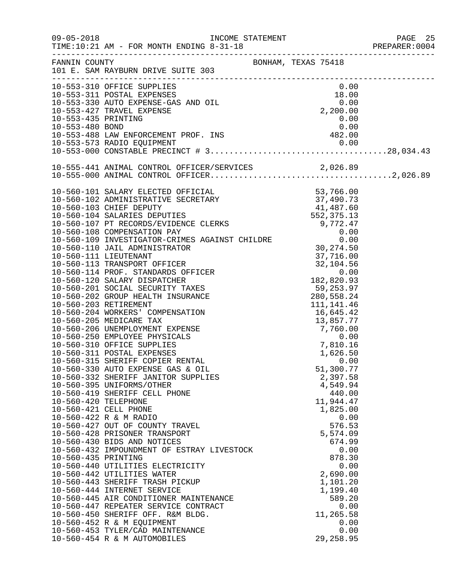| $09 - 05 - 2018$ | INCOME STATEMENT<br>TIME:10:21 AM - FOR MONTH ENDING 8-31-18                                                                    |                  | PAGE 25<br>PREPARER: 0004 |
|------------------|---------------------------------------------------------------------------------------------------------------------------------|------------------|---------------------------|
|                  | FANNIN COUNTY COUNTY BONHAM, TEXAS 75418<br>101 E. SAM RAYBURN DRIVE SUITE 303                                                  |                  |                           |
|                  | 10-553-310 OFFICE SUPPLIES<br>10-553-311 POSTAL EXPENSES<br>10-553-330 AUTO EXPENSE-GAS AND OIL<br>2,200.00<br>2,200.00<br>0.00 |                  |                           |
|                  |                                                                                                                                 |                  |                           |
|                  |                                                                                                                                 |                  |                           |
|                  | 10-553-435 PRINTING                                                                                                             | 0.00             |                           |
|                  |                                                                                                                                 |                  |                           |
|                  |                                                                                                                                 |                  |                           |
|                  |                                                                                                                                 |                  |                           |
|                  |                                                                                                                                 |                  |                           |
|                  |                                                                                                                                 |                  |                           |
|                  |                                                                                                                                 |                  |                           |
|                  |                                                                                                                                 |                  |                           |
|                  |                                                                                                                                 |                  |                           |
|                  |                                                                                                                                 |                  |                           |
|                  |                                                                                                                                 |                  |                           |
|                  |                                                                                                                                 |                  |                           |
|                  |                                                                                                                                 |                  |                           |
|                  |                                                                                                                                 |                  |                           |
|                  |                                                                                                                                 |                  |                           |
|                  |                                                                                                                                 |                  |                           |
|                  |                                                                                                                                 |                  |                           |
|                  |                                                                                                                                 |                  |                           |
|                  |                                                                                                                                 |                  |                           |
|                  |                                                                                                                                 |                  |                           |
|                  |                                                                                                                                 |                  |                           |
|                  |                                                                                                                                 |                  |                           |
|                  |                                                                                                                                 |                  |                           |
|                  |                                                                                                                                 |                  |                           |
|                  |                                                                                                                                 |                  |                           |
|                  |                                                                                                                                 |                  |                           |
|                  |                                                                                                                                 |                  |                           |
|                  | 10-560-330 AUTO EXPENSE GAS & OIL                                                                                               | 51,300.77        |                           |
|                  | 10-560-332 SHERIFF JANITOR SUPPLIES                                                                                             | 2,397.58         |                           |
|                  | 10-560-395 UNIFORMS/OTHER                                                                                                       | 4,549.94         |                           |
|                  | 10-560-419 SHERIFF CELL PHONE                                                                                                   | 440.00           |                           |
|                  | 10-560-420 TELEPHONE<br>10-560-421 CELL PHONE                                                                                   | 11,944.47        |                           |
|                  | 10-560-422 R & M RADIO                                                                                                          | 1,825.00<br>0.00 |                           |
|                  | 10-560-427 OUT OF COUNTY TRAVEL                                                                                                 | 576.53           |                           |
|                  | 10-560-428 PRISONER TRANSPORT                                                                                                   | 5,574.09         |                           |
|                  | 10-560-430 BIDS AND NOTICES                                                                                                     | 674.99           |                           |
|                  | 10-560-432 IMPOUNDMENT OF ESTRAY LIVESTOCK                                                                                      | 0.00             |                           |
|                  | 10-560-435 PRINTING                                                                                                             | 878.30           |                           |
|                  | 10-560-440 UTILITIES ELECTRICITY                                                                                                | 0.00             |                           |
|                  | 10-560-442 UTILITIES WATER                                                                                                      | 2,690.00         |                           |
|                  | 10-560-443 SHERIFF TRASH PICKUP                                                                                                 | 1,101.20         |                           |
|                  | 10-560-444 INTERNET SERVICE<br>10-560-445 AIR CONDITIONER MAINTENANCE                                                           | 1,199.40         |                           |
|                  | 10-560-447 REPEATER SERVICE CONTRACT                                                                                            | 589.20<br>0.00   |                           |
|                  | 10-560-450 SHERIFF OFF. R&M BLDG.                                                                                               | 11,265.58        |                           |
|                  | 10-560-452 R & M EQUIPMENT                                                                                                      | 0.00             |                           |
|                  | 10-560-453 TYLER/CAD MAINTENANCE                                                                                                | 0.00             |                           |
|                  | 10-560-454 R & M AUTOMOBILES                                                                                                    | 29, 258.95       |                           |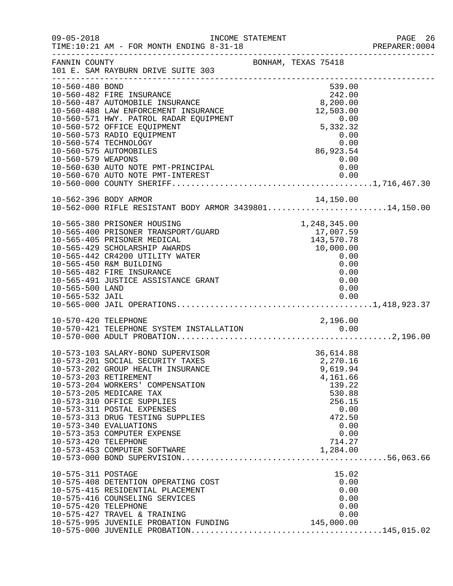| $09 - 05 - 2018$                           | INCOME STATEMENT<br>TIME:10:21 AM - FOR MONTH ENDING 8-31-18<br>______________________________________                                                                                                                                                                                                                                                                                      |                                                                                                                                     | PAGE 26<br>PREPARER: 0004 |
|--------------------------------------------|---------------------------------------------------------------------------------------------------------------------------------------------------------------------------------------------------------------------------------------------------------------------------------------------------------------------------------------------------------------------------------------------|-------------------------------------------------------------------------------------------------------------------------------------|---------------------------|
| FANNIN COUNTY                              | 101 E. SAM RAYBURN DRIVE SUITE 303                                                                                                                                                                                                                                                                                                                                                          | BONHAM, TEXAS 75418                                                                                                                 |                           |
| 10-560-480 BOND                            | 10-560-482 FIRE INSURANCE<br>10-560-487 AUTOMOBILE INSURANCE<br>10-560-487 AUTOMOBILE INSURANCE<br>10-560-488 LAW ENFORCEMENT INSURANCE<br>10-560-571 HWY. PATROL RADAR EQUIPMENT<br>10-560-572 OFFICE EQUIPMENT                                                                                                                                                                            | 539.00<br>$242.00$<br>8,200.00<br>12,503.00<br>$0.00$<br>5, 332.32                                                                  |                           |
| 10-560-579 WEAPONS                         | 10-560-573 RADIO EQUIPMENT<br>10-560-574 TECHNOLOGY<br>10-560-575 AUTOMOBILES                                                                                                                                                                                                                                                                                                               | $0.00$<br>0.00<br>86,923.54<br>$0\,.\,00$                                                                                           |                           |
|                                            |                                                                                                                                                                                                                                                                                                                                                                                             |                                                                                                                                     |                           |
|                                            | 10-562-396 BODY ARMOR<br>10-562-000 RIFLE RESISTANT BODY ARMOR 343980114,150.00                                                                                                                                                                                                                                                                                                             |                                                                                                                                     |                           |
| 10-565-500 LAND                            | 10-562-000 RIFLE<br>10-565-380 PRISONER HOUSING<br>10-565-400 PRISONER TRANSPORT/GUARD<br>17, 007.55<br>17, 007.55<br>17, 007.55<br>17, 007.55<br>17, 007.55<br>17, 007.55<br>17, 007.55<br>18, 570.78<br>19, 000.00<br>0.00<br>0.00<br>0.00<br>10-565-482 FIRE INSURANCE<br>10-565-491 JUSTICE ASSISTANCE GRANT                                                                            | 0.00<br>0.00<br>0.00                                                                                                                |                           |
| 10-570-420 TELEPHONE                       |                                                                                                                                                                                                                                                                                                                                                                                             | 2,196.00                                                                                                                            |                           |
| 10-573-420 TELEPHONE                       | 10-573-103 SALARY-BOND SUPERVISOR<br>10-573-201 SOCIAL SECURITY TAXES<br>10-573-202 GROUP HEALTH INSURANCE<br>10-573-203 RETIREMENT<br>10-573-204 WORKERS' COMPENSATION<br>10-573-205 MEDICARE TAX<br>10-573-310 OFFICE SUPPLIES<br>10-573-311 POSTAL EXPENSES<br>10-573-313 DRUG TESTING SUPPLIES<br>10-573-340 EVALUATIONS<br>10-573-353 COMPUTER EXPENSE<br>10-573-453 COMPUTER SOFTWARE | 36,614.88<br>2,270.16<br>9,619.94<br>4,161.66<br>139.22<br>530.88<br>256.15<br>0.00<br>472.50<br>0.00<br>0.00<br>714.27<br>1,284.00 |                           |
| 10-575-311 POSTAGE<br>10-575-420 TELEPHONE | 10-575-408 DETENTION OPERATING COST<br>10-575-415 RESIDENTIAL PLACEMENT<br>10-575-416 COUNSELING SERVICES<br>10-575-427 TRAVEL & TRAINING<br>10-575-995 JUVENILE PROBATION FUNDING 145,000.00                                                                                                                                                                                               | 15.02<br>0.00<br>0.00<br>0.00<br>0.00<br>0.00                                                                                       |                           |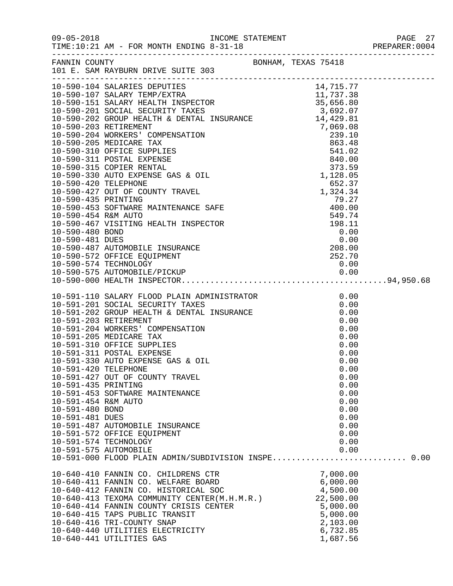|                      |                                                                |              | PAGE 27 |
|----------------------|----------------------------------------------------------------|--------------|---------|
| FANNIN COUNTY        | FANNIN COUNTY<br>101 E. SAM RAYBURN DRIVE SUITE 303            |              |         |
|                      |                                                                |              |         |
|                      |                                                                |              |         |
|                      |                                                                |              |         |
|                      |                                                                |              |         |
|                      |                                                                |              |         |
|                      |                                                                |              |         |
|                      |                                                                |              |         |
|                      |                                                                |              |         |
|                      |                                                                |              |         |
|                      |                                                                |              |         |
|                      |                                                                |              |         |
|                      |                                                                |              |         |
|                      |                                                                |              |         |
|                      |                                                                |              |         |
|                      |                                                                |              |         |
|                      |                                                                |              |         |
|                      |                                                                |              |         |
|                      |                                                                |              |         |
|                      |                                                                |              |         |
|                      |                                                                |              |         |
|                      |                                                                |              |         |
|                      |                                                                |              |         |
|                      |                                                                |              |         |
|                      |                                                                |              |         |
|                      |                                                                |              |         |
|                      |                                                                |              |         |
|                      |                                                                |              |         |
|                      |                                                                |              |         |
|                      |                                                                |              |         |
|                      |                                                                |              |         |
|                      |                                                                |              |         |
|                      |                                                                |              |         |
|                      |                                                                |              |         |
| 10-591-420 TELEPHONE |                                                                | 0.00         |         |
|                      | 10-591-427 OUT OF COUNTY TRAVEL                                | 0.00         |         |
| 10-591-435 PRINTING  |                                                                | 0.00         |         |
|                      | 10-591-453 SOFTWARE MAINTENANCE                                | 0.00         |         |
| 10-591-454 R&M AUTO  |                                                                | 0.00         |         |
| 10-591-480 BOND      |                                                                | 0.00         |         |
| 10-591-481 DUES      |                                                                | 0.00         |         |
|                      | 10-591-487 AUTOMOBILE INSURANCE<br>10-591-572 OFFICE EQUIPMENT | 0.00<br>0.00 |         |
|                      | 10-591-574 TECHNOLOGY                                          | 0.00         |         |
|                      | 10-591-575 AUTOMOBILE                                          | 0.00         |         |
|                      | 10-591-000 FLOOD PLAIN ADMIN/SUBDIVISION INSPE 0.00            |              |         |
|                      |                                                                |              |         |
|                      | 10-640-410 FANNIN CO. CHILDRENS CTR                            | 7,000.00     |         |
|                      | 10-640-411 FANNIN CO. WELFARE BOARD                            | 6,000.00     |         |
|                      | 10-640-412 FANNIN CO. HISTORICAL SOC                           | 4,500.00     |         |
|                      | 10-640-413 TEXOMA COMMUNITY CENTER(M.H.M.R.) 22,500.00         |              |         |
|                      | 10-640-414 FANNIN COUNTY CRISIS CENTER                         | 5,000.00     |         |
|                      | 10-640-415 TAPS PUBLIC TRANSIT                                 | 5,000.00     |         |
|                      | 10-640-416 TRI-COUNTY SNAP                                     | 2,103.00     |         |
|                      | 10-640-440 UTILITIES ELECTRICITY                               | 6,732.85     |         |
|                      | 10-640-441 UTILITIES GAS                                       | 1,687.56     |         |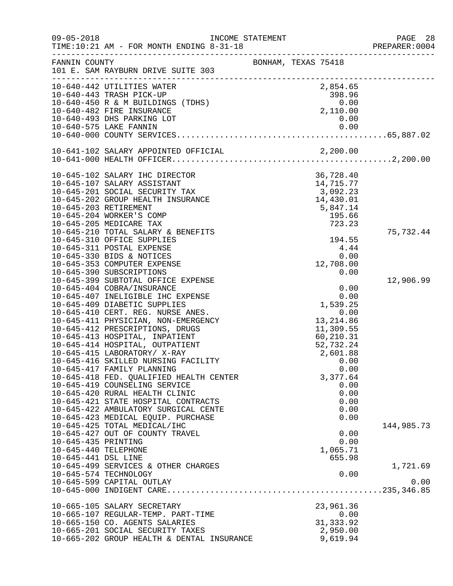| $09 - 05 - 2018$     | INCOME STATEMENT<br>TIME:10:21 AM - FOR MONTH ENDING 8-31-18                   | ----------------------------------- | PAGE 28<br>PREPARER:0004 |
|----------------------|--------------------------------------------------------------------------------|-------------------------------------|--------------------------|
| FANNIN COUNTY        | 101 E. SAM RAYBURN DRIVE SUITE 303                                             | BONHAM, TEXAS 75418                 |                          |
|                      | 10-640-442 UTILITIES WATER                                                     | 2,854.65                            |                          |
|                      | 10-640-443 TRASH PICK-UP                                                       |                                     |                          |
|                      | 10-640-450 R & M BUILDINGS (TDHS)                                              | $398.96$<br>0.00<br>2,110.00        |                          |
|                      | 10-640-482 FIRE INSURANCE                                                      |                                     |                          |
|                      | 10-640-493 DHS PARKING LOT<br>10-640-575 LAKE FANNIN                           | 0.00<br>0.00                        |                          |
|                      |                                                                                |                                     |                          |
|                      |                                                                                |                                     |                          |
|                      |                                                                                |                                     |                          |
|                      |                                                                                |                                     |                          |
|                      | 10-645-102 SALARY IHC DIRECTOR                                                 | 36,728.40                           |                          |
|                      | 10-645-107 SALARY ASSISTANT                                                    | 14,715.77                           |                          |
|                      | 10-645-201 SOCIAL SECURITY TAX                                                 | 3,092.23                            |                          |
|                      | 10-645-202 GROUP HEALTH INSURANCE                                              | 14,430.01                           |                          |
|                      | 10-645-203 RETIREMENT                                                          | 5,847.14                            |                          |
|                      | 10-645-204 WORKER'S COMP                                                       | 195.66                              |                          |
|                      | 10-645-205 MEDICARE TAX                                                        | 723.23                              |                          |
|                      | 10-645-210 TOTAL SALARY & BENEFITS                                             |                                     | 75,732.44                |
|                      | 10-645-310 OFFICE SUPPLIES                                                     | 194.55                              |                          |
|                      | 10-645-311 POSTAL EXPENSE                                                      | 4.44<br>0.00                        |                          |
|                      | 10-645-330 BIDS & NOTICES<br>10-645-353 COMPUTER EXPENSE                       | 12,708.00                           |                          |
|                      | 10-645-390 SUBSCRIPTIONS                                                       | 0.00                                |                          |
|                      | 10-645-399 SUBTOTAL OFFICE EXPENSE                                             |                                     | 12,906.99                |
|                      | 10-645-404 COBRA/INSURANCE                                                     | 0.00                                |                          |
|                      | 10-645-407 INELIGIBLE IHC EXPENSE                                              | 0.00                                |                          |
|                      | 10-645-409 DIABETIC SUPPLIES                                                   | 1,539.25                            |                          |
|                      | 10-645-410 CERT. REG. NURSE ANES.                                              | 0.00                                |                          |
|                      | 10-645-411 PHYSICIAN, NON-EMERGENCY                                            | 13, 214.86                          |                          |
|                      | 10-645-412 PRESCRIPTIONS, DRUGS                                                | 11,309.55                           |                          |
|                      | 10-645-413 HOSPITAL, INPATIENT                                                 | 60,210.31                           |                          |
|                      | 10-645-414 HOSPITAL, OUTPATIENT                                                | 52,732.24                           |                          |
|                      | 10-645-415 LABORATORY/ X-RAY                                                   | 2,601.88                            |                          |
|                      | 10-645-416 SKILLED NURSING FACILITY                                            | 0.00                                |                          |
|                      | 10-645-417 FAMILY PLANNING                                                     | 0.00                                |                          |
|                      | 10-645-418 FED. QUALIFIED HEALTH CENTER                                        | 3,377.64                            |                          |
|                      | 10-645-419 COUNSELING SERVICE                                                  | 0.00                                |                          |
|                      | 10-645-420 RURAL HEALTH CLINIC                                                 | 0.00                                |                          |
|                      | 10-645-421 STATE HOSPITAL CONTRACTS                                            | 0.00                                |                          |
|                      | 10-645-422 AMBULATORY SURGICAL CENTE                                           | 0.00                                |                          |
|                      | 10-645-423 MEDICAL EQUIP. PURCHASE                                             | 0.00                                |                          |
|                      | 10-645-425 TOTAL MEDICAL/IHC<br>10-645-427 OUT OF COUNTY TRAVEL                | 0.00                                | 144,985.73               |
| 10-645-435 PRINTING  |                                                                                | 0.00                                |                          |
| 10-645-440 TELEPHONE |                                                                                | 1,065.71                            |                          |
| 10-645-441 DSL LINE  |                                                                                | 655.98                              |                          |
|                      | 10-645-499 SERVICES & OTHER CHARGES                                            |                                     | 1,721.69                 |
|                      | 10-645-574 TECHNOLOGY                                                          | 0.00                                |                          |
|                      | 10-645-599 CAPITAL OUTLAY                                                      |                                     | 0.00                     |
|                      |                                                                                |                                     |                          |
|                      |                                                                                |                                     |                          |
|                      | 10-665-105 SALARY SECRETARY                                                    | 23,961.36                           |                          |
|                      | 10-665-107 REGULAR-TEMP. PART-TIME                                             | 0.00                                |                          |
|                      | 10-665-150 CO. AGENTS SALARIES                                                 | 31, 333.92                          |                          |
|                      | 10-665-201 SOCIAL SECURITY TAXES<br>10-665-202 GROUP HEALTH & DENTAL INSURANCE | 2,950.00<br>9,619.94                |                          |
|                      |                                                                                |                                     |                          |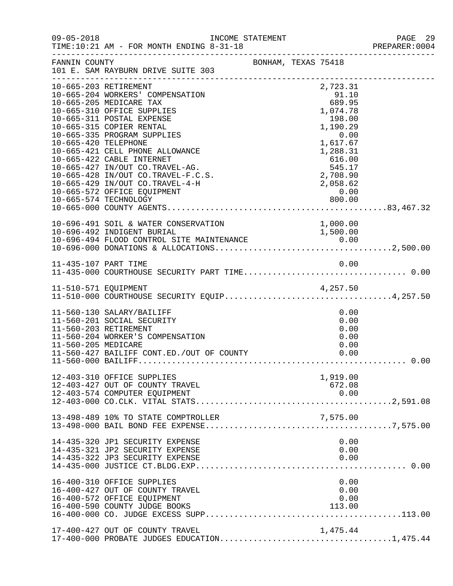| $09 - 05 - 2018$     | INCOME STATEMENT<br>TIME:10:21 AM - FOR MONTH ENDING 8-31-18<br>TIME:10:21 AM - FOR MONTH ENDING 8-31-18 PREPARER:0                                                                                                                                                                                                                                                                                                   |           |                     |                                                                                                                                                                       | PAGE 29<br>PREPARER: 0004 |
|----------------------|-----------------------------------------------------------------------------------------------------------------------------------------------------------------------------------------------------------------------------------------------------------------------------------------------------------------------------------------------------------------------------------------------------------------------|-----------|---------------------|-----------------------------------------------------------------------------------------------------------------------------------------------------------------------|---------------------------|
| FANNIN COUNTY        | 101 E. SAM RAYBURN DRIVE SUITE 303                                                                                                                                                                                                                                                                                                                                                                                    |           | BONHAM, TEXAS 75418 |                                                                                                                                                                       |                           |
| 10-665-420 TELEPHONE | 10-665-203 RETIREMENT<br>10-665-204 WORKERS' COMPENSATION<br>10-665-205 MEDICARE TAX<br>10-665-310 OFFICE SUPPLIES<br>10-665-311 POSTAL EXPENSE<br>10-665-315 COPIER RENTAL<br>10-665-335 PROGRAM SUPPLIES<br>10-665-421 CELL PHONE ALLOWANCE<br>10-665-422 CABLE INTERNET<br>10-665-427 IN/OUT CO.TRAVEL-AG.<br>10-665-428 IN/OUT CO.TRAVEL-F.C.S.<br>10-665-429 IN/OUT CO.TRAVEL-4-H<br>10-665-572 OFFICE EQUIPMENT |           |                     | 2,723.31<br>91.10<br>689.95<br>1,074.78<br>198.00<br>1,190.29<br>0.00<br>1,617.67<br>1,288.31<br>616.00<br>545.17<br>616.00<br>545.17<br>2,708.90<br>2,058.62<br>0.00 |                           |
|                      | 10-696-491 SOIL & WATER CONSERVATION<br>10-696-492 INDIGENT BURIAL                                                                                                                                                                                                                                                                                                                                                    | SERVATION |                     | 1,000.00<br>1,500.00                                                                                                                                                  |                           |
|                      |                                                                                                                                                                                                                                                                                                                                                                                                                       |           |                     |                                                                                                                                                                       |                           |
|                      | 11-510-571 EQUIPMENT<br>11-510-000 COURTHOUSE SECURITY EQUIP4,257.50                                                                                                                                                                                                                                                                                                                                                  |           |                     |                                                                                                                                                                       |                           |
| 11-560-205 MEDICARE  | 11-560-130 SALARY/BAILIFF<br>11-560-201 SOCIAL SECURITY<br>11-560-203 RETIREMENT<br>11-560-204 WORKER'S COMPENSATION<br>11-560-427 BAILIFF CONT.ED./OUT OF COUNTY                                                                                                                                                                                                                                                     |           |                     | 0.00<br>0.00<br>0.00<br>0.00<br>0.00<br>0.00                                                                                                                          |                           |
|                      | 12-403-310 OFFICE SUPPLIES<br>12-403-427 OUT OF COUNTY TRAVEL<br>12-403-574 COMPUTER EQUIPMENT                                                                                                                                                                                                                                                                                                                        |           |                     | 1,919.00<br>672.08                                                                                                                                                    |                           |
|                      | 13-498-489 10% TO STATE COMPTROLLER                                                                                                                                                                                                                                                                                                                                                                                   |           |                     | 7,575.00                                                                                                                                                              |                           |
|                      | 14-435-320 JP1 SECURITY EXPENSE<br>14-435-321 JP2 SECURITY EXPENSE<br>14-435-322 JP3 SECURITY EXPENSE                                                                                                                                                                                                                                                                                                                 |           |                     | 0.00<br>0.00<br>0.00                                                                                                                                                  |                           |
|                      | 16-400-310 OFFICE SUPPLIES<br>16-400-427 OUT OF COUNTY TRAVEL<br>16-400-572 OFFICE EQUIPMENT<br>16-400-590 COUNTY JUDGE BOOKS                                                                                                                                                                                                                                                                                         |           |                     | 0.00<br>0.00<br>0.00<br>113.00                                                                                                                                        |                           |
|                      | 17-400-427 OUT OF COUNTY TRAVEL                                                                                                                                                                                                                                                                                                                                                                                       |           |                     | 1,475.44                                                                                                                                                              |                           |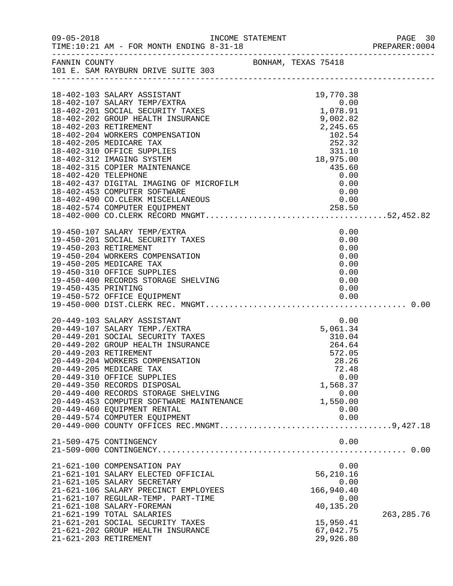| $09 - 05 - 2018$    | INCOME STATEMENT<br>TIME:10:21 AM - FOR MONTH ENDING 8-31-18                                                                                                                                                                                                                                                                                                                                                                                 |                                                                                                                              | PREPARER: 0004 |
|---------------------|----------------------------------------------------------------------------------------------------------------------------------------------------------------------------------------------------------------------------------------------------------------------------------------------------------------------------------------------------------------------------------------------------------------------------------------------|------------------------------------------------------------------------------------------------------------------------------|----------------|
|                     | FANNIN COUNTY BONHAM, TEXAS 75418<br>101 E. SAM RAYBURN DRIVE SUITE 303                                                                                                                                                                                                                                                                                                                                                                      |                                                                                                                              |                |
|                     | 18-402-103 SALARY ASSISTANT<br>18-402-107 SALARY TEMP/EXTRA<br>18-402-201 SOCIAL SECURITY TAXES<br>18-402-202 GROUP HEALTH INSURANCE<br>18-402-453 COMPUTER SOFTWARE<br>18-402-490 CO.CLERK MISCELLANEOUS<br>18-402-574 COMPUTER EOUIPMENT                                                                                                                                                                                                   | $19,770.38$<br>0.00<br>1,078.91<br>0.00                                                                                      |                |
| 19-450-435 PRINTING | 19-450-107 SALARY TEMP/EXTRA<br>19-450-201 SOCIAL SECURITY TAXES<br>19-450-203 RETIREMENT<br>19-450-204 WORKERS COMPENSATION<br>19-450-205 MEDICARE TAX<br>19-450-205 MEDICARE IAA<br>19-450-310 OFFICE SUPPLIES<br>19-450-400 RECORDS STORAGE SHELVING                                                                                                                                                                                      | 0.00<br>0.00<br>0.00<br>0.00<br>0.00<br>0.00<br>0.00<br>0.00                                                                 |                |
|                     | 20-449-103 SALARY ASSISTANT<br>20-449-107 SALARY TEMP./EXTRA<br>20-449-201 SOCIAL SECURITY TAXES<br>20-449-202 GROUP HEALTH INSURANCE<br>20-449-203 RETIREMENT<br>20-449-204 WORKERS COMPENSATION<br>20-449-205 MEDICARE TAX<br>20-449-310 OFFICE SUPPLIES<br>20-449-350 RECORDS DISPOSAL<br>20-449-400 RECORDS STORAGE SHELVING<br>20-449-453 COMPUTER SOFTWARE MAINTENANCE<br>20-449-460 EQUIPMENT RENTAL<br>20-449-574 COMPUTER EQUIPMENT | 0.00<br>5,061.34<br>$310.04$<br>$264.64$<br>572.05<br>28.26<br>72.48<br>0.00<br>1,568.37<br>0.00<br>1,550.00<br>0.00<br>0.00 |                |
|                     | 21-509-475 CONTINGENCY                                                                                                                                                                                                                                                                                                                                                                                                                       | 0.00                                                                                                                         |                |
|                     | 21-621-100 COMPENSATION PAY<br>21-621-101 SALARY ELECTED OFFICIAL<br>21-621-105 SALARY SECRETARY<br>21-621-106 SALARY PRECINCT EMPLOYEES<br>21-621-107 REGULAR-TEMP. PART-TIME<br>21-621-108 SALARY-FOREMAN<br>21-621-199 TOTAL SALARIES<br>21-621-201 SOCIAL SECURITY TAXES<br>21-621-202 GROUP HEALTH INSURANCE<br>21-621-203 RETIREMENT                                                                                                   | 0.00<br>56,210.16<br>0.00<br>166,940.40<br>0.00<br>40,135.20<br>15,950.41<br>67,042.75<br>29,926.80                          | 263, 285.76    |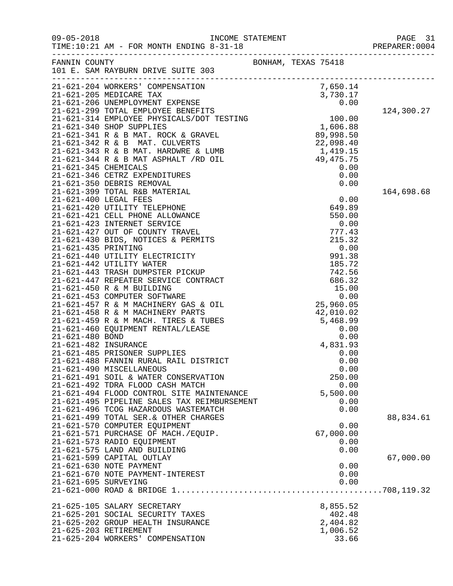| $09 - 05 - 2018$     | TIME:10:21 AM - FOR MONTH ENDING 8-31-18                                            |                     |              | PREPARER: 0004 |
|----------------------|-------------------------------------------------------------------------------------|---------------------|--------------|----------------|
|                      | FANNIN COUNTY<br>101 E. SAM RAYBURN DRIVE SUITE 303                                 | BONHAM, TEXAS 75418 |              |                |
|                      |                                                                                     |                     |              |                |
|                      |                                                                                     |                     |              |                |
|                      |                                                                                     |                     |              |                |
|                      |                                                                                     |                     |              | 124,300.27     |
|                      |                                                                                     |                     |              |                |
|                      |                                                                                     |                     |              |                |
|                      |                                                                                     |                     |              |                |
|                      |                                                                                     |                     |              |                |
|                      |                                                                                     |                     |              |                |
|                      |                                                                                     |                     |              |                |
|                      |                                                                                     |                     |              |                |
|                      |                                                                                     |                     |              |                |
|                      |                                                                                     |                     |              | 164,698.68     |
|                      |                                                                                     |                     |              |                |
|                      |                                                                                     |                     |              |                |
|                      |                                                                                     |                     |              |                |
|                      |                                                                                     |                     |              |                |
|                      |                                                                                     |                     |              |                |
|                      |                                                                                     |                     |              |                |
|                      |                                                                                     |                     |              |                |
|                      |                                                                                     |                     |              |                |
|                      |                                                                                     |                     |              |                |
|                      |                                                                                     |                     |              |                |
|                      |                                                                                     |                     |              |                |
|                      |                                                                                     |                     |              |                |
|                      |                                                                                     |                     |              |                |
|                      |                                                                                     |                     |              |                |
|                      |                                                                                     |                     |              |                |
|                      |                                                                                     |                     |              |                |
|                      |                                                                                     |                     |              |                |
|                      |                                                                                     |                     |              |                |
|                      |                                                                                     |                     |              |                |
|                      | 21-621-490 MISCELLANEOUS                                                            |                     | 0.00         |                |
|                      | 21-621-491 SOIL & WATER CONSERVATION                                                |                     | 250.00       |                |
|                      | 21-621-492 TDRA FLOOD CASH MATCH                                                    |                     | 0.00         |                |
|                      | 21-621-494 FLOOD CONTROL SITE MAINTENANCE                                           |                     | 5,500.00     |                |
|                      | 21-621-495 PIPELINE SALES TAX REIMBURSEMENT<br>21-621-496 TCOG HAZARDOUS WASTEMATCH |                     | 0.00<br>0.00 |                |
|                      | 21-621-499 TOTAL SER. & OTHER CHARGES                                               |                     |              | 88,834.61      |
|                      | 21-621-570 COMPUTER EQUIPMENT                                                       |                     | 0.00         |                |
|                      | 21-621-571 PURCHASE OF MACH./EQUIP.                                                 |                     | 67,000.00    |                |
|                      | 21-621-573 RADIO EQUIPMENT                                                          |                     | 0.00         |                |
|                      | 21-621-575 LAND AND BUILDING                                                        |                     | 0.00         |                |
|                      | 21-621-599 CAPITAL OUTLAY                                                           |                     |              | 67,000.00      |
|                      | 21-621-630 NOTE PAYMENT                                                             |                     | 0.00         |                |
|                      | 21-621-670 NOTE PAYMENT-INTEREST                                                    |                     | 0.00         |                |
| 21-621-695 SURVEYING |                                                                                     |                     | 0.00         |                |
|                      |                                                                                     |                     |              |                |
|                      | 21-625-105 SALARY SECRETARY                                                         |                     | 8,855.52     |                |
|                      | 21-625-201 SOCIAL SECURITY TAXES                                                    |                     | 402.48       |                |
|                      | 21-625-202 GROUP HEALTH INSURANCE                                                   |                     | 2,404.82     |                |
|                      | 21-625-203 RETIREMENT                                                               |                     | 1,006.52     |                |
|                      | 21-625-204 WORKERS' COMPENSATION                                                    |                     | 33.66        |                |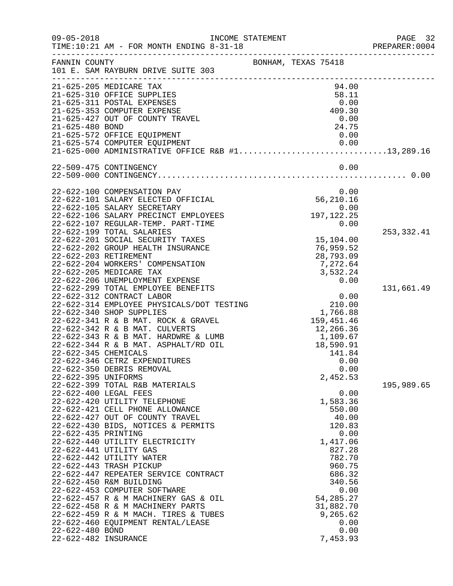| $09 - 05 - 2018$     | INCOME STATEMENT<br>TIME:10:21 AM - FOR MONTH ENDING 8-31-18                              |                          | PAGE 32<br>PREPARER: 0004 |
|----------------------|-------------------------------------------------------------------------------------------|--------------------------|---------------------------|
| FANNIN COUNTY        | 101 E. SAM RAYBURN DRIVE SUITE 303                                                        | BONHAM, TEXAS 75418      |                           |
|                      |                                                                                           |                          |                           |
|                      | 21-625-205 MEDICARE TAX                                                                   | 94.00                    |                           |
|                      | 21-625-310 OFFICE SUPPLIES                                                                | 58.11                    |                           |
|                      | 21-625-311 POSTAL EXPENSES<br>21-625-353 COMPUTER EXPENSE                                 | 0.00<br>409.30           |                           |
|                      | 21-625-427 OUT OF COUNTY TRAVEL                                                           | 0.00                     |                           |
| 21-625-480 BOND      |                                                                                           | 24.75                    |                           |
|                      | 21-625-572 OFFICE EQUIPMENT                                                               | 0.00                     |                           |
|                      | 21-625-574 COMPUTER EQUIPMENT                                                             | 0.00                     |                           |
|                      | 21-625-000 ADMINISTRATIVE OFFICE R&B #113,289.16                                          |                          |                           |
|                      | 22-509-475 CONTINGENCY                                                                    | 0.00                     |                           |
|                      |                                                                                           |                          |                           |
|                      |                                                                                           |                          |                           |
|                      | 22-622-100 COMPENSATION PAY                                                               | 0.00                     |                           |
|                      | 22-622-101 SALARY ELECTED OFFICIAL                                                        | 56,210.16                |                           |
|                      | 22-622-105 SALARY SECRETARY                                                               | 0.00                     |                           |
|                      | 22-622-106 SALARY PRECINCT EMPLOYEES                                                      | 197, 122. 25             |                           |
|                      | 22-622-107 REGULAR-TEMP. PART-TIME<br>22-622-199 TOTAL SALARIES                           | 0.00                     |                           |
|                      | 22-622-201 SOCIAL SECURITY TAXES                                                          | 15,104.00                | 253,332.41                |
|                      | 22-622-202 GROUP HEALTH INSURANCE                                                         | 76,959.52                |                           |
|                      | 22-622-203 RETIREMENT                                                                     | 28,793.09                |                           |
|                      | 22-622-204 WORKERS' COMPENSATION                                                          | 7,272.64                 |                           |
|                      | 22-622-205 MEDICARE TAX                                                                   | 3,532.24                 |                           |
|                      | 22-622-206 UNEMPLOYMENT EXPENSE                                                           | 0.00                     |                           |
|                      | 22-622-299 TOTAL EMPLOYEE BENEFITS                                                        |                          | 131,661.49                |
|                      | 22-622-312 CONTRACT LABOR                                                                 | 0.00                     |                           |
|                      | 0.00 0.00<br>22-622-314 EMPLOYEE PHYSICALS/DOT TESTING 210.00<br>22-622-340 SHOP SUPPLIES |                          |                           |
|                      | 22-622-340 SHOP SUPPLIES                                                                  | 1,766.88                 |                           |
|                      | 22-622-341 R & B MAT. ROCK & GRAVEL<br>22-622-342 R & B MAT. CULVERTS                     | 159,451.46<br>12,266.36  |                           |
|                      | 22-622-343 R & B MAT. HARDWRE & LUMB                                                      |                          |                           |
|                      | 22-622-344 R & B MAT. ASPHALT/RD OIL                                                      | 1,109.67<br>18,590.91    |                           |
| 22-622-345 CHEMICALS |                                                                                           | 141.84                   |                           |
|                      | 22-622-346 CETRZ EXPENDITURES                                                             | 0.00                     |                           |
|                      | 22-622-350 DEBRIS REMOVAL                                                                 | 0.00                     |                           |
| 22-622-395 UNIFORMS  |                                                                                           | 2,452.53                 |                           |
|                      | 22-622-399 TOTAL R&B MATERIALS                                                            |                          | 195,989.65                |
|                      | 22-622-400 LEGAL FEES                                                                     | 0.00                     |                           |
|                      | 22-622-420 UTILITY TELEPHONE                                                              | 1,583.36                 |                           |
|                      | 22-622-421 CELL PHONE ALLOWANCE<br>22-622-427 OUT OF COUNTY TRAVEL                        | 550.00<br>40.00          |                           |
|                      | 22-622-430 BIDS, NOTICES & PERMITS                                                        | 120.83                   |                           |
| 22-622-435 PRINTING  |                                                                                           | 0.00                     |                           |
|                      | 22-622-440 UTILITY ELECTRICITY                                                            | 1,417.06                 |                           |
|                      | 22-622-441 UTILITY GAS                                                                    | 827.28                   |                           |
|                      | 22-622-442 UTILITY WATER                                                                  | 782.70                   |                           |
|                      | 22-622-443 TRASH PICKUP                                                                   | 960.75                   |                           |
|                      | 22-622-447 REPEATER SERVICE CONTRACT                                                      | 686.32                   |                           |
|                      | 22-622-450 R&M BUILDING                                                                   | 340.56                   |                           |
|                      | 22-622-453 COMPUTER SOFTWARE                                                              | 0.00                     |                           |
|                      | 22-622-457 R & M MACHINERY GAS & OIL<br>22-622-458 R & M MACHINERY PARTS                  | 54, 285. 27<br>31,882.70 |                           |
|                      | 22-622-459 R & M MACH. TIRES & TUBES                                                      | 9,265.62                 |                           |
|                      | 22-622-460 EQUIPMENT RENTAL/LEASE                                                         | 0.00                     |                           |
| 22-622-480 BOND      |                                                                                           | 0.00                     |                           |
| 22-622-482 INSURANCE |                                                                                           | 7,453.93                 |                           |
|                      |                                                                                           |                          |                           |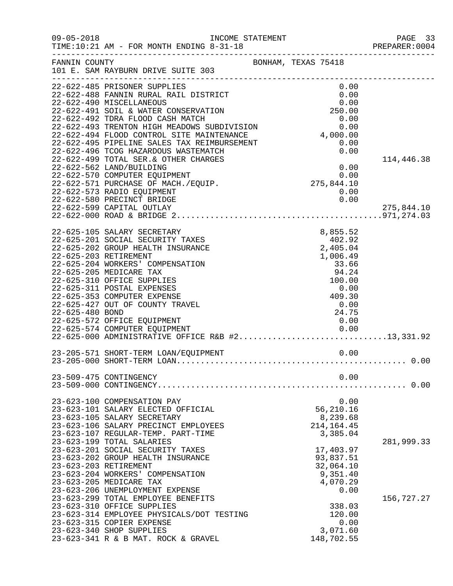| $09 - 05 - 2018$ | TIME:10:21 AM - FOR MONTH ENDING 8-31-18                                                             | INCOME STATEMENT    |                      |                                |              | PAGE 33<br>PREPARER: 0004 |
|------------------|------------------------------------------------------------------------------------------------------|---------------------|----------------------|--------------------------------|--------------|---------------------------|
| FANNIN COUNTY    | 101 E. SAM RAYBURN DRIVE SUITE 303                                                                   | BONHAM, TEXAS 75418 |                      |                                |              |                           |
|                  | 22-622-485 PRISONER SUPPLIES<br>22-622-488 FANNIN RURAL RAIL DISTRICT                                |                     |                      |                                | 0.00<br>0.00 |                           |
|                  | 22-622-490 MISCELLANEOUS<br>22-622-491 SOIL & WATER CONSERVATION<br>22-622-492 TDRA FLOOD CASH MATCH |                     | 250.00               | 0.00                           | 0.00         |                           |
|                  | 22-622-493 TRENTON HIGH MEADOWS SUBDIVISION<br>22-622-494 FLOOD CONTROL SITE MAINTENANCE             | 4,000.00            |                      |                                | 0.00         |                           |
|                  | 22-622-495 PIPELINE SALES TAX REIMBURSEMENT<br>22-622-496 TCOG HAZARDOUS WASTEMATCH                  |                     |                      |                                | 0.00<br>0.00 |                           |
|                  | 22-622-499 TOTAL SER. & OTHER CHARGES<br>22-622-562 LAND/BUILDING<br>22-622-570 COMPUTER EQUIPMENT   |                     |                      |                                | 0.00         | 114,446.38                |
|                  | 22-622-571 PURCHASE OF MACH./EQUIP.<br>22-622-573 RADIO EQUIPMENT                                    |                     | $0.00$<br>275,844.10 |                                | 0.00         |                           |
|                  | 22-622-580 PRECINCT BRIDGE<br>22-622-599 CAPITAL OUTLAY                                              |                     |                      |                                | 0.00         | 275,844.10                |
|                  |                                                                                                      |                     |                      |                                |              |                           |
|                  | 22-625-105 SALARY SECRETARY<br>22-625-201 SOCIAL SECURITY TAXES<br>22-625-202 GROUP HEALTH INSURANCE |                     |                      | 8,855.52<br>402.92<br>2,405.04 |              |                           |
|                  | 22-625-203 RETIREMENT<br>22-625-204 WORKERS' COMPENSATION<br>22-625-205 MEDICARE TAX                 |                     |                      | 1,006.49<br>33.66<br>94.24     |              |                           |
|                  | 22-625-310 OFFICE SUPPLIES<br>22-625-311 POSTAL EXPENSES                                             |                     |                      | 100.00                         | 0.00         |                           |
| 22-625-480 BOND  | 22-625-353 COMPUTER EXPENSE<br>22-625-427 OUT OF COUNTY TRAVEL                                       |                     |                      | 409.30<br>0.00<br>24.75        |              |                           |
|                  | 22-625-572 OFFICE EQUIPMENT<br>22-625-574 COMPUTER EQUIPMENT                                         |                     |                      | 0.00                           | 0.00         |                           |
|                  | $22-625-574$ COMPUTER EQUIPMENT<br>22-625-000 ADMINISTRATIVE OFFICE R&B #213,331.92                  |                     |                      |                                |              |                           |
|                  |                                                                                                      |                     |                      |                                |              |                           |
|                  | 23-509-475 CONTINGENCY                                                                               |                     |                      |                                | 0.00         |                           |
|                  | 23-623-100 COMPENSATION PAY                                                                          |                     |                      |                                | 0.00         |                           |
|                  | 23-623-101 SALARY ELECTED OFFICIAL<br>23-623-105 SALARY SECRETARY                                    |                     |                      | 56,210.16<br>8,239.68          |              |                           |
|                  | 23-623-106 SALARY PRECINCT EMPLOYEES<br>23-623-107 REGULAR-TEMP. PART-TIME                           |                     |                      | 214, 164. 45<br>3,385.04       |              |                           |
|                  | 23-623-199 TOTAL SALARIES<br>23-623-201 SOCIAL SECURITY TAXES<br>23-623-202 GROUP HEALTH INSURANCE   |                     |                      | 17,403.97<br>93,837.51         |              | 281,999.33                |
|                  | 23-623-203 RETIREMENT<br>23-623-204 WORKERS' COMPENSATION                                            |                     |                      | 32,064.10<br>9,351.40          |              |                           |
|                  | 23-623-205 MEDICARE TAX<br>23-623-206 UNEMPLOYMENT EXPENSE                                           |                     |                      | 4,070.29                       | 0.00         |                           |
|                  | 23-623-299 TOTAL EMPLOYEE BENEFITS<br>23-623-310 OFFICE SUPPLIES                                     |                     |                      | 338.03                         |              | 156,727.27                |
|                  | 23-623-314 EMPLOYEE PHYSICALS/DOT TESTING<br>23-623-315 COPIER EXPENSE<br>23-623-340 SHOP SUPPLIES   |                     |                      | 120.00<br>3,071.60             | 0.00         |                           |
|                  | 23-623-341 R & B MAT. ROCK & GRAVEL                                                                  |                     |                      | 148,702.55                     |              |                           |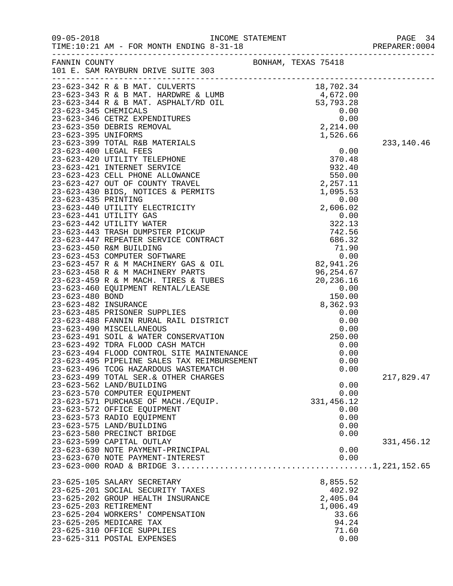|                                                                                                                                                                                                                                            |                     | PAGE 34<br>PREPARER: 0004 |
|--------------------------------------------------------------------------------------------------------------------------------------------------------------------------------------------------------------------------------------------|---------------------|---------------------------|
| FANNIN COUNTY<br>101 E. SAM RAYBURN DRIVE SUITE 303                                                                                                                                                                                        | BONHAM, TEXAS 75418 |                           |
| 101 E. SAM KAIDONA.<br>23-623-342 R & B MAT. CULVERTS<br>23-623-343 R & B MAT. HARDWRE & LUMB<br>23-623-344 R & B MAT. ASPHALT/RD OIL<br>23-623-344 R & B MAT. ASPHALT/RD OIL<br>23-623-346 CETRZ EXPENDITURES<br>23-623-346 CETRZ EXPENDI |                     |                           |
|                                                                                                                                                                                                                                            |                     |                           |
|                                                                                                                                                                                                                                            |                     |                           |
|                                                                                                                                                                                                                                            |                     |                           |
|                                                                                                                                                                                                                                            |                     |                           |
|                                                                                                                                                                                                                                            |                     |                           |
|                                                                                                                                                                                                                                            |                     |                           |
|                                                                                                                                                                                                                                            |                     | 233,140.46                |
|                                                                                                                                                                                                                                            |                     |                           |
|                                                                                                                                                                                                                                            |                     |                           |
|                                                                                                                                                                                                                                            |                     |                           |
|                                                                                                                                                                                                                                            |                     |                           |
|                                                                                                                                                                                                                                            |                     |                           |
|                                                                                                                                                                                                                                            |                     |                           |
|                                                                                                                                                                                                                                            |                     |                           |
|                                                                                                                                                                                                                                            |                     |                           |
|                                                                                                                                                                                                                                            |                     |                           |
|                                                                                                                                                                                                                                            |                     |                           |
|                                                                                                                                                                                                                                            |                     |                           |
|                                                                                                                                                                                                                                            |                     |                           |
|                                                                                                                                                                                                                                            |                     |                           |
|                                                                                                                                                                                                                                            |                     |                           |
|                                                                                                                                                                                                                                            |                     |                           |
|                                                                                                                                                                                                                                            |                     |                           |
|                                                                                                                                                                                                                                            |                     |                           |
|                                                                                                                                                                                                                                            |                     |                           |
|                                                                                                                                                                                                                                            |                     |                           |
|                                                                                                                                                                                                                                            |                     |                           |
|                                                                                                                                                                                                                                            |                     |                           |
|                                                                                                                                                                                                                                            |                     |                           |
| 23-623-491 SOIL & WATER CONSERVATION<br>23-623-492 TDRA FLOOD CASH MATCH<br>23-623-494 FLOOD CONTROL SITE MAINTENANCE<br>23-623-495 PIPELINE SALES TAX REIMBURSEMENT                                                                       | 0.00                |                           |
|                                                                                                                                                                                                                                            | 0.00                |                           |
|                                                                                                                                                                                                                                            | 0.00                |                           |
| 23-623-496 TCOG HAZARDOUS WASTEMATCH                                                                                                                                                                                                       | 0.00                |                           |
| 23-623-499 TOTAL SER. & OTHER CHARGES                                                                                                                                                                                                      |                     | 217,829.47                |
| 23-623-562 LAND/BUILDING                                                                                                                                                                                                                   | 0.00                |                           |
| 23-623-570 COMPUTER EQUIPMENT                                                                                                                                                                                                              | 0.00                |                           |
| 23-623-571 PURCHASE OF MACH./EQUIP.                                                                                                                                                                                                        | 331,456.12          |                           |
| 23-623-572 OFFICE EQUIPMENT                                                                                                                                                                                                                | 0.00                |                           |
| 23-623-573 RADIO EQUIPMENT<br>23-623-575 LAND/BUILDING                                                                                                                                                                                     | 0.00<br>0.00        |                           |
| 23-623-580 PRECINCT BRIDGE                                                                                                                                                                                                                 | 0.00                |                           |
| 23-623-599 CAPITAL OUTLAY                                                                                                                                                                                                                  |                     | 331,456.12                |
| 23-623-630 NOTE PAYMENT-PRINCIPAL                                                                                                                                                                                                          | 0.00                |                           |
| 23-623-670 NOTE PAYMENT-INTEREST                                                                                                                                                                                                           | 0.00                |                           |
|                                                                                                                                                                                                                                            |                     |                           |
| 23-625-105 SALARY SECRETARY                                                                                                                                                                                                                | 8,855.52            |                           |
| 23-625-201 SOCIAL SECURITY TAXES                                                                                                                                                                                                           | 402.92              |                           |
| 23-625-202 GROUP HEALTH INSURANCE                                                                                                                                                                                                          | 2,405.04            |                           |
| 23-625-203 RETIREMENT                                                                                                                                                                                                                      | 1,006.49            |                           |
| 23-625-204 WORKERS' COMPENSATION                                                                                                                                                                                                           | 33.66               |                           |
| 23-625-205 MEDICARE TAX                                                                                                                                                                                                                    | 94.24               |                           |
| 23-625-310 OFFICE SUPPLIES                                                                                                                                                                                                                 | 71.60               |                           |
| 23-625-311 POSTAL EXPENSES                                                                                                                                                                                                                 | 0.00                |                           |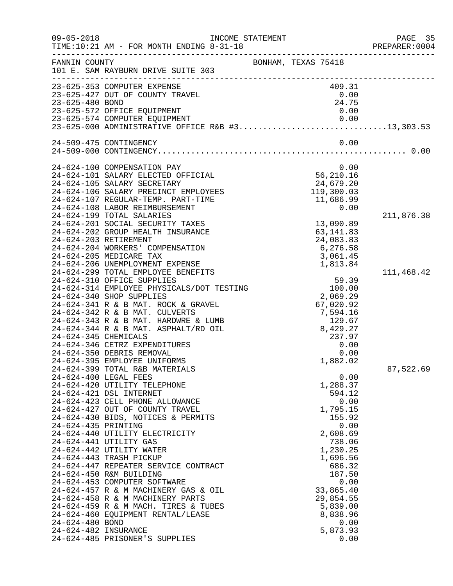| $09 - 05 - 2018$     | TIME:10:21 AM - FOR MONTH ENDING 8-31-18                                   | INCOME STATEMENT    |                                | PAGE 35<br>PREPARER:0004 |
|----------------------|----------------------------------------------------------------------------|---------------------|--------------------------------|--------------------------|
| FANNIN COUNTY        | 101 E. SAM RAYBURN DRIVE SUITE 303                                         | BONHAM, TEXAS 75418 |                                |                          |
|                      | 23-625-353 COMPUTER EXPENSE                                                |                     | 409.31                         |                          |
|                      | 23-625-427 OUT OF COUNTY TRAVEL                                            |                     | 0.00                           |                          |
| 23-625-480 BOND      | 23-625-572 OFFICE EQUIPMENT                                                |                     | 24.75<br>0.00                  |                          |
|                      |                                                                            |                     |                                |                          |
|                      |                                                                            |                     |                                |                          |
|                      | 24-509-475 CONTINGENCY                                                     |                     | 0.00                           |                          |
|                      |                                                                            |                     |                                |                          |
|                      | 24-624-100 COMPENSATION PAY                                                |                     | 0.00                           |                          |
|                      | 24-624-101 SALARY ELECTED OFFICIAL                                         |                     | 56,210.16                      |                          |
|                      | 24-624-105 SALARY SECRETARY                                                |                     | 24,679.20<br>119,300.03        |                          |
|                      | 24-624-106 SALARY PRECINCT EMPLOYEES<br>24-624-107 REGULAR-TEMP. PART-TIME |                     | 11,686.99                      |                          |
|                      | 24-624-108 LABOR REIMBURSEMENT                                             |                     | 0.00                           |                          |
|                      | 24-624-199 TOTAL SALARIES                                                  |                     |                                | 211,876.38               |
|                      | 24-624-201 SOCIAL SECURITY TAXES                                           |                     | 13,090.89                      |                          |
|                      | 24-624-202 GROUP HEALTH INSURANCE                                          |                     | 63, 141.83                     |                          |
|                      | 24-624-203 RETIREMENT                                                      |                     | 24,083.83                      |                          |
|                      | 24-624-204 WORKERS' COMPENSATION                                           |                     | 6, 276.58                      |                          |
|                      | 24-624-205 MEDICARE TAX                                                    |                     | 3,061.45                       |                          |
|                      | 24-624-206 UNEMPLOYMENT EXPENSE                                            |                     | 1,813.84                       |                          |
|                      | 24-624-299 TOTAL EMPLOYEE BENEFITS                                         |                     |                                | 111,468.42               |
|                      | 24-624-310 OFFICE SUPPLIES                                                 |                     | 59.39                          |                          |
|                      | 24-624-314 EMPLOYEE PHYSICALS/DOT TESTING<br>24-624-340 SHOP SUPPLIES      |                     | 100.00                         |                          |
|                      | 24-624-341 R & B MAT. ROCK & GRAVEL                                        |                     | 2,069.29<br>67,020.92          |                          |
|                      | 24-624-342 R & B MAT. CULVERTS                                             |                     |                                |                          |
|                      | 24-624-343 R & B MAT. HARDWRE & LUMB                                       |                     | 7,594.16<br>129.67<br>8,429.27 |                          |
|                      | 24-624-344 R & B MAT. ASPHALT/RD OIL                                       |                     |                                |                          |
| 24-624-345 CHEMICALS |                                                                            |                     | 237.97                         |                          |
|                      | 24-624-346 CETRZ EXPENDITURES                                              |                     | 0.00                           |                          |
|                      | 24-624-350 DEBRIS REMOVAL                                                  |                     | 0.00                           |                          |
|                      | 24-624-395 EMPLOYEE UNIFORMS                                               |                     | 1,882.02                       |                          |
|                      | 24-624-399 TOTAL R&B MATERIALS                                             |                     |                                | 87,522.69                |
|                      | 24-624-400 LEGAL FEES                                                      |                     | 0.00                           |                          |
|                      | 24-624-420 UTILITY TELEPHONE                                               |                     | 1,288.37                       |                          |
|                      | 24-624-421 DSL INTERNET<br>24-624-423 CELL PHONE ALLOWANCE                 |                     | 594.12<br>0.00                 |                          |
|                      | 24-624-427 OUT OF COUNTY TRAVEL                                            |                     | 1,795.15                       |                          |
|                      | 24-624-430 BIDS, NOTICES & PERMITS                                         |                     | 155.92                         |                          |
| 24-624-435 PRINTING  |                                                                            |                     | 0.00                           |                          |
|                      | 24-624-440 UTILITY ELECTRICITY                                             |                     | 2,608.69                       |                          |
|                      | 24-624-441 UTILITY GAS                                                     |                     | 738.06                         |                          |
|                      | 24-624-442 UTILITY WATER                                                   |                     | 1,230.25                       |                          |
|                      | 24-624-443 TRASH PICKUP                                                    |                     | 1,696.56                       |                          |
|                      | 24-624-447 REPEATER SERVICE CONTRACT                                       |                     | 686.32                         |                          |
|                      | 24-624-450 R&M BUILDING                                                    |                     | 187.50                         |                          |
|                      | 24-624-453 COMPUTER SOFTWARE                                               |                     | 0.00                           |                          |
|                      | 24-624-457 R & M MACHINERY GAS & OIL<br>24-624-458 R & M MACHINERY PARTS   |                     | 33,865.40<br>29,854.55         |                          |
|                      | 24-624-459 R & M MACH. TIRES & TUBES                                       |                     | 5,839.00                       |                          |
|                      | 24-624-460 EQUIPMENT RENTAL/LEASE                                          |                     | 8,838.96                       |                          |
| 24-624-480 BOND      |                                                                            |                     | 0.00                           |                          |
| 24-624-482 INSURANCE |                                                                            |                     | 5,873.93                       |                          |
|                      | 24-624-485 PRISONER'S SUPPLIES                                             |                     | 0.00                           |                          |
|                      |                                                                            |                     |                                |                          |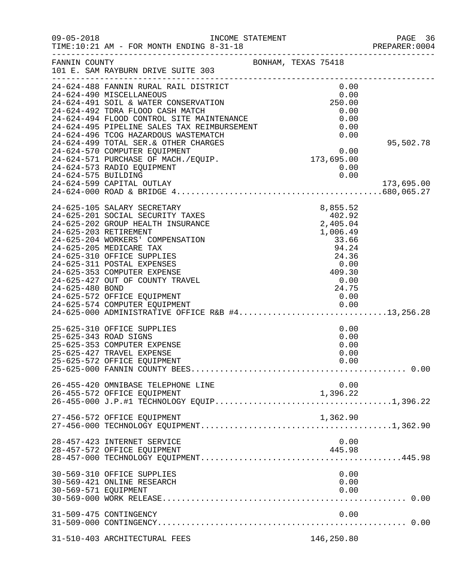| $09 - 05 - 2018$     | INCOME STATEMENT<br>TIME:10:21 AM - FOR MONTH ENDING 8-31-18                                                                                                  |                                                                                                           | 96 PAGE<br>PREPARER:0004 |
|----------------------|---------------------------------------------------------------------------------------------------------------------------------------------------------------|-----------------------------------------------------------------------------------------------------------|--------------------------|
| FANNIN COUNTY        | BONHAM, TEXAS 75418<br>101 E. SAM RAYBURN DRIVE SUITE 303                                                                                                     |                                                                                                           |                          |
|                      | 24-624-488 FANNIN RURAL RAIL DISTRICT 0.00<br>24-624-490 MISCELLANEOUS 0.00<br>24-624-491 SOIL & WATER CONSERVATION 250.00                                    |                                                                                                           |                          |
|                      |                                                                                                                                                               |                                                                                                           |                          |
|                      | 24-624-491 SOIL & WALLA SCORE<br>24-624-492 TDRA FLOOD CASH MATCH<br>24-624-494 FLOOD CONTROL SITE MAINTENANCE<br>24-624-495 PIPELINE SALES TAX REIMBURSEMENT |                                                                                                           |                          |
|                      |                                                                                                                                                               | 0.00<br>0.00                                                                                              |                          |
|                      |                                                                                                                                                               | 0.00                                                                                                      |                          |
|                      |                                                                                                                                                               | 0.00<br>H 0.00<br>S 0.00<br>S 0.00<br>173,695.00                                                          |                          |
|                      | 24-624-499 TOTAL SER. & OTHER CHARGES                                                                                                                         |                                                                                                           | 95,502.78                |
|                      | 24-624-570 COMPUTER EQUIPMENT                                                                                                                                 |                                                                                                           |                          |
|                      | 24-624-571 PURCHASE OF MACH./EQUIP.                                                                                                                           |                                                                                                           |                          |
|                      | 24-624-573 RADIO EQUIPMENT                                                                                                                                    | 0.00                                                                                                      |                          |
| 24-624-575 BUILDING  |                                                                                                                                                               | 0.00                                                                                                      |                          |
|                      | 24-624-599 CAPITAL OUTLAY                                                                                                                                     |                                                                                                           | 173,695.00               |
|                      |                                                                                                                                                               |                                                                                                           |                          |
|                      | 24-625-105 SALARY SECRETARY                                                                                                                                   | $8,855.5.$<br>$402.92$<br>$2,405.04$<br>$1,006.49$<br>$33.66$<br>$94.24$                                  |                          |
|                      | 24-625-201 SOCIAL SECURITY TAXES                                                                                                                              |                                                                                                           |                          |
|                      | 24-625-202 GROUP HEALTH INSURANCE                                                                                                                             |                                                                                                           |                          |
|                      | 24-625-203 RETIREMENT                                                                                                                                         |                                                                                                           |                          |
|                      | 24-625-204 WORKERS' COMPENSATION                                                                                                                              |                                                                                                           |                          |
|                      | 24-625-205 MEDICARE TAX                                                                                                                                       |                                                                                                           |                          |
|                      | 24-625-310 OFFICE SUPPLIES                                                                                                                                    |                                                                                                           |                          |
|                      | 24-625-311 POSTAL EXPENSES                                                                                                                                    |                                                                                                           |                          |
|                      | 24-625-353 COMPUTER EXPENSE                                                                                                                                   |                                                                                                           |                          |
|                      | 24-625-427 OUT OF COUNTY TRAVEL                                                                                                                               |                                                                                                           |                          |
| 24-625-480 BOND      |                                                                                                                                                               | $\begin{array}{r} 33.66 \\  94.24 \\  24.36 \\  0.00 \\  409.30 \\  0.00 \\  0.00 \\  0.00\n \end{array}$ |                          |
|                      | 24-625-572 OFFICE EQUIPMENT                                                                                                                                   | 0.00                                                                                                      |                          |
|                      | 24-625-574 COMPUTER EQUIPMENT 0.00<br>24-625-000 ADMINISTRATIVE OFFICE R&B #413,256.28                                                                        |                                                                                                           |                          |
|                      |                                                                                                                                                               |                                                                                                           |                          |
|                      | 25-625-310 OFFICE SUPPLIES                                                                                                                                    | 0.00                                                                                                      |                          |
|                      | 25-625-343 ROAD SIGNS                                                                                                                                         | 0.00                                                                                                      |                          |
|                      | 25-625-353 COMPUTER EXPENSE                                                                                                                                   | 0.00                                                                                                      |                          |
|                      | 25-625-427 TRAVEL EXPENSE                                                                                                                                     | 0.00                                                                                                      |                          |
|                      | 25-625-572 OFFICE EQUIPMENT                                                                                                                                   | 0.00                                                                                                      |                          |
|                      |                                                                                                                                                               |                                                                                                           |                          |
|                      | 26-455-420 OMNIBASE TELEPHONE LINE                                                                                                                            | 0.00                                                                                                      |                          |
|                      | 26-455-572 OFFICE EQUIPMENT                                                                                                                                   | 1,396.22                                                                                                  |                          |
|                      |                                                                                                                                                               |                                                                                                           |                          |
|                      | 27-456-572 OFFICE EQUIPMENT                                                                                                                                   | 1,362.90                                                                                                  |                          |
|                      |                                                                                                                                                               |                                                                                                           |                          |
|                      | 28-457-423 INTERNET SERVICE                                                                                                                                   | 0.00                                                                                                      |                          |
|                      | 28-457-572 OFFICE EQUIPMENT                                                                                                                                   | 445.98                                                                                                    |                          |
|                      |                                                                                                                                                               |                                                                                                           |                          |
|                      | 30-569-310 OFFICE SUPPLIES                                                                                                                                    | 0.00                                                                                                      |                          |
|                      | 30-569-421 ONLINE RESEARCH                                                                                                                                    | 0.00                                                                                                      |                          |
| 30-569-571 EQUIPMENT |                                                                                                                                                               | 0.00                                                                                                      |                          |
|                      |                                                                                                                                                               |                                                                                                           |                          |
|                      | 31-509-475 CONTINGENCY                                                                                                                                        | 0.00                                                                                                      |                          |
|                      |                                                                                                                                                               |                                                                                                           |                          |
|                      |                                                                                                                                                               |                                                                                                           |                          |
|                      | 31-510-403 ARCHITECTURAL FEES                                                                                                                                 | 146,250.80                                                                                                |                          |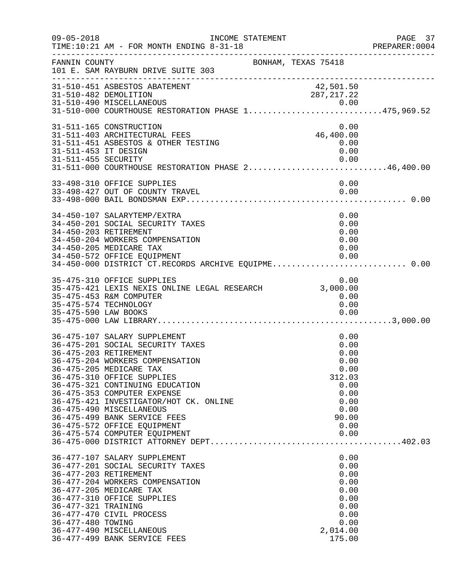| $09 - 05 - 2018$                            | INCOME STATEMENT<br>TIME:10:21 AM - FOR MONTH ENDING 8-31-18                                                                                                                                                                                                                                                                                                                                                                  |                                                                                                         | PAGE 37<br>PREPARER: 0004 |
|---------------------------------------------|-------------------------------------------------------------------------------------------------------------------------------------------------------------------------------------------------------------------------------------------------------------------------------------------------------------------------------------------------------------------------------------------------------------------------------|---------------------------------------------------------------------------------------------------------|---------------------------|
| FANNIN COUNTY                               | BONHAM, TEXAS 75418<br>101 E. SAM RAYBURN DRIVE SUITE 303                                                                                                                                                                                                                                                                                                                                                                     |                                                                                                         |                           |
|                                             | 31-510-451 ASBESTOS ABATEMENT<br>31-510-482 DEMOLITION<br>31-510-490 MISCELLANEOUS 0.00<br>31-510-000 COURTHOUSE RESTORATION PHASE 1475,969.52                                                                                                                                                                                                                                                                                | 42,501.50<br>287, 217.22                                                                                |                           |
| 31-511-453 IT DESIGN<br>31-511-455 SECURITY | 31-511-165 CONSTRUCTION<br>31-511-403 ARCHITECTURAL FEES<br>31-511-451 ASBESTOS & OTHER TESTING<br>31-511-000 COURTHOUSE RESTORATION PHASE 246,400.00                                                                                                                                                                                                                                                                         | 0.00<br>46,400.00<br>0.00<br>0.00<br>0.00                                                               |                           |
|                                             | 33-498-310 OFFICE SUPPLIES<br>33-498-427 OUT OF COUNTY TRAVEL                                                                                                                                                                                                                                                                                                                                                                 | 0.00<br>0.00                                                                                            |                           |
|                                             | 34-450-107 SALARYTEMP/EXTRA<br>34-450-201 SOCIAL SECURITY TAXES<br>34-450-203 RETIREMENT<br>34-450-204 WORKERS COMPENSATION<br>34-450-205 MEDICARE TAX<br>34-450-572 OFFICE EQUIPMENT<br>34-450-000 DISTRICT CT.RECORDS ARCHIVE EQUIPME 0.00                                                                                                                                                                                  | 0.00<br>0.00<br>0.00<br>0.00<br>0.00<br>0.00                                                            |                           |
|                                             | 35-475-310 OFFICE SUPPLIES<br>35-475-421 LEXIS NEXIS ONLINE LEGAL RESEARCH<br>35-475-453 R&M COMPUTER<br>35-475-574 TECHNOLOGY                                                                                                                                                                                                                                                                                                | 0.00<br>3,000.00<br>0.00<br>0.00                                                                        |                           |
|                                             | 36-475-107 SALARY SUPPLEMENT<br>36-475-201 SOCIAL SECURITY TAXES<br>36-475-203 RETIREMENT<br>36-475-204 WORKERS COMPENSATION<br>36-475-205 MEDICARE TAX<br>36-475-310 OFFICE SUPPLIES<br>36-475-321 CONTINUING EDUCATION<br>36-475-353 COMPUTER EXPENSE<br>36-475-421 INVESTIGATOR/HOT CK. ONLINE<br>36-475-490 MISCELLANEOUS<br>36-475-499 BANK SERVICE FEES<br>36-475-572 OFFICE EQUIPMENT<br>36-475-574 COMPUTER EQUIPMENT | 0.00<br>0.00<br>0.00<br>0.00<br>0.00<br>312.03<br>0.00<br>0.00<br>0.00<br>0.00<br>90.00<br>0.00<br>0.00 |                           |
| 36-477-321 TRAINING<br>36-477-480 TOWING    | 36-477-107 SALARY SUPPLEMENT<br>36-477-201 SOCIAL SECURITY TAXES<br>36-477-203 RETIREMENT<br>36-477-204 WORKERS COMPENSATION<br>36-477-205 MEDICARE TAX<br>36-477-310 OFFICE SUPPLIES<br>36-477-470 CIVIL PROCESS<br>36-477-490 MISCELLANEOUS<br>36-477-499 BANK SERVICE FEES                                                                                                                                                 | 0.00<br>0.00<br>0.00<br>0.00<br>0.00<br>0.00<br>0.00<br>0.00<br>0.00<br>2,014.00<br>175.00              |                           |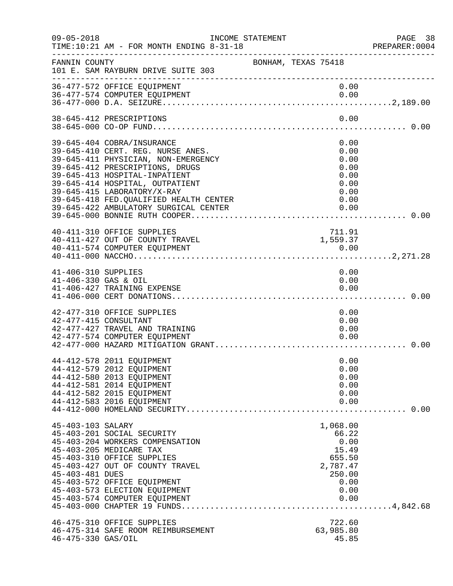| $09 - 05 - 2018$                            | INCOME STATEMENT<br>TIME:10:21 AM - FOR MONTH ENDING 8-31-18                                                                                                                                                                                                                                                                     | PREPARER<br>---------------------------------- |                                                                                            | PAGE 38<br>PREPARER:0004 |
|---------------------------------------------|----------------------------------------------------------------------------------------------------------------------------------------------------------------------------------------------------------------------------------------------------------------------------------------------------------------------------------|------------------------------------------------|--------------------------------------------------------------------------------------------|--------------------------|
| FANNIN COUNTY                               | 101 E. SAM RAYBURN DRIVE SUITE 303                                                                                                                                                                                                                                                                                               | BONHAM, TEXAS 75418                            |                                                                                            |                          |
|                                             | 36-477-572 OFFICE EQUIPMENT<br>36-477-574 COMPUTER EQUIPMENT                                                                                                                                                                                                                                                                     |                                                | 0.00<br>0.00                                                                               |                          |
|                                             | 38-645-412 PRESCRIPTIONS                                                                                                                                                                                                                                                                                                         |                                                | 0.00                                                                                       |                          |
|                                             | 39-645-404 COBRA/INSURANCE<br>39-645-410 CERT. REG. NURSE ANES.<br>39-645-411 PHYSICIAN, NON-EMERGENCY<br>39-645-412 PRESCRIPTIONS, DRUGS<br>39-645-413 HOSPITAL-INPATIENT<br>39-645-414 HOSPITAL, OUTPATIENT<br>39-645-415 LABORATORY/X-RAY<br>39-645-418 FED. QUALIFIED HEALTH CENTER<br>39-645-422 AMBULATORY SURGICAL CENTER |                                                | 0.00<br>0.00<br>0.00<br>0.00<br>0.00<br>0.00<br>0.00<br>0.00<br>0.00                       |                          |
|                                             | 40-411-310 OFFICE SUPPLIES<br>40-411-427 OUT OF COUNTY TRAVEL<br>40-411-574 COMPUTER EOUIPMENT                                                                                                                                                                                                                                   |                                                | 711.91<br>1,559.37<br>0.00                                                                 |                          |
| 41-406-310 SUPPLIES<br>41-406-330 GAS & OIL | 41-406-427 TRAINING EXPENSE                                                                                                                                                                                                                                                                                                      |                                                | 0.00<br>0.00<br>0.00                                                                       |                          |
|                                             | 42-477-310 OFFICE SUPPLIES<br>42-477-415 CONSULTANT<br>42-477-427 TRAVEL AND TRAINING<br>42-477-574 COMPUTER EQUIPMENT                                                                                                                                                                                                           |                                                | 0.00<br>0.00<br>0.00<br>0.00                                                               |                          |
|                                             | 44-412-578 2011 EQUIPMENT<br>44-412-579 2012 EQUIPMENT<br>44-412-580 2013 EQUIPMENT<br>44-412-581 2014 EQUIPMENT<br>44-412-582 2015 EQUIPMENT<br>44-412-583 2016 EQUIPMENT                                                                                                                                                       |                                                | 0.00<br>0.00<br>0.00<br>0.00<br>0.00<br>0.00                                               |                          |
| 45-403-103 SALARY<br>45-403-481 DUES        | 45-403-201 SOCIAL SECURITY<br>45-403-204 WORKERS COMPENSATION<br>45-403-205 MEDICARE TAX<br>45-403-310 OFFICE SUPPLIES<br>45-403-427 OUT OF COUNTY TRAVEL<br>45-403-572 OFFICE EQUIPMENT<br>45-403-573 ELECTION EQUIPMENT<br>45-403-574 COMPUTER EQUIPMENT                                                                       |                                                | 1,068.00<br>66.22<br>0.00<br>15.49<br>655.50<br>2,787.47<br>250.00<br>0.00<br>0.00<br>0.00 |                          |
| 46-475-330 GAS/OIL                          | 46-475-310 OFFICE SUPPLIES<br>46-475-314 SAFE ROOM REIMBURSEMENT                                                                                                                                                                                                                                                                 |                                                | 722.60<br>63,985.80<br>45.85                                                               |                          |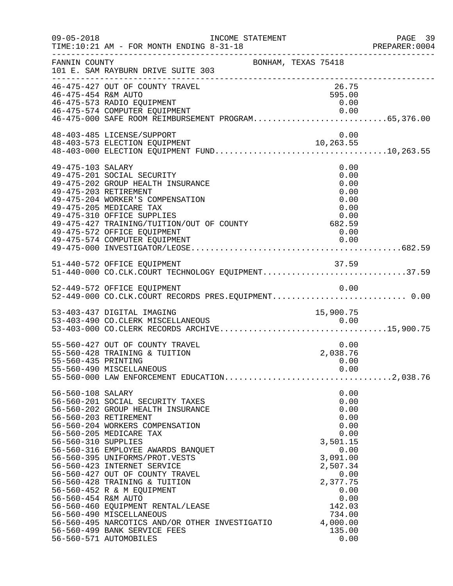| $09 - 05 - 2018$                                                | INCOME STATEMENT<br>TIME:10:21 AM - FOR MONTH ENDING 8-31-18                                                                                                                                                                                                                                                                                                                                                                                                                                                                                       | ______________________________________                                                                                                                                         | PAGE 39<br>PREPARER: 0004 |
|-----------------------------------------------------------------|----------------------------------------------------------------------------------------------------------------------------------------------------------------------------------------------------------------------------------------------------------------------------------------------------------------------------------------------------------------------------------------------------------------------------------------------------------------------------------------------------------------------------------------------------|--------------------------------------------------------------------------------------------------------------------------------------------------------------------------------|---------------------------|
| FANNIN COUNTY                                                   | 101 E. SAM RAYBURN DRIVE SUITE 303                                                                                                                                                                                                                                                                                                                                                                                                                                                                                                                 | BONHAM, TEXAS 75418                                                                                                                                                            |                           |
| 46-475-454 R&M AUTO                                             | 46-475-427 OUT OF COUNTY TRAVEL<br>46-475-573 RADIO EQUIPMENT                                                                                                                                                                                                                                                                                                                                                                                                                                                                                      | 26.75<br>595.00<br>0.00                                                                                                                                                        |                           |
|                                                                 | 48-403-485 LICENSE/SUPPORT                                                                                                                                                                                                                                                                                                                                                                                                                                                                                                                         | 0.00                                                                                                                                                                           |                           |
| 49-475-103 SALARY                                               | 49-475-201 SOCIAL SECURITY<br>49-475-202 GROUP HEALTH INSURANCE<br>49-475-203 RETIREMENT<br>49-475-204 WORKER'S COMPENSATION<br>49-475-205 MEDICARE TAX<br>0.00<br>49-475-427 TRAINING/TUITION/OUT OF COUNTY 682.59<br>49-475-572 OFFICE FOULDMENT<br>49-475-572 OFFICE EQUIPMENT<br>49-475-574 COMPUTER EQUIPMENT                                                                                                                                                                                                                                 | 0.00<br>0.00<br>0.00<br>0.00<br>0.00<br>0.00<br>0.00<br>0.00                                                                                                                   |                           |
|                                                                 | 51-440-572 OFFICE EQUIPMENT<br>51-440-000 CO.CLK.COURT TECHNOLOGY EQUIPMENT37.59                                                                                                                                                                                                                                                                                                                                                                                                                                                                   | 37.59                                                                                                                                                                          |                           |
|                                                                 | 52-449-572 OFFICE EQUIPMENT                                                                                                                                                                                                                                                                                                                                                                                                                                                                                                                        | 0.00                                                                                                                                                                           |                           |
|                                                                 | 53-403-437 DIGITAL IMAGING                                                                                                                                                                                                                                                                                                                                                                                                                                                                                                                         | 15,900.75                                                                                                                                                                      |                           |
| 55-560-435 PRINTING                                             | 55-560-427 OUT OF COUNTY TRAVEL<br>55-560-428 TRAINING & TUITION<br>55-560-490 MISCELLANEOUS                                                                                                                                                                                                                                                                                                                                                                                                                                                       | 0.00<br>2,038.76<br>0.00<br>0.00                                                                                                                                               |                           |
| 56-560-108 SALARY<br>56-560-310 SUPPLIES<br>56-560-454 R&M AUTO | 56-560-201 SOCIAL SECURITY TAXES<br>56-560-202 GROUP HEALTH INSURANCE<br>56-560-203 RETIREMENT<br>56-560-204 WORKERS COMPENSATION<br>56-560-205 MEDICARE TAX<br>56-560-316 EMPLOYEE AWARDS BANQUET<br>56-560-395 UNIFORMS/PROT.VESTS<br>56-560-423 INTERNET SERVICE<br>56-560-427 OUT OF COUNTY TRAVEL<br>56-560-428 TRAINING & TUITION<br>56-560-452 R & M EQUIPMENT<br>56-560-460 EQUIPMENT RENTAL/LEASE<br>56-560-490 MISCELLANEOUS<br>56-560-495 NARCOTICS AND/OR OTHER INVESTIGATIO<br>56-560-499 BANK SERVICE FEES<br>56-560-571 AUTOMOBILES | 0.00<br>0.00<br>0.00<br>0.00<br>0.00<br>0.00<br>3,501.15<br>0.00<br>3,091.00<br>2,507.34<br>0.00<br>2,377.75<br>0.00<br>0.00<br>142.03<br>734.00<br>4,000.00<br>135.00<br>0.00 |                           |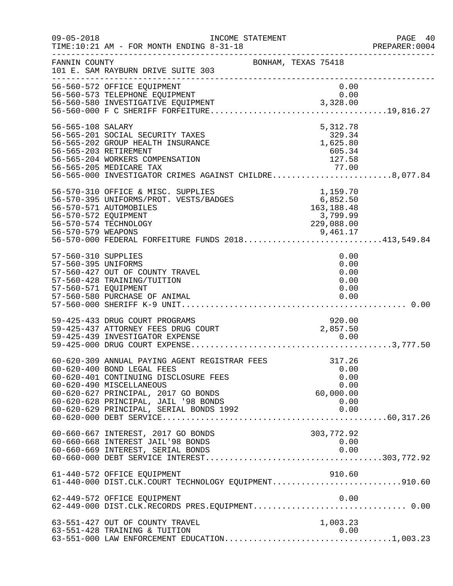| $09 - 05 - 2018$                                                   | INCOME STATEMENT<br>TIME:10:21 AM - FOR MONTH ENDING 8-31-18<br>____________________________________                                                                                                                                                                 |                                |                  |                        |                                      | PAGE 40<br>PREPARER: 0004 |
|--------------------------------------------------------------------|----------------------------------------------------------------------------------------------------------------------------------------------------------------------------------------------------------------------------------------------------------------------|--------------------------------|------------------|------------------------|--------------------------------------|---------------------------|
| FANNIN COUNTY                                                      | BONHAM, TEXAS 75418<br>101 E. SAM RAYBURN DRIVE SUITE 303                                                                                                                                                                                                            |                                |                  |                        |                                      |                           |
|                                                                    | 56-560-572 OFFICE EQUIPMENT<br>90-900-573 TELEPHONE EQUIPMENT<br>56-560-580 INVESTIGATIVE EQUIPMENT<br>56-560-000 F.G. GUIPTEL -                                                                                                                                     |                                |                  | 0.00<br>0.00           |                                      |                           |
| 56-565-108 SALARY                                                  | 56-565-201 SOCIAL SECURITY TAXES<br>56-565-202 GROUP HEALTH INSURANCE<br>56-565-203 RETIREMENT<br>56-565-204 WORKERS COMPENSATION<br>56-565-205 MEDICARE TAX<br>56-565-000 INVESTIGATOR CRIMES AGAINST CHILDRE8,077.84                                               | $329.57$<br>1,625.80<br>605.34 | 127.58           | 5,312.78               |                                      |                           |
| 56-570-572 EQUIPMENT                                               | 56-570-310 OFFICE & MISC. SUPPLIES<br>56-570-310 OFFICE & MISC. SUPPLIES 1,159.70<br>56-570-395 UNIFORMS/PROT. VESTS/BADGES 6,852.50<br>56-570-571 AUTOMOBILES 163,188.48<br>56-570-574 TECHNOLOGY<br>9,461.17<br>56-570-000 FEDERAL FORFEITURE FUNDS 2018413,549.84 |                                |                  | 3,799.99<br>229,088.00 |                                      |                           |
| 57-560-310 SUPPLIES<br>57-560-395 UNIFORMS<br>57-560-571 EQUIPMENT | 57-560-427 OUT OF COUNTY TRAVEL<br>57-560-428 TRAINING/TUITION<br>57-560-580 PURCHASE OF ANIMAL                                                                                                                                                                      |                                |                  | 0.00                   | 0.00<br>0.00<br>0.00<br>0.00<br>0.00 |                           |
|                                                                    | 59-425-433 DRUG COURT PROGRAMS<br>59-425-437 ATTORNEY FEES DRUG COURT<br>59-425-439 INVESTIGATOR EXPENSE                                                                                                                                                             |                                | 2,857.50         | 920.00<br>0.00         |                                      |                           |
|                                                                    | 60-620-309 ANNUAL PAYING AGENT REGISTRAR FEES<br>60-620-400 BOND LEGAL FEES<br>60-620-401 CONTINUING DISCLOSURE FEES<br>60-620-490 MISCELLANEOUS<br>60-620-627 PRINCIPAL, 2017 GO BONDS<br>60-620-628 PRINCIPAL, JAIL '98 BONDS                                      |                                | ں.ں<br>60,000.00 | 317.26<br>0.00         | 0.00<br>0.00<br>0.00                 |                           |
|                                                                    | 60-660-667 INTEREST, 2017 GO BONDS<br>60-660-668 INTEREST JAIL'98 BONDS<br>60-660-669 INTEREST, SERIAL BONDS                                                                                                                                                         |                                | 303,772.92       | 0.00                   | 0.00                                 |                           |
|                                                                    | 61-440-572 OFFICE EQUIPMENT<br>61-440-000 DIST.CLK.COURT TECHNOLOGY EQUIPMENT910.60                                                                                                                                                                                  |                                |                  | 910.60                 |                                      |                           |
|                                                                    | 62-449-572 OFFICE EQUIPMENT                                                                                                                                                                                                                                          |                                |                  |                        | 0.00                                 |                           |
|                                                                    | 63-551-427 OUT OF COUNTY TRAVEL<br>63-551-428 TRAINING & TUITION                                                                                                                                                                                                     |                                |                  | 1,003.23<br>0.00       |                                      |                           |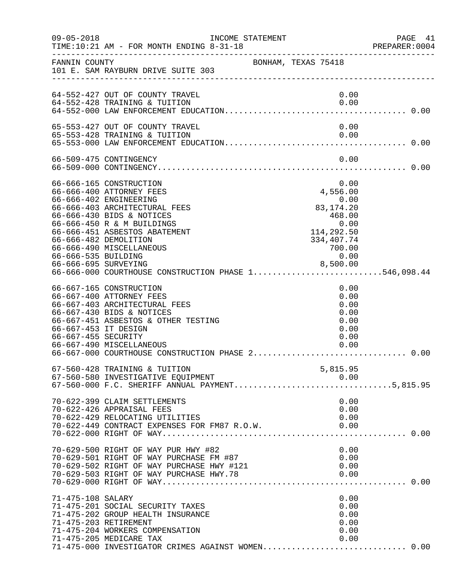| $09 - 05 - 2018$                            | TIME:10:21 AM - FOR MONTH ENDING 8-31-18                                                                                                                                                                                                                                                                                                                             | INCOME STATEMENT    |                                                                                                         | PAGE<br>- 41<br>PREPARER:0004 |
|---------------------------------------------|----------------------------------------------------------------------------------------------------------------------------------------------------------------------------------------------------------------------------------------------------------------------------------------------------------------------------------------------------------------------|---------------------|---------------------------------------------------------------------------------------------------------|-------------------------------|
|                                             | FANNIN COUNTY<br>101 E. SAM RAYBURN DRIVE SUITE 303                                                                                                                                                                                                                                                                                                                  | BONHAM, TEXAS 75418 |                                                                                                         |                               |
|                                             | 64-552-427 OUT OF COUNTY TRAVEL<br>64-552-428 TRAINING & TUITION                                                                                                                                                                                                                                                                                                     |                     | 0.00<br>0.00                                                                                            |                               |
|                                             | 65-553-427 OUT OF COUNTY TRAVEL<br>65-553-428 TRAINING & TUITION                                                                                                                                                                                                                                                                                                     |                     | 0.00<br>0.00                                                                                            |                               |
|                                             | 66-509-475 CONTINGENCY                                                                                                                                                                                                                                                                                                                                               |                     | 0.00                                                                                                    |                               |
| 66-666-535 BUILDING                         | 66-666-165 CONSTRUCTION<br>66-666-400 ATTORNEY FEES<br>66-666-402 ENGINEERING<br>66-666-403 ARCHITECTURAL FEES<br>66-666-430 BIDS & NOTICES<br>66-666-450 R & M BUILDINGS<br>66-666-451 ASBESTOS ABATEMENT<br>66-666-482 DEMOLITION<br>66-666-490 MISCELLANEOUS<br>8,500.00<br>66-666-695 SURVEYING 8,500.00<br>66-666-000 COURTHOUSE CONSTRUCTION PHASE 1546,098.44 |                     | 0.00<br>4,556.00<br>0.00<br>83, 174. 20<br>468.00<br>0.00<br>114,292.50<br>334,407.74<br>700.00<br>0.00 |                               |
| 66-667-453 IT DESIGN<br>66-667-455 SECURITY | 66-667-165 CONSTRUCTION<br>66-667-400 ATTORNEY FEES<br>66-667-403 ARCHITECTURAL FEES<br>66-667-430 BIDS & NOTICES<br>66-667-451 ASBESTOS & OTHER TESTING<br>66-667-490 MISCELLANEOUS<br>66-667-000 COURTHOUSE CONSTRUCTION PHASE 2                                                                                                                                   |                     | 0.00<br>0.00<br>0.00<br>0.00<br>0.00<br>0.00<br>0.00<br>0.00                                            | 0.00                          |
|                                             | 67-560-428 TRAINING & TUITION<br>67-560-580 INVESTIGATIVE EQUIPMENT<br>67-560-580 INVESTIGATIVE EQUIPMENT<br>67-560-000 F.C. SHERIFF ANNUAL PAYMENT5,815.95                                                                                                                                                                                                          |                     | 5,815.95<br>0.00                                                                                        |                               |
|                                             | 70-622-399 CLAIM SETTLEMENTS<br>70-622-426 APPRAISAL FEES<br>70-622-429 RELOCATING UTILITIES<br>70-622-449 CONTRACT EXPENSES FOR FM87 R.O.W.                                                                                                                                                                                                                         |                     | 0.00<br>0.00<br>0.00<br>0.00                                                                            |                               |
|                                             | 70-629-500 RIGHT OF WAY PUR HWY #82                                                                                                                                                                                                                                                                                                                                  |                     | 0.00                                                                                                    |                               |
| 71-475-108 SALARY                           | 71-475-201 SOCIAL SECURITY TAXES<br>71-475-202 GROUP HEALTH INSURANCE<br>71-475-203 RETIREMENT<br>71-475-204 WORKERS COMPENSATION<br>71-475-205 MEDICARE TAX<br>71-475-000 INVESTIGATOR CRIMES AGAINST WOMEN 0.00                                                                                                                                                    |                     | 0.00<br>0.00<br>0.00<br>0.00<br>0.00<br>0.00                                                            |                               |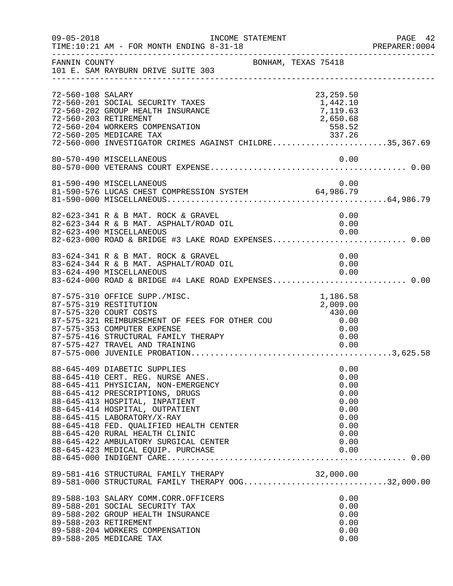| $09 - 05 - 2018$  | INCOME STATEMENT<br>TIME:10:21 AM - FOR MONTH ENDING 8-31-18                                                                                                                                                                                                                                                                 |                                                                      | PAGE 42<br>PREPARER:0004 |
|-------------------|------------------------------------------------------------------------------------------------------------------------------------------------------------------------------------------------------------------------------------------------------------------------------------------------------------------------------|----------------------------------------------------------------------|--------------------------|
| FANNIN COUNTY     | BONHAM, TEXAS 75418<br>101 E. SAM RAYBURN DRIVE SUITE 303                                                                                                                                                                                                                                                                    |                                                                      |                          |
| 72-560-108 SALARY | 72-560-201 SOCIAL SECURITY TAXES<br>72-560-202 GROUP HEALTH INSURANCE<br>72-560-203 RETIREMENT<br>72-560-204 WORKERS COMPENSATION<br>72-560-205 MEDICARE TAX 337.26<br>72-560-000 INVESTIGATOR CRIMES AGAINST CHILDRE35,367.69                                                                                               | 23, 259.50<br>1,442.10<br>7,119.63<br>2,650.68<br>558.52             |                          |
|                   | 80-570-490 MISCELLANEOUS                                                                                                                                                                                                                                                                                                     | 0.00                                                                 |                          |
|                   | 81-590-490 MISCELLANEOUS<br>81-590-576 LUCAS CHEST COMPRESSION SYSTEM 64,986.79                                                                                                                                                                                                                                              | 0.00                                                                 |                          |
|                   | 82-623-341 R & B MAT. ROCK & GRAVEL<br>82-623-344 R & B MAT. ASPHALT/ROAD OIL<br>82-623-490 MISCELLANEOUS<br>82-623-000 ROAD & BRIDGE #3 LAKE ROAD EXPENSES 0.00                                                                                                                                                             | 0.00<br>0.00<br>0.00                                                 |                          |
|                   | 83-624-341 R & B MAT. ROCK & GRAVEL<br>83-624-344 R & B MAT. ASPHALT/ROAD OIL<br>83-624-490 MISCELLANEOUS<br>83-624-000 ROAD & BRIDGE #4 LAKE ROAD EXPENSES 0.00                                                                                                                                                             | 0.00<br>0.00<br>0.00                                                 |                          |
|                   | 87-575-310 OFFICE SUPP./MISC.<br>87-575-319 RESTITUTION<br>87-575-321 REIMBURSEMENT OF FEES FOR OTHER COU 430.00<br>87-575-353 COMPUTER EXPENSE<br>87-575-416 STRUCTURAL FAMILY THERAPY<br>87-575-427 TRAVEL AND TRAINING                                                                                                    | 1,186.58<br>2,009.00<br>0.00<br>0.00                                 |                          |
|                   | 88-645-409 DIABETIC SUPPLIES<br>88-645-410 CERT. REG. NURSE ANES.<br>88-645-411 PHYSICIAN, NON-EMERGENCY<br>88-645-412 PRESCRIPTIONS, DRUGS<br>88-645-413 HOSPITAL, INPATIENT<br>88-645-414 HOSPITAL, OUTPATIENT<br>88-645-415 LABORATORY/X-RAY<br>88-645-418 FED. QUALIFIED HEALTH CENTER<br>88-645-420 RURAL HEALTH CLINIC | 0.00<br>0.00<br>0.00<br>0.00<br>0.00<br>0.00<br>0.00<br>0.00<br>0.00 |                          |
|                   | 89-581-416 STRUCTURAL FAMILY THERAPY 32,000.00<br>89-581-000 STRUCTURAL FAMILY THERAPY OOG32,000.00                                                                                                                                                                                                                          |                                                                      |                          |
|                   | 89-588-103 SALARY COMM.CORR.OFFICERS<br>89-588-201 SOCIAL SECURITY TAX<br>89-588-202 GROUP HEALTH INSURANCE<br>89-588-203 RETIREMENT<br>89-588-204 WORKERS COMPENSATION<br>89-588-205 MEDICARE TAX                                                                                                                           | 0.00<br>0.00<br>0.00<br>0.00<br>0.00<br>0.00                         |                          |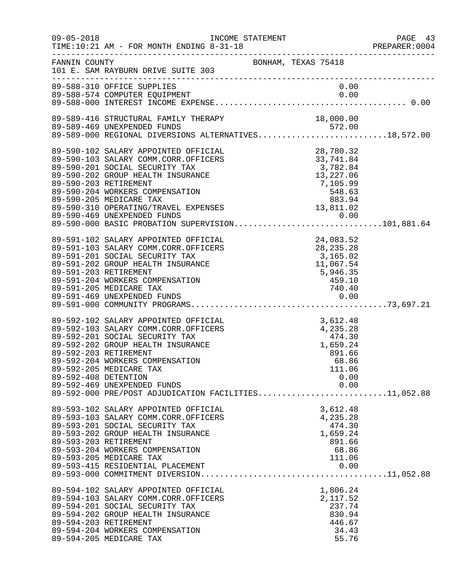| $09 - 05 - 2018$                              | INCOME STATEMENT<br>AM - FOR MONTH ENDING 8-31-18<br>TIME:10:21 AM - FOR MONTH ENDING 8-31-18                                                                                                                                                                                                                                                | ----------------------------------                                                                                     | PAGE 43<br>PREPARER:0004 |
|-----------------------------------------------|----------------------------------------------------------------------------------------------------------------------------------------------------------------------------------------------------------------------------------------------------------------------------------------------------------------------------------------------|------------------------------------------------------------------------------------------------------------------------|--------------------------|
| FANNIN COUNTY                                 | 101 E. SAM RAYBURN DRIVE SUITE 303                                                                                                                                                                                                                                                                                                           | BONHAM, TEXAS 75418                                                                                                    |                          |
|                                               | 89-588-310 OFFICE SUPPLIES                                                                                                                                                                                                                                                                                                                   | 0.00                                                                                                                   |                          |
|                                               | 89-589-416 STRUCTURAL FAMILY THERAPY<br>89-589-469 UNEXPENDED FUNDS<br>89-589-469 UNEXPENDED FUNDS<br>89-589-000 REGIONAL DIVERSIONS ALTERNATIVES18,572.00                                                                                                                                                                                   | 18,000.00                                                                                                              |                          |
| 89-590-203 RETIREMENT                         | 89-590-102 SALARY APPOINTED OFFICIAL<br>89-590-103 SALARY COMM.CORR.OFFICERS<br>89-590-201 SOCIAL SECURITY TAX<br>89-590-202 GROUP HEALTH INSURANCE<br>89-590-204 WORKERS COMPENSATION<br>89-590-205 MEDICARE TAX<br>89-590-310 OPERATING/TRAVEL EXPENSES<br>89-590-469 UNEXPENDED FUNDS<br>89-590-000 BASIC PROBATION SUPERVISION101,881.64 | XL<br>28,780.32<br>33,741.84<br>3,782.84<br>3,782.84<br>13,227.06<br>7,105.99<br>548.63<br>883.94<br>13,811.02<br>0.00 |                          |
| 89-591-203 RETIREMENT                         | 89-591-102 SALARY APPOINTED OFFICIAL<br>89-591-103 SALARY COMM.CORR.OFFICERS<br>89-591-201 SOCIAL SECURITY TAX<br>89-591-202 GROUP HEALTH INSURANCE<br>89-591-204 WORKERS COMPENSATION<br>89-591-205 MEDICARE TAX                                                                                                                            | XIAL<br>XERS 24,083.52<br>28,235.28<br>3,165.02<br>3,165.02<br>11,067.54<br>5,946.35<br>459.10<br>740.40<br>0.00       |                          |
| 89-592-203 RETIREMENT<br>89-592-408 DETENTION | 89-592-102 SALARY APPOINTED OFFICIAL<br>89-592-103 SALARY COMM.CORR.OFFICERS<br>89-592-201 SOCIAL SECURITY TAX<br>89-592-202 GROUP HEALTH INSURANCE<br>89-592-204 WORKERS COMPENSATION<br>89-592-205 MEDICARE TAX<br>89-592-469 UNEXPENDED FUNDS<br>89-592-000 PRE/POST ADJUDICATION FACILITIES11,052.88                                     | 3,612.48<br>.S<br>4,235.28<br>474.30<br>1,659.24<br>891.66<br>68.86<br>111.06<br>0.00<br>0.00                          |                          |
| 89-593-203 RETIREMENT                         | 89-593-102 SALARY APPOINTED OFFICIAL<br>89-593-103 SALARY COMM.CORR.OFFICERS<br>89-593-201 SOCIAL SECURITY TAX<br>89-593-202 GROUP HEALTH INSURANCE<br>89-593-204 WORKERS COMPENSATION<br>89-593-205 MEDICARE TAX<br>89-593-415 RESIDENTIAL PLACEMENT                                                                                        | 3,612.48<br>4,235.28<br>474.30<br>1,659.24<br>891.66<br>68.86<br>111.06<br>0.00                                        |                          |
| 89-594-203 RETIREMENT                         | 89-594-102 SALARY APPOINTED OFFICIAL<br>89-594-103 SALARY COMM.CORR.OFFICERS<br>89-594-201 SOCIAL SECURITY TAX<br>89-594-202 GROUP HEALTH INSURANCE<br>89-594-204 WORKERS COMPENSATION<br>89-594-205 MEDICARE TAX                                                                                                                            | 1,806.24<br>2,117.52<br>237.74<br>830.94<br>446.67<br>34.43<br>55.76                                                   |                          |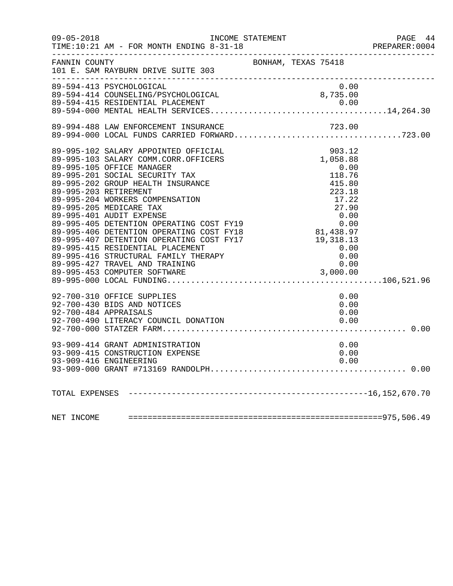|               | INCOME STATEMENT                                                                                    |                        | PAGE 44<br>PREPARER: 0004 |
|---------------|-----------------------------------------------------------------------------------------------------|------------------------|---------------------------|
| FANNIN COUNTY | 101 E. SAM RAYBURN DRIVE SUITE 303                                                                  | BONHAM, TEXAS 75418    |                           |
|               | 89-594-413 PSYCHOLOGICAL                                                                            | 0.00                   |                           |
|               | 89-594-413 PSYCHOLOGICAL<br>89-594-414 COUNSELING/PSYCHOLOGICAL<br>89-594-415 RESIDENTIAL PLACEMENT | 8,735.00               |                           |
|               |                                                                                                     |                        |                           |
|               | 89-994-488 LAW ENFORCEMENT INSURANCE                                                                |                        |                           |
|               | 89-994-488 LAW ENFORCEMENT INSURANCE<br>89-994-000 LOCAL FUNDS CARRIED FORWARD723.00                |                        |                           |
|               |                                                                                                     |                        |                           |
|               | 89-995-102 SALARY APPOINTED OFFICIAL                                                                |                        |                           |
|               | 89-995-103 SALARY COMM.CORR.OFFICERS                                                                | $903.12$<br>$1,058.88$ |                           |
|               | 89-995-105 OFFICE MANAGER                                                                           | $0.00$<br>118 76       |                           |
|               |                                                                                                     |                        |                           |
|               |                                                                                                     |                        |                           |
|               |                                                                                                     |                        |                           |
|               |                                                                                                     |                        |                           |
|               |                                                                                                     |                        |                           |
|               |                                                                                                     |                        |                           |
|               |                                                                                                     |                        |                           |
|               |                                                                                                     |                        |                           |
|               |                                                                                                     |                        |                           |
|               |                                                                                                     |                        |                           |
|               | 89-995-427 TRAVEL AND TRAINING                                                                      | 0.00                   |                           |
|               |                                                                                                     |                        |                           |
|               |                                                                                                     |                        |                           |
|               | 92-700-310 OFFICE SUPPLIES                                                                          | 0.00                   |                           |
|               | 92-700-430 BIDS AND NOTICES                                                                         | 0.00                   |                           |
|               | 92-700-484 APPRAISALS                                                                               | 0.00                   |                           |
|               | 92-700-490 LITERACY COUNCIL DONATION                                                                | 0.00                   |                           |
|               |                                                                                                     |                        |                           |
|               | 93-909-414 GRANT ADMINISTRATION                                                                     | 0.00                   |                           |
|               | 93-909-415 CONSTRUCTION EXPENSE                                                                     | 0.00                   |                           |
|               | 93-909-416 ENGINEERING                                                                              | 0.00                   |                           |
|               |                                                                                                     |                        |                           |
|               |                                                                                                     |                        |                           |
| NET INCOME    |                                                                                                     |                        |                           |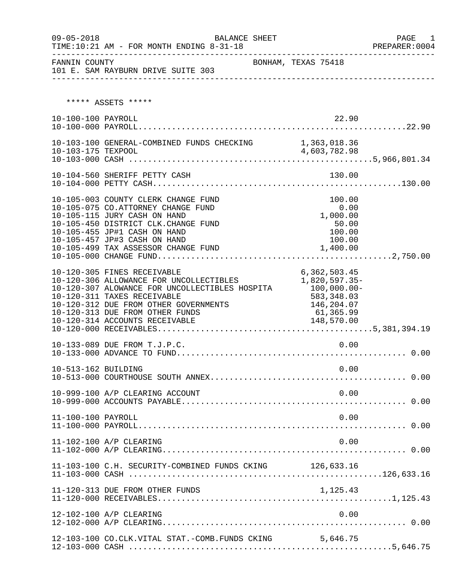| $09 - 05 - 2018$<br>---------- | BALANCE SHEET<br>TIME:10:21 AM - FOR MONTH ENDING 8-31-18<br>_______________________                                                                                                                                                                                                | : PREPARER<br>-------------------------------                            | PAGE<br>1<br>PREPARER: 0004 |
|--------------------------------|-------------------------------------------------------------------------------------------------------------------------------------------------------------------------------------------------------------------------------------------------------------------------------------|--------------------------------------------------------------------------|-----------------------------|
| FANNIN COUNTY                  | 101 E. SAM RAYBURN DRIVE SUITE 303                                                                                                                                                                                                                                                  | BONHAM, TEXAS 75418                                                      |                             |
|                                | ***** ASSETS *****                                                                                                                                                                                                                                                                  |                                                                          |                             |
| 10-100-100 PAYROLL             |                                                                                                                                                                                                                                                                                     | 22.90                                                                    |                             |
|                                | 10-103-100 GENERAL-COMBINED FUNDS CHECKING 1,363,018.36                                                                                                                                                                                                                             |                                                                          |                             |
|                                | 10-104-560 SHERIFF PETTY CASH                                                                                                                                                                                                                                                       | 130.00                                                                   |                             |
|                                | 10-105-003 COUNTY CLERK CHANGE FUND<br>10-105-075 CO.ATTORNEY CHANGE FUND<br>10-105-115 JURY CASH ON HAND<br>10-105-450 DISTRICT CLK.CHANGE FUND<br>10-105-455 JP#1 CASH ON HAND<br>10-105-457 JP#3 CASH ON HAND<br>10-105-499 TAX ASSESSOR CHANGE FUND                             | 100.00<br>0.00<br>1,000.00<br>50.00<br>100.00<br>100.00<br>1,400.00      |                             |
|                                | 10-120-305 FINES RECEIVABLE<br>10-120-306 ALLOWANCE FOR UNCOLLECTIBLES 1,820,597.35-<br>10-120-307 ALOWANCE FOR UNCOLLECTIBLES HOSPITA<br>10-120-311 TAXES RECEIVABLE<br>10-120-312 DUE FROM OTHER GOVERNMENTS<br>10-120-313 DUE FROM OTHER FUNDS<br>10-120-314 ACCOUNTS RECEIVABLE | 6,362,503.45<br>$100,000.00$ -<br>583, 348.03<br>146,204.07<br>61,365.99 |                             |
|                                | 10-133-089 DUE FROM T.J.P.C.                                                                                                                                                                                                                                                        | 0.00                                                                     |                             |
| 10-513-162 BUILDING            |                                                                                                                                                                                                                                                                                     | 0.00                                                                     |                             |
|                                | 10-999-100 A/P CLEARING ACCOUNT                                                                                                                                                                                                                                                     | 0.00                                                                     |                             |
| 11-100-100 PAYROLL             |                                                                                                                                                                                                                                                                                     | 0.00                                                                     |                             |
|                                | 11-102-100 A/P CLEARING                                                                                                                                                                                                                                                             | 0.00                                                                     |                             |
|                                | 11-103-100 C.H. SECURITY-COMBINED FUNDS CKING 126,633.16                                                                                                                                                                                                                            |                                                                          |                             |
|                                | 11-120-313 DUE FROM OTHER FUNDS                                                                                                                                                                                                                                                     | 1,125.43                                                                 |                             |
|                                | 12-102-100 A/P CLEARING                                                                                                                                                                                                                                                             | 0.00                                                                     |                             |
|                                | 12-103-100 CO.CLK.VITAL STAT.-COMB.FUNDS CKING                                                                                                                                                                                                                                      | 5,646.75                                                                 |                             |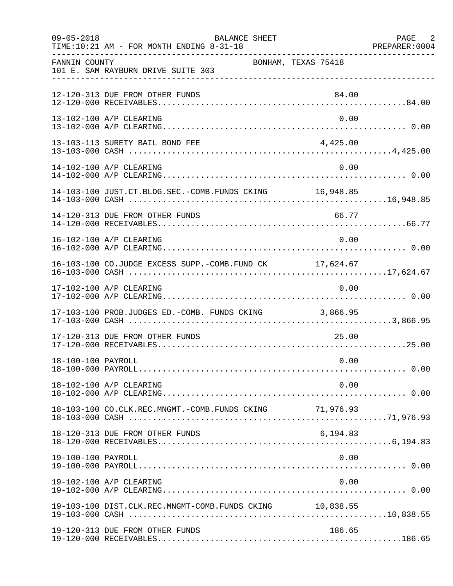| $09 - 05 - 2018$   | BALANCE SHEET<br>TIME:10:21 AM - FOR MONTH ENDING 8-31-18 |          | PAGE 2<br>PREPARER: 0004 |
|--------------------|-----------------------------------------------------------|----------|--------------------------|
| FANNIN COUNTY      | BONHAM, TEXAS 75418<br>101 E. SAM RAYBURN DRIVE SUITE 303 |          |                          |
|                    | 12-120-313 DUE FROM OTHER FUNDS                           | 84.00    |                          |
|                    | 13-102-100 A/P CLEARING                                   | 0.00     |                          |
|                    | 13-103-113 SURETY BAIL BOND FEE                           | 4,425.00 |                          |
|                    | 14-102-100 A/P CLEARING                                   | 0.00     |                          |
|                    | 14-103-100 JUST.CT.BLDG.SEC.-COMB.FUNDS CKING 16,948.85   |          |                          |
|                    | 14-120-313 DUE FROM OTHER FUNDS                           | 66.77    |                          |
|                    | 16-102-100 A/P CLEARING                                   | 0.00     |                          |
|                    | 16-103-100 CO.JUDGE EXCESS SUPP.-COMB.FUND CK 17,624.67   |          |                          |
|                    | 17-102-100 A/P CLEARING                                   | 0.00     |                          |
|                    | 17-103-100 PROB.JUDGES ED.-COMB. FUNDS CKING 3,866.95     |          |                          |
|                    | 17-120-313 DUE FROM OTHER FUNDS                           | 25.00    |                          |
| 18-100-100 PAYROLL |                                                           | 0.00     |                          |
|                    | 18-102-100 A/P CLEARING                                   | 0.00     |                          |
|                    |                                                           |          |                          |
|                    | 18-120-313 DUE FROM OTHER FUNDS                           | 6,194.83 |                          |
| 19-100-100 PAYROLL |                                                           | 0.00     |                          |
|                    | 19-102-100 A/P CLEARING                                   | 0.00     |                          |
|                    | 19-103-100 DIST.CLK.REC.MNGMT-COMB.FUNDS CKING 10,838.55  |          |                          |
|                    | 19-120-313 DUE FROM OTHER FUNDS                           | 186.65   |                          |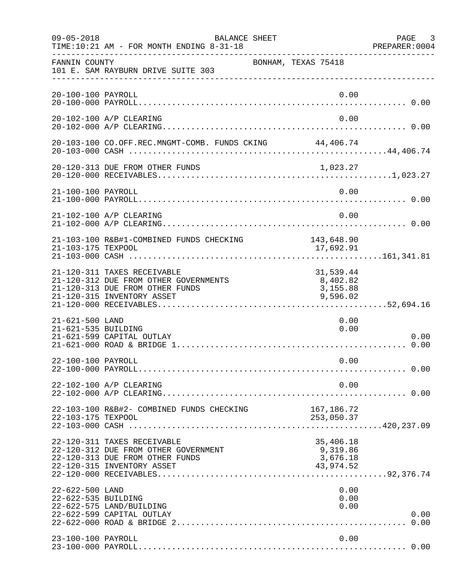| $09 - 05 - 2018$                       | BALANCE SHEET<br>TIME:10:21 AM - FOR MONTH ENDING 8-31-18                                                                             |                                                | PAGE 3<br>PREPARER:0004 |
|----------------------------------------|---------------------------------------------------------------------------------------------------------------------------------------|------------------------------------------------|-------------------------|
| FANNIN COUNTY                          | BONHAM, TEXAS 75418<br>101 E. SAM RAYBURN DRIVE SUITE 303                                                                             |                                                |                         |
| 20-100-100 PAYROLL                     |                                                                                                                                       | 0.00                                           |                         |
|                                        | 20-102-100 A/P CLEARING                                                                                                               | 0.00                                           |                         |
|                                        | 20-103-100 CO.OFF.REC.MNGMT-COMB. FUNDS CKING 44,406.74                                                                               |                                                |                         |
|                                        | 20-120-313 DUE FROM OTHER FUNDS                                                                                                       | 1,023.27                                       |                         |
| 21-100-100 PAYROLL                     |                                                                                                                                       | 0.00                                           |                         |
|                                        | 21-102-100 A/P CLEARING                                                                                                               | 0.00                                           |                         |
| 21-103-175 TEXPOOL                     | 21-103-100 R&B#1-COMBINED FUNDS CHECKING                                                                                              | 143,648.90<br>17,692.91                        |                         |
|                                        | 21-120-311 TAXES RECEIVABLE<br>21-120-312 DUE FROM OTHER GOVERNMENTS<br>21-120-313 DUE FROM OTHER FUNDS<br>21-120-315 INVENTORY ASSET | 31,539.44<br>8,402.82<br>3,155.88<br>9,596.02  |                         |
| 21-621-500 LAND<br>21-621-535 BUILDING | 21-621-599 CAPITAL OUTLAY                                                                                                             | 0.00<br>0.00                                   | 0.00                    |
| 22-100-100 PAYROLL                     |                                                                                                                                       | 0.00                                           |                         |
|                                        | 22-102-100 A/P CLEARING                                                                                                               | 0.00                                           |                         |
| 22-103-175 TEXPOOL                     | 22-103-100 R&B#2- COMBINED FUNDS CHECKING<br>22-103-175 LEXPOOL 22-103-175 LEXPOOL 22-103-175 LEXPOOL 22-103-000 CASH                 | 167,186.72<br>253,050.37                       |                         |
|                                        | 22-120-311 TAXES RECEIVABLE<br>22-120-312 DUE FROM OTHER GOVERNMENT<br>22-120-313 DUE FROM OTHER FUNDS<br>22-120-315 INVENTORY ASSET  | 35,406.18<br>9,319.86<br>3,676.18<br>43,974.52 |                         |
| 22-622-500 LAND<br>22-622-535 BUILDING | 22-622-575 LAND/BUILDING<br>22-622-599 CAPITAL OUTLAY                                                                                 | 0.00<br>0.00<br>0.00                           | 0.00                    |
| 23-100-100 PAYROLL                     |                                                                                                                                       | 0.00                                           |                         |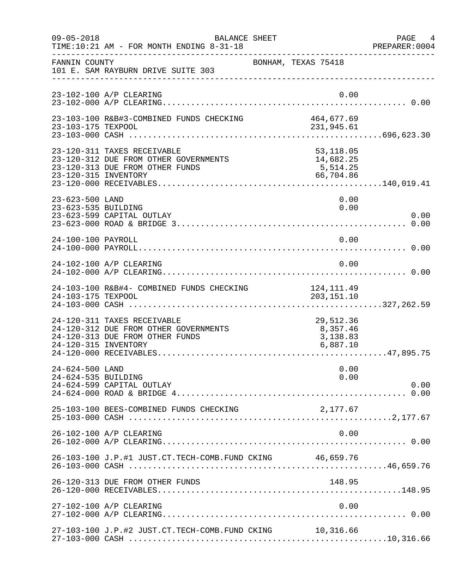| $09 - 05 - 2018$                       | <b>BALANCE SHEET</b><br>TIME:10:21 AM - FOR MONTH ENDING 8-31-18                                        |                                                 | PAGE 4<br>PREPARER:0004 |
|----------------------------------------|---------------------------------------------------------------------------------------------------------|-------------------------------------------------|-------------------------|
| FANNIN COUNTY                          | 101 E. SAM RAYBURN DRIVE SUITE 303                                                                      | BONHAM, TEXAS 75418                             |                         |
|                                        | 23-102-100 A/P CLEARING                                                                                 | 0.00                                            |                         |
| 23-103-175 TEXPOOL                     | 23-103-100 R&B#3-COMBINED FUNDS CHECKING                                                                | 464,677.69<br>231,945.61                        |                         |
| 23-120-315 INVENTORY                   | 23-120-311 TAXES RECEIVABLE<br>23-120-312 DUE FROM OTHER GOVERNMENTS<br>23-120-313 DUE FROM OTHER FUNDS | 53,118.05<br>14,682.25<br>5,514.25<br>66,704.86 |                         |
| 23-623-500 LAND<br>23-623-535 BUILDING | 23-623-599 CAPITAL OUTLAY                                                                               | 0.00<br>0.00                                    | 0.00                    |
| 24-100-100 PAYROLL                     |                                                                                                         | 0.00                                            |                         |
|                                        | 24-102-100 A/P CLEARING                                                                                 | 0.00                                            |                         |
| 24-103-175 TEXPOOL                     | 24-103-100 R&B#4- COMBINED FUNDS CHECKING                                                               | 124, 111.49<br>203, 151. 10                     |                         |
| 24-120-315 INVENTORY                   | 24-120-311 TAXES RECEIVABLE<br>24-120-312 DUE FROM OTHER GOVERNMENTS<br>24-120-313 DUE FROM OTHER FUNDS | 29,512.36<br>8,357.46<br>3,138.83<br>6,887.10   |                         |
| 24-624-500 LAND<br>24-624-535 BUILDING | 24-624-599 CAPITAL OUTLAY                                                                               | 0.00<br>0.00                                    | 0.00                    |
|                                        | 25-103-100 BEES-COMBINED FUNDS CHECKING                                                                 | 2,177.67                                        |                         |
|                                        | 26-102-100 A/P CLEARING                                                                                 | 0.00                                            |                         |
|                                        | 26-103-100 J.P.#1 JUST.CT.TECH-COMB.FUND CKING 46,659.76                                                |                                                 |                         |
|                                        | 26-120-313 DUE FROM OTHER FUNDS                                                                         | 148.95                                          |                         |
|                                        | 27-102-100 A/P CLEARING                                                                                 | 0.00                                            |                         |
|                                        | 27-103-100 J.P.#2 JUST.CT.TECH-COMB.FUND CKING 10,316.66                                                |                                                 |                         |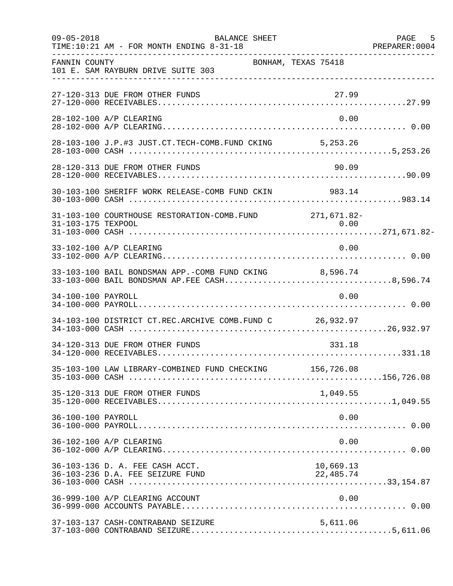| $09 - 05 - 2018$   | BALANCE SHEET<br>TIME:10:21 AM - FOR MONTH ENDING 8-31-18                                              |                     | PAGE 5<br>PREPARER: 0004 |
|--------------------|--------------------------------------------------------------------------------------------------------|---------------------|--------------------------|
| FANNIN COUNTY      | 101 E. SAM RAYBURN DRIVE SUITE 303                                                                     | BONHAM, TEXAS 75418 |                          |
|                    | 27-120-313 DUE FROM OTHER FUNDS                                                                        | 27.99               |                          |
|                    | 28-102-100 A/P CLEARING                                                                                | 0.00                |                          |
|                    | 28-103-100 J.P.#3 JUST.CT.TECH-COMB.FUND CKING 5,253.26                                                |                     |                          |
|                    | 28-120-313 DUE FROM OTHER FUNDS                                                                        | 90.09               |                          |
|                    | 30-103-100 SHERIFF WORK RELEASE-COMB FUND CKIN 983.14                                                  |                     |                          |
|                    | 31-103-100 COURTHOUSE RESTORATION-COMB. FUND 271,671.82-                                               |                     |                          |
|                    | 33-102-100 A/P CLEARING                                                                                | 0.00                |                          |
|                    | 33-103-100 BAIL BONDSMAN APP.-COMB FUND CKING 8,596.74<br>33-103-000 BAIL BONDSMAN AP.FEE CASH8,596.74 |                     |                          |
| 34-100-100 PAYROLL |                                                                                                        | 0.00                |                          |
|                    | 34-103-100 DISTRICT CT.REC.ARCHIVE COMB.FUND C 26,932.97                                               |                     |                          |
|                    | 34-120-313 DUE FROM OTHER FUNDS                                                                        | 331.18              |                          |
|                    | 35-103-100 LAW LIBRARY-COMBINED FUND CHECKING 156,726.08                                               |                     |                          |
|                    | 35-120-313 DUE FROM OTHER FUNDS                                                                        | 1,049.55            |                          |
| 36-100-100 PAYROLL |                                                                                                        | 0.00                |                          |
|                    | 36-102-100 A/P CLEARING                                                                                | 0.00                |                          |
|                    | 36-103-136 D. A. FEE CASH ACCT.                                                                        | 10,669.13           |                          |
|                    | 36-999-100 A/P CLEARING ACCOUNT                                                                        | 0.00                |                          |
|                    | 37-103-137 CASH-CONTRABAND SEIZURE                                                                     | 5,611.06            |                          |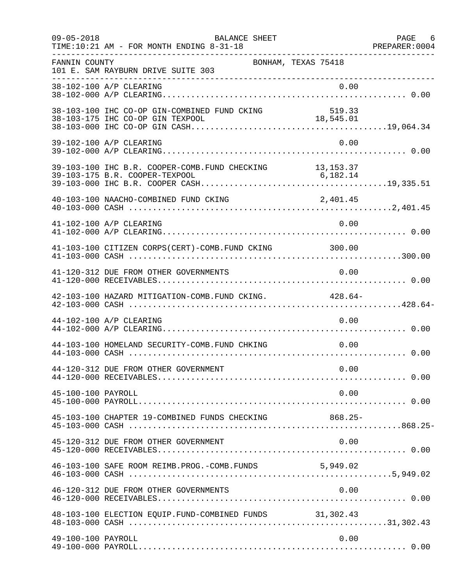| $09 - 05 - 2018$   | BALANCE SHEET<br>TIME:10:21 AM - FOR MONTH ENDING 8-31-18 |                     | PAGE 6<br>PREPARER: 0004 |
|--------------------|-----------------------------------------------------------|---------------------|--------------------------|
| FANNIN COUNTY      | 101 E. SAM RAYBURN DRIVE SUITE 303                        | BONHAM, TEXAS 75418 |                          |
|                    | 38-102-100 A/P CLEARING                                   | 0.00                |                          |
|                    | 38-103-100 IHC CO-OP GIN-COMBINED FUND CKING              | 519.33              |                          |
|                    | 39-102-100 A/P CLEARING                                   | 0.00                |                          |
|                    | 39-103-100 IHC B.R. COOPER-COMB. FUND CHECKING 13, 153.37 |                     |                          |
|                    | 40-103-100 NAACHO-COMBINED FUND CKING                     | 2,401.45            |                          |
|                    | 41-102-100 A/P CLEARING                                   | 0.00                |                          |
|                    | 41-103-100 CITIZEN CORPS(CERT)-COMB. FUND CKING 300.00    |                     |                          |
|                    | 41-120-312 DUE FROM OTHER GOVERNMENTS                     | 0.00                |                          |
|                    | 42-103-100 HAZARD MITIGATION-COMB. FUND CKING. 428.64-    |                     |                          |
|                    | 44-102-100 A/P CLEARING                                   | 0.00                |                          |
|                    | 44-103-100 HOMELAND SECURITY-COMB. FUND CHKING            | 0.00                |                          |
|                    | 44-120-312 DUE FROM OTHER GOVERNMENT                      | 0.00                |                          |
| 45-100-100 PAYROLL |                                                           | 0.00                |                          |
|                    | 45-103-100 CHAPTER 19-COMBINED FUNDS CHECKING 868.25-     |                     |                          |
|                    | 45-120-312 DUE FROM OTHER GOVERNMENT                      | 0.00                |                          |
|                    | 46-103-100 SAFE ROOM REIMB. PROG. - COMB. FUNDS 5, 949.02 |                     |                          |
|                    | 46-120-312 DUE FROM OTHER GOVERNMENTS                     | 0.00                |                          |
|                    | 48-103-100 ELECTION EQUIP. FUND-COMBINED FUNDS 31,302.43  |                     |                          |
| 49-100-100 PAYROLL |                                                           | 0.00                |                          |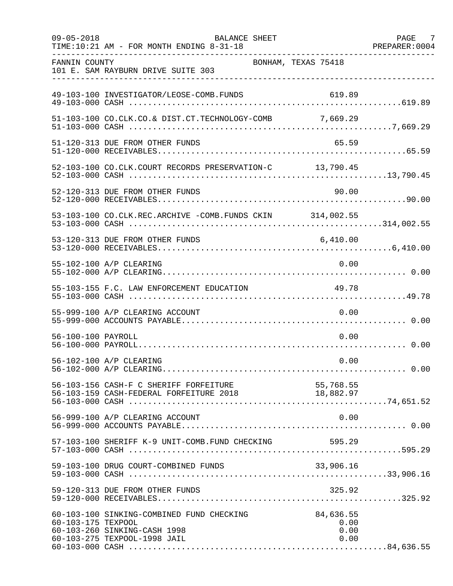| $09 - 05 - 2018$   | BALANCE SHEET<br>TIME:10:21 AM - FOR MONTH ENDING 8-31-18                                                 |                                   | PAGE 7<br>PREPARER: 0004 |
|--------------------|-----------------------------------------------------------------------------------------------------------|-----------------------------------|--------------------------|
| FANNIN COUNTY      | 101 E. SAM RAYBURN DRIVE SUITE 303                                                                        | BONHAM, TEXAS 75418               |                          |
|                    | 49-103-100 INVESTIGATOR/LEOSE-COMB.FUNDS                                                                  | 619.89                            |                          |
|                    | 51-103-100 CO.CLK.CO.& DIST.CT.TECHNOLOGY-COMB 7,669.29                                                   |                                   |                          |
|                    | 51-120-313 DUE FROM OTHER FUNDS                                                                           | 65.59                             |                          |
|                    | 52-103-100 CO.CLK.COURT RECORDS PRESERVATION-C 13,790.45                                                  |                                   |                          |
|                    | 52-120-313 DUE FROM OTHER FUNDS                                                                           | 90.00                             |                          |
|                    | 53-103-100 CO.CLK.REC.ARCHIVE -COMB.FUNDS CKIN 314,002.55                                                 |                                   |                          |
|                    | 53-120-313 DUE FROM OTHER FUNDS                                                                           | 6,410.00                          |                          |
|                    | 55-102-100 A/P CLEARING                                                                                   | 0.00                              |                          |
|                    | 55-103-155 F.C. LAW ENFORCEMENT EDUCATION                                                                 | 49.78                             |                          |
|                    | 55-999-100 A/P CLEARING ACCOUNT                                                                           | 0.00                              |                          |
| 56-100-100 PAYROLL |                                                                                                           | 0.00                              |                          |
|                    | 56-102-100 A/P CLEARING                                                                                   | 0.00                              |                          |
|                    | 56-103-156 CASH-F C SHERIFF FORFEITURE<br>56-103-159 CASH-FEDERAL FORFEITURE 2018 18,882.97               |                                   |                          |
|                    | 56-999-100 A/P CLEARING ACCOUNT                                                                           | 0.00                              |                          |
|                    | 57-103-100 SHERIFF K-9 UNIT-COMB.FUND CHECKING                                                            | 595.29                            |                          |
|                    | 59-103-100 DRUG COURT-COMBINED FUNDS                                                                      | 33,906.16                         |                          |
|                    | 59-120-313 DUE FROM OTHER FUNDS                                                                           | 325.92                            |                          |
| 60-103-175 TEXPOOL | 60-103-100 SINKING-COMBINED FUND CHECKING<br>60-103-260 SINKING-CASH 1998<br>60-103-275 TEXPOOL-1998 JAIL | 84,636.55<br>0.00<br>0.00<br>0.00 |                          |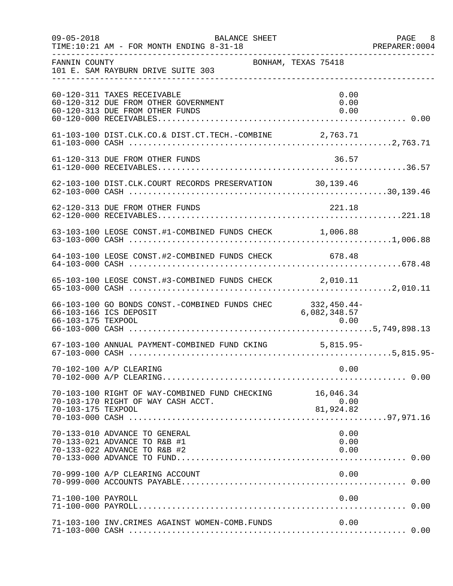| $09 - 05 - 2018$   | BALANCE SHEET<br>TIME:10:21 AM - FOR MONTH ENDING 8-31-18                                              |                             | PAGE 8<br>PREPARER: 0004 |
|--------------------|--------------------------------------------------------------------------------------------------------|-----------------------------|--------------------------|
| FANNIN COUNTY      | 101 E. SAM RAYBURN DRIVE SUITE 303                                                                     | BONHAM, TEXAS 75418         |                          |
|                    | 60-120-311 TAXES RECEIVABLE<br>60-120-312 DUE FROM OTHER GOVERNMENT<br>60-120-313 DUE FROM OTHER FUNDS | 0.00<br>0.00<br>0.00        |                          |
|                    | 61-103-100 DIST.CLK.CO.& DIST.CT.TECH.-COMBINE 2,763.71                                                |                             |                          |
|                    | 61-120-313 DUE FROM OTHER FUNDS                                                                        | 36.57                       |                          |
|                    | 62-103-100 DIST.CLK.COURT RECORDS PRESERVATION 30,139.46                                               |                             |                          |
|                    | 62-120-313 DUE FROM OTHER FUNDS                                                                        | 221.18                      |                          |
|                    | 63-103-100 LEOSE CONST.#1-COMBINED FUNDS CHECK 1,006.88                                                |                             |                          |
|                    | 64-103-100 LEOSE CONST.#2-COMBINED FUNDS CHECK 678.48                                                  |                             |                          |
|                    | 65-103-100 LEOSE CONST.#3-COMBINED FUNDS CHECK 2,010.11                                                |                             |                          |
|                    | 66-103-100 GO BONDS CONST.-COMBINED FUNDS CHEC<br>66-103-166 ICS DEPOSIT                               | 332,450.44-<br>6,082,348.57 |                          |
|                    | 67-103-100 ANNUAL PAYMENT-COMBINED FUND CKING 5,815.95-                                                |                             |                          |
|                    | 70-102-100 A/P CLEARING                                                                                | 0.00                        |                          |
| 70-103-175 TEXPOOL | 70-103-100 RIGHT OF WAY-COMBINED FUND CHECKING 16,046.34<br>70-103-170 RIGHT OF WAY CASH ACCT.         | 0.00<br>81,924.82           |                          |
|                    | 70-133-010 ADVANCE TO GENERAL<br>70-133-021 ADVANCE TO R&B #1<br>70-133-022 ADVANCE TO R&B #2          | 0.00<br>0.00<br>0.00        |                          |
|                    | 70-999-100 A/P CLEARING ACCOUNT                                                                        | 0.00                        |                          |
| 71-100-100 PAYROLL |                                                                                                        | 0.00                        |                          |
|                    | 71-103-100 INV.CRIMES AGAINST WOMEN-COMB.FUNDS                                                         | 0.00                        |                          |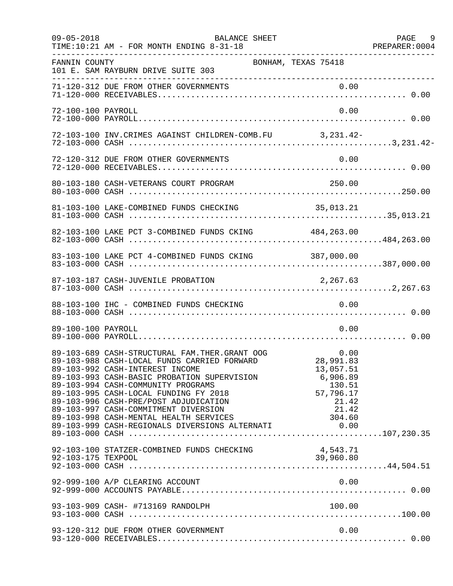| $09 - 05 - 2018$   | BALANCE SHEET<br>TIME:10:21 AM - FOR MONTH ENDING 8-31-18                                                                                                                                                                                                                                                                                                                                |                                                                                               | PAGE 9 |
|--------------------|------------------------------------------------------------------------------------------------------------------------------------------------------------------------------------------------------------------------------------------------------------------------------------------------------------------------------------------------------------------------------------------|-----------------------------------------------------------------------------------------------|--------|
| FANNIN COUNTY      | BONHAM, TEXAS 75418<br>101 E. SAM RAYBURN DRIVE SUITE 303                                                                                                                                                                                                                                                                                                                                |                                                                                               |        |
|                    |                                                                                                                                                                                                                                                                                                                                                                                          |                                                                                               |        |
| 72-100-100 PAYROLL |                                                                                                                                                                                                                                                                                                                                                                                          | 0.00                                                                                          |        |
|                    | 72-103-100 INV. CRIMES AGAINST CHILDREN-COMB. FU 3, 231.42-                                                                                                                                                                                                                                                                                                                              |                                                                                               |        |
|                    | 72-120-312 DUE FROM OTHER GOVERNMENTS                                                                                                                                                                                                                                                                                                                                                    | 0.00                                                                                          |        |
|                    | 80-103-180 CASH-VETERANS COURT PROGRAM                                                                                                                                                                                                                                                                                                                                                   | 250.00                                                                                        |        |
|                    |                                                                                                                                                                                                                                                                                                                                                                                          |                                                                                               |        |
|                    | 82-103-100 LAKE PCT 3-COMBINED FUNDS CKING 484,263.00                                                                                                                                                                                                                                                                                                                                    |                                                                                               |        |
|                    | 83-103-100 LAKE PCT 4-COMBINED FUNDS CKING 387,000.00                                                                                                                                                                                                                                                                                                                                    |                                                                                               |        |
|                    | 87-103-187 CASH-JUVENILE PROBATION                                                                                                                                                                                                                                                                                                                                                       | 2,267.63                                                                                      |        |
|                    | 88-103-100 IHC - COMBINED FUNDS CHECKING                                                                                                                                                                                                                                                                                                                                                 | 0.00                                                                                          |        |
| 89-100-100 PAYROLL |                                                                                                                                                                                                                                                                                                                                                                                          | 0.00                                                                                          |        |
|                    | 89-103-689 CASH-STRUCTURAL FAM.THER.GRANT OOG<br>89-103-988 CASH-LOCAL FUNDS CARRIED FORWARD<br>89-103-992 CASH-INTEREST INCOME<br>89-103-993 CASH-BASIC PROBATION SUPERVISION<br>89-103-994 CASH-COMMUNITY PROGRAMS<br>89-103-995 CASH-LOCAL FUNDING FY 2018<br>89-103-996 CASH-PRE/POST ADJUDICATION<br>89-103-997 CASH-COMMITMENT DIVERSION<br>89-103-998 CASH-MENTAL HEALTH SERVICES | 0.00<br>28,991.83<br>13,057.51<br>6,906.89<br>130.51<br>57,796.17<br>21.42<br>21.42<br>304.60 |        |
|                    | 92-103-100 STATZER-COMBINED FUNDS CHECKING                                                                                                                                                                                                                                                                                                                                               | 4,543.71<br>39,960.80                                                                         |        |
|                    | 92-999-100 A/P CLEARING ACCOUNT                                                                                                                                                                                                                                                                                                                                                          | 0.00                                                                                          |        |
|                    | 93-103-909 CASH- #713169 RANDOLPH                                                                                                                                                                                                                                                                                                                                                        | 100.00                                                                                        |        |
|                    | 93-120-312 DUE FROM OTHER GOVERNMENT                                                                                                                                                                                                                                                                                                                                                     | 0.00                                                                                          |        |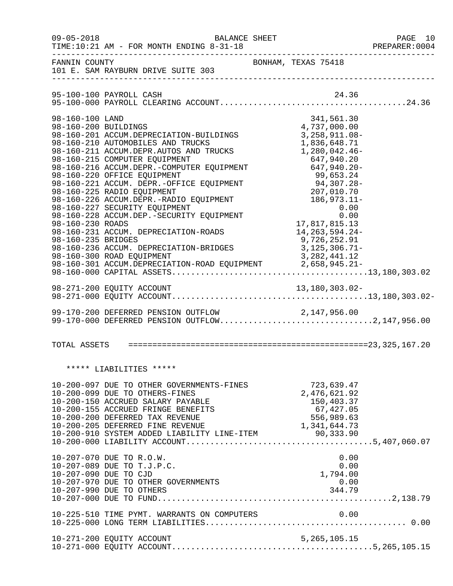| $09 - 05 - 2018$                                                                  | BALANCE SHEET<br>TIME:10:21 AM - FOR MONTH ENDING 8-31-18                                                                                                                                                                                                                                                                                                                                                                                                                                                                                                                                                         |                                                                                                                                                             |                                                                                                      | PAGE 10<br>PREPARER:0004 |
|-----------------------------------------------------------------------------------|-------------------------------------------------------------------------------------------------------------------------------------------------------------------------------------------------------------------------------------------------------------------------------------------------------------------------------------------------------------------------------------------------------------------------------------------------------------------------------------------------------------------------------------------------------------------------------------------------------------------|-------------------------------------------------------------------------------------------------------------------------------------------------------------|------------------------------------------------------------------------------------------------------|--------------------------|
| FANNIN COUNTY                                                                     | 101 E. SAM RAYBURN DRIVE SUITE 303                                                                                                                                                                                                                                                                                                                                                                                                                                                                                                                                                                                | BONHAM, TEXAS 75418                                                                                                                                         |                                                                                                      |                          |
|                                                                                   | 95-100-100 PAYROLL CASH                                                                                                                                                                                                                                                                                                                                                                                                                                                                                                                                                                                           |                                                                                                                                                             | 24.36                                                                                                |                          |
| 98-160-100 LAND<br>98-160-200 BUILDINGS<br>98-160-230 ROADS<br>98-160-235 BRIDGES | 98-160-201 ACCUM.DEPRECIATION-BUILDINGS<br>98-160-210 AUTOMOBILES AND TRUCKS<br>98-160-211 ACCUM.DEPR.AUTOS AND TRUCKS<br>98-160-215 COMPUTER EQUIPMENT<br>98-160-216 ACCUM.DEPR.-COMPUTER EQUIPMENT<br>98-160-220 OFFICE EQUIPMENT<br>98-160-221 ACCUM. DEPR.-OFFICE EQUIPMENT<br>98-160-225 RADIO EQUIPMENT<br>98-160-226 ACCUM.DEPR.-RADIO EQUIPMENT<br>98-160-227 SECURITY EQUIPMENT<br>98-160-228 ACCUM.DEP.-SECURITY EQUIPMENT<br>98-160-231 ACCUM. DEPRECIATION-ROADS<br>98-160-236 ACCUM. DEPRECIATION-BRIDGES<br>98-160-300 ROAD EQUIPMENT<br>98-160-301 ACCUM.DEPRECIATION-ROAD EQUIPMENT 2,658,945.21- | 1,836,648.71<br>1,280,042.46-<br>$94,307.20$<br>$207,010.70$<br>$186,973.11-$<br>$0.00$<br>17,817,815.13<br>14,263,594.24-<br>9,726,252.91<br>3,125,306.71- | 341,561.30<br>4,737,000.00<br>3, 258, 911.08-<br>647,940.20<br>647,940.20-<br>0.00<br>3, 282, 441.12 |                          |
|                                                                                   |                                                                                                                                                                                                                                                                                                                                                                                                                                                                                                                                                                                                                   |                                                                                                                                                             |                                                                                                      |                          |
|                                                                                   | 99-170-200 DEFERRED PENSION OUTFLOW<br>99-170-200 DEFERRED PENSION OUTFLOW 2,147,956.00<br>99-170-000 DEFERRED PENSION OUTFLOW2,147,956.00                                                                                                                                                                                                                                                                                                                                                                                                                                                                        |                                                                                                                                                             |                                                                                                      |                          |
|                                                                                   |                                                                                                                                                                                                                                                                                                                                                                                                                                                                                                                                                                                                                   |                                                                                                                                                             |                                                                                                      |                          |
|                                                                                   | ***** LIABILITIES *****                                                                                                                                                                                                                                                                                                                                                                                                                                                                                                                                                                                           |                                                                                                                                                             |                                                                                                      |                          |
|                                                                                   | 10-200-097 DUE TO OTHER GOVERNMENTS-FINES<br>10-200-099 DUE TO OTHERS-FINES<br>10-200-150 ACCRUED SALARY PAYABLE<br>10-200-155 ACCRUED FRINGE BENEFITS<br>10-200-200 DEFERRED TAX REVENUE                                                                                                                                                                                                                                                                                                                                                                                                                         | 2,476,621.92                                                                                                                                                | 723,639.47<br>150,403.37<br>67,427.05<br>556,989.63                                                  |                          |
|                                                                                   | 10-207-070 DUE TO R.O.W.<br>10-207-089 DUE TO T.J.P.C.<br>10-207-090 DUE TO CJD<br>10-207-970 DUE TO OTHER GOVERNMENTS<br>10-207-990 DUE TO OTHERS                                                                                                                                                                                                                                                                                                                                                                                                                                                                |                                                                                                                                                             | 0.00<br>0.00<br>1,794.00<br>0.00<br>344.79                                                           |                          |
|                                                                                   | 10-225-510 TIME PYMT. WARRANTS ON COMPUTERS                                                                                                                                                                                                                                                                                                                                                                                                                                                                                                                                                                       |                                                                                                                                                             | 0.00                                                                                                 |                          |
|                                                                                   | 10-271-200 EQUITY ACCOUNT                                                                                                                                                                                                                                                                                                                                                                                                                                                                                                                                                                                         |                                                                                                                                                             | 5, 265, 105. 15                                                                                      |                          |
|                                                                                   |                                                                                                                                                                                                                                                                                                                                                                                                                                                                                                                                                                                                                   |                                                                                                                                                             |                                                                                                      |                          |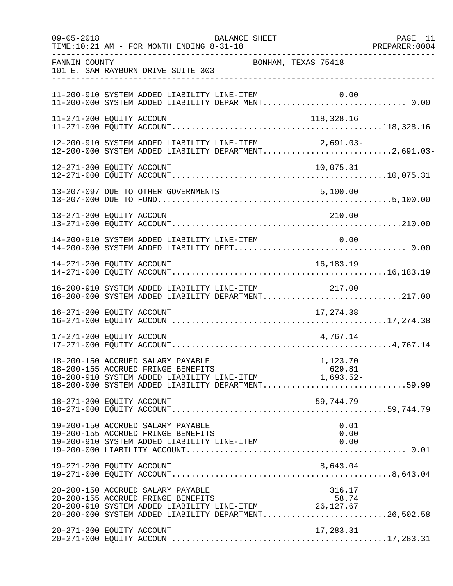| $09 - 05 - 2018$ | BALANCE SHEET<br>TIME:10:21 AM - FOR MONTH ENDING 8-31-18                                                                                                                                                    | PAGE 11 |
|------------------|--------------------------------------------------------------------------------------------------------------------------------------------------------------------------------------------------------------|---------|
| FANNIN COUNTY    | BONHAM, TEXAS 75418<br>101 E. SAM RAYBURN DRIVE SUITE 303                                                                                                                                                    |         |
|                  | 11-200-910 SYSTEM ADDED LIABILITY LINE-ITEM<br>0.00                                                                                                                                                          |         |
|                  | 11-271-200 EQUITY ACCOUNT<br>118,328.16                                                                                                                                                                      |         |
|                  | 12-200-910 SYSTEM ADDED LIABILITY LINE-ITEM 2,691.03-<br>12-200-000 SYSTEM ADDED LIABILITY DEPARTMENT2,691.03-                                                                                               |         |
|                  | 12-271-200 EQUITY ACCOUNT<br>10,075.31                                                                                                                                                                       |         |
|                  |                                                                                                                                                                                                              |         |
|                  | 13-271-200 EQUITY ACCOUNT<br>210.00                                                                                                                                                                          |         |
|                  | 14-200-910 SYSTEM ADDED LIABILITY LINE-ITEM 0.00                                                                                                                                                             |         |
|                  | 14-271-200 EQUITY ACCOUNT<br>16,183.19                                                                                                                                                                       |         |
|                  | 16-200-910 SYSTEM ADDED LIABILITY LINE-ITEM 217.00<br>16-200-000 SYSTEM ADDED LIABILITY DEPARTMENT217.00                                                                                                     |         |
|                  |                                                                                                                                                                                                              |         |
|                  | 4,767.14<br>17-271-200 EQUITY ACCOUNT                                                                                                                                                                        |         |
|                  | 18-200-150 ACCRUED SALARY PAYABLE<br>1,123.70<br>18-200-155 ACCRUED FRINGE BENEFITS<br>629.81<br>18-200-910 SYSTEM ADDED LIABILITY LINE-ITEM 1,693.52-<br>18-200-000 SYSTEM ADDED LIABILITY DEPARTMENT59.99  |         |
|                  | 18-271-200 EQUITY ACCOUNT<br>59,744.79                                                                                                                                                                       |         |
|                  | 19-200-150 ACCRUED SALARY PAYABLE<br>0.01<br>19-200-155 ACCRUED FRINGE BENEFITS<br>0.00<br>19-200-910 SYSTEM ADDED LIABILITY LINE-ITEM<br>0.00                                                               |         |
|                  | 8,643.04<br>19-271-200 EQUITY ACCOUNT                                                                                                                                                                        |         |
|                  | 20-200-150 ACCRUED SALARY PAYABLE<br>316.17<br>20-200-155 ACCRUED FRINGE BENEFITS<br>58.74<br>20-200-910 SYSTEM ADDED LIABILITY LINE-ITEM 26,127.67<br>20-200-000 SYSTEM ADDED LIABILITY DEPARTMENT26,502.58 |         |
|                  | 20-271-200 EQUITY ACCOUNT<br>17,283.31                                                                                                                                                                       |         |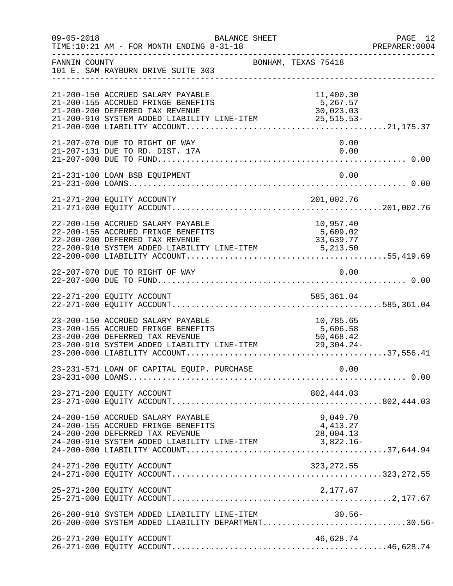| $09 - 05 - 2018$ | TIME:10:21 AM - FOR MONTH ENDING 8-31-18                                                                                                                                                 | BALANCE SHEET       |                                    | PAGE 12<br>PREPARER: 0004 |
|------------------|------------------------------------------------------------------------------------------------------------------------------------------------------------------------------------------|---------------------|------------------------------------|---------------------------|
| FANNIN COUNTY    | 101 E. SAM RAYBURN DRIVE SUITE 303                                                                                                                                                       | BONHAM, TEXAS 75418 |                                    |                           |
|                  | 21-200-150 ACCRUED SALARY PAYABLE<br>21-200-155 ACCRUED FRINGE BENEFITS<br>21-200-200 DEFERRED TAX REVENUE<br>$21-200-200$ Deferred that Neveron IINE-ITEM $25,515.53-$                  |                     | 11,400.30<br>5,267.57<br>30,023.03 |                           |
|                  | 21-207-070 DUE TO RIGHT OF WAY                                                                                                                                                           |                     | 0.00                               |                           |
|                  | 21-231-100 LOAN BSB EQUIPMENT<br>21 231 100 2011 202 2021 2020 21 231 100 21 231 100 21 231 100 21 231 100 21 231 100 21 231 2020 21 231 200 21                                          |                     | 0.00                               |                           |
|                  |                                                                                                                                                                                          |                     |                                    |                           |
|                  | 22-200-150 ACCRUED SALARY PAYABLE<br>22-200-155 ACCRUED FRINGE BENEFITS<br>22-200-910 SYSTEM ADDED LIABILITY LINE-ITEM 33,639.77<br>22-200-910 SYSTEM ADDED LIABILITY LINE-ITEM 5,213.50 |                     | 10,957.40<br>5,609.02              |                           |
|                  | 22-207-070 DUE TO RIGHT OF WAY                                                                                                                                                           |                     | 0.00                               |                           |
|                  |                                                                                                                                                                                          |                     |                                    |                           |
|                  | 23-200-150 ACCRUED SALARY PAYABLE<br>23-200-200 DEFERRED TAX REVENUE<br>23-200-910 SYSTEM ADDED LIABILITY LINE-ITEM 50,468.42<br>23-200-000 LIABILITY ACCOUNT                            |                     | 10,785.65                          |                           |
|                  |                                                                                                                                                                                          |                     |                                    |                           |
|                  | 23-271-200 EQUITY ACCOUNT                                                                                                                                                                |                     |                                    |                           |
|                  | 24-200-150 ACCRUED SALARY PAYABLE<br>24-200-155 ACCRUED FRINGE BENEFITS<br>24-200-200 DEFERRED TAX REVENUE                                                                               |                     | 9,049.70<br>4,413.27<br>28,004.13  |                           |
|                  | 24-271-200 EQUITY ACCOUNT                                                                                                                                                                |                     | 323, 272.55                        |                           |
|                  |                                                                                                                                                                                          |                     |                                    |                           |
|                  | 26-200-910 SYSTEM ADDED LIABILITY LINE-ITEM<br>26-200-000 SYSTEM ADDED LIABILITY DEPARTMENT30.56-                                                                                        |                     | 30.56-                             |                           |
|                  | 26-271-200 EQUITY ACCOUNT                                                                                                                                                                |                     | 46,628.74                          |                           |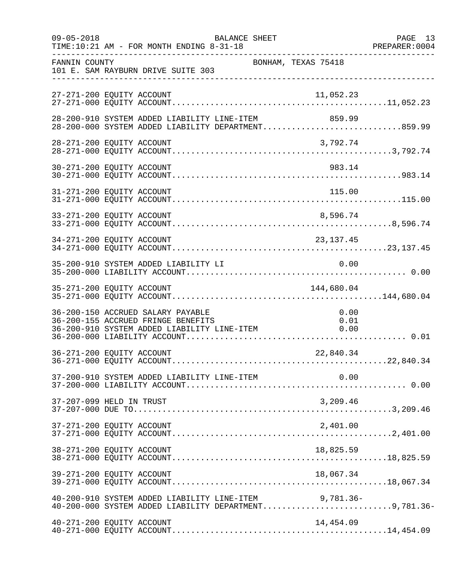| $09 - 05 - 2018$ | BALANCE SHEET<br>TIME:10:21 AM - FOR MONTH ENDING 8-31-18                                                              |                      | PAGE 13<br>PREPARER: 0004 |
|------------------|------------------------------------------------------------------------------------------------------------------------|----------------------|---------------------------|
| FANNIN COUNTY    | BONHAM, TEXAS 75418<br>101 E. SAM RAYBURN DRIVE SUITE 303                                                              |                      |                           |
|                  | 27-271-200 EQUITY ACCOUNT                                                                                              | 11,052.23            |                           |
|                  | 28-200-910 SYSTEM ADDED LIABILITY LINE-ITEM<br>28-200-000 SYSTEM ADDED LIABILITY DEPARTMENT859.99                      | 859.99               |                           |
|                  | 28-271-200 EQUITY ACCOUNT                                                                                              | 3,792.74             |                           |
|                  | 30-271-200 EQUITY ACCOUNT                                                                                              | 983.14               |                           |
|                  | 31-271-200 EQUITY ACCOUNT                                                                                              | 115.00               |                           |
|                  | 33-271-200 EQUITY ACCOUNT                                                                                              | 8,596.74             |                           |
|                  | 34-271-200 EQUITY ACCOUNT                                                                                              | 23, 137. 45          |                           |
|                  | 35-200-910 SYSTEM ADDED LIABILITY LI                                                                                   | 0.00                 |                           |
|                  | 35-271-200 EQUITY ACCOUNT                                                                                              | 144,680.04           |                           |
|                  | 36-200-150 ACCRUED SALARY PAYABLE<br>36-200-155 ACCRUED FRINGE BENEFITS<br>36-200-910 SYSTEM ADDED LIABILITY LINE-ITEM | 0.00<br>0.01<br>0.00 |                           |
|                  | 36-271-200 EQUITY ACCOUNT                                                                                              | 22,840.34            |                           |
|                  | 37-200-910 SYSTEM ADDED LIABILITY LINE-ITEM                                                                            | 0.00                 |                           |
|                  | 37-207-099 HELD IN TRUST                                                                                               | 3,209.46             |                           |
|                  | 37-271-200 EQUITY ACCOUNT                                                                                              | 2,401.00             |                           |
|                  | 38-271-200 EQUITY ACCOUNT                                                                                              | 18,825.59            |                           |
|                  | 39-271-200 EQUITY ACCOUNT                                                                                              | 18,067.34            |                           |
|                  | 40-200-910 SYSTEM ADDED LIABILITY LINE-ITEM 9,781.36-<br>40-200-000 SYSTEM ADDED LIABILITY DEPARTMENT9,781.36-         |                      |                           |
|                  | 40-271-200 EQUITY ACCOUNT                                                                                              | 14,454.09            |                           |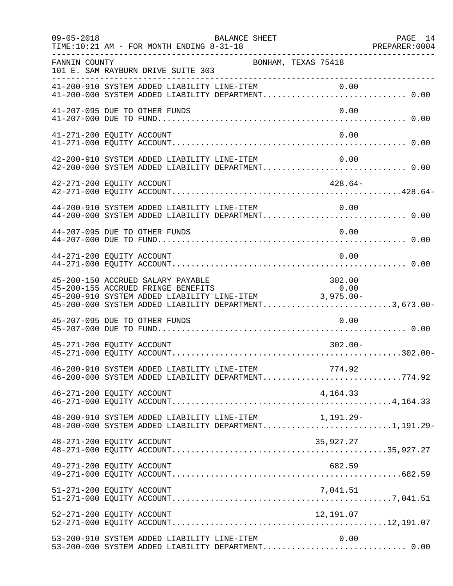| $09 - 05 - 2018$          | TIME:10:21 AM - FOR MONTH ENDING 8-31-18    | BALANCE SHEET                                                                                                                                                                                  |            | PAGE 14 |
|---------------------------|---------------------------------------------|------------------------------------------------------------------------------------------------------------------------------------------------------------------------------------------------|------------|---------|
| FANNIN COUNTY             | 101 E. SAM RAYBURN DRIVE SUITE 303          | BONHAM, TEXAS 75418                                                                                                                                                                            |            |         |
|                           |                                             | 41-200-910 SYSTEM ADDED LIABILITY LINE-ITEM 0.00<br>41-200-000 SYSTEM ADDED LIABILITY DEPARTMENT 0.00                                                                                          |            |         |
|                           | 41-207-095 DUE TO OTHER FUNDS               |                                                                                                                                                                                                | 0.00       |         |
| 41-271-200 EQUITY ACCOUNT |                                             |                                                                                                                                                                                                | 0.00       |         |
|                           |                                             | 42-200-910 SYSTEM ADDED LIABILITY LINE-ITEM<br>42-200-000 SYSTEM ADDED LIABILITY DEPARTMENT 0.00                                                                                               | 0.00       |         |
| 42-271-200 EQUITY ACCOUNT |                                             |                                                                                                                                                                                                | $428.64-$  |         |
|                           | 44-200-910 SYSTEM ADDED LIABILITY LINE-ITEM | 44-200-000 SYSTEM ADDED LIABILITY DEPARTMENT 0.00                                                                                                                                              | 0.00       |         |
|                           | 44-207-095 DUE TO OTHER FUNDS               |                                                                                                                                                                                                | 0.00       |         |
| 44-271-200 EQUITY ACCOUNT |                                             |                                                                                                                                                                                                | 0.00       |         |
|                           | 45-200-150 ACCRUED SALARY PAYABLE           | 45-200-150 ACCROED SALARY PAYABLE<br>45-200-155 ACCROED FRINGE BENEFITS 0.00<br>45-200-910 SYSTEM ADDED LIABILITY LINE-ITEM 3,975.00-<br>45-200-000 SYSTEM ADDED LIABILITY DEPARTMENT3,673.00- | 302.00     |         |
|                           | 45-207-095 DUE TO OTHER FUNDS               |                                                                                                                                                                                                | 0.00       |         |
| 45-271-200 EQUITY ACCOUNT |                                             |                                                                                                                                                                                                | $302.00 -$ |         |
|                           |                                             | 46-200-910 SYSTEM ADDED LIABILITY LINE-ITEM<br>46-200-000 SYSTEM ADDED LIABILITY DEPARTMENT774.92                                                                                              | 774.92     |         |
| 46-271-200 EQUITY ACCOUNT |                                             |                                                                                                                                                                                                | 4,164.33   |         |
|                           |                                             | 48-200-910 SYSTEM ADDED LIABILITY LINE-ITEM 1,191.29-<br>48-200-000 SYSTEM ADDED LIABILITY DEPARTMENT1,191.29-                                                                                 |            |         |
| 48-271-200 EQUITY ACCOUNT |                                             |                                                                                                                                                                                                | 35,927.27  |         |
| 49-271-200 EQUITY ACCOUNT |                                             |                                                                                                                                                                                                | 682.59     |         |
| 51-271-200 EQUITY ACCOUNT |                                             |                                                                                                                                                                                                | 7,041.51   |         |
| 52-271-200 EQUITY ACCOUNT |                                             |                                                                                                                                                                                                | 12,191.07  |         |
|                           | 53-200-910 SYSTEM ADDED LIABILITY LINE-ITEM | 53-200-000 SYSTEM ADDED LIABILITY DEPARTMENT 0.00                                                                                                                                              | 0.00       |         |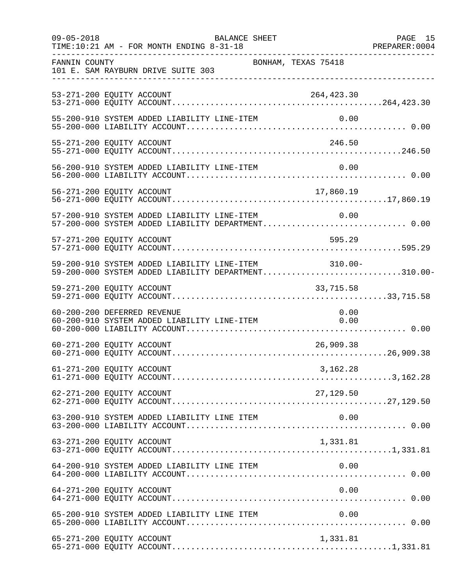| $09 - 05 - 2018$ | BALANCE SHEET<br>TIME:10:21 AM - FOR MONTH ENDING 8-31-18                                                  |            | PAGE 15<br>PREPARER: 0004 |
|------------------|------------------------------------------------------------------------------------------------------------|------------|---------------------------|
| FANNIN COUNTY    | BONHAM, TEXAS 75418<br>101 E. SAM RAYBURN DRIVE SUITE 303<br>___________________________________           |            |                           |
|                  | 53-271-200 EQUITY ACCOUNT                                                                                  | 264,423.30 |                           |
|                  | 55-200-910 SYSTEM ADDED LIABILITY LINE-ITEM                                                                | 0.00       |                           |
|                  | 55-271-200 EQUITY ACCOUNT                                                                                  | 246.50     |                           |
|                  |                                                                                                            |            |                           |
|                  |                                                                                                            |            |                           |
|                  | 57-200-910 SYSTEM ADDED LIABILITY LINE-ITEM<br>57-200-000 SYSTEM ADDED LIABILITY DEPARTMENT 0.00           | 0.00       |                           |
|                  | 57-271-200 EQUITY ACCOUNT                                                                                  | 595.29     |                           |
|                  | 59-200-910 SYSTEM ADDED LIABILITY LINE-ITEM 310.00-<br>59-200-000 SYSTEM ADDED LIABILITY DEPARTMENT310.00- |            |                           |
|                  |                                                                                                            |            |                           |
|                  | 60-200-200 DEFERRED REVENUE<br>60-200-910 SYSTEM ADDED LIABILITY LINE-ITEM 0.00                            | 0.00       |                           |
|                  | 60-271-200 EQUITY ACCOUNT                                                                                  | 26,909.38  |                           |
|                  | 61-271-200 EQUITY ACCOUNT                                                                                  | 3,162.28   |                           |
|                  | 62-271-200 EQUITY ACCOUNT                                                                                  | 27,129.50  |                           |
|                  | 63-200-910 SYSTEM ADDED LIABILITY LINE ITEM                                                                | 0.00       |                           |
|                  | 63-271-200 EQUITY ACCOUNT                                                                                  | 1,331.81   |                           |
|                  | 64-200-910 SYSTEM ADDED LIABILITY LINE ITEM                                                                | 0.00       |                           |
|                  | 64-271-200 EQUITY ACCOUNT                                                                                  | 0.00       |                           |
|                  | 65-200-910 SYSTEM ADDED LIABILITY LINE ITEM                                                                | 0.00       |                           |
|                  | 65-271-200 EQUITY ACCOUNT                                                                                  | 1,331.81   |                           |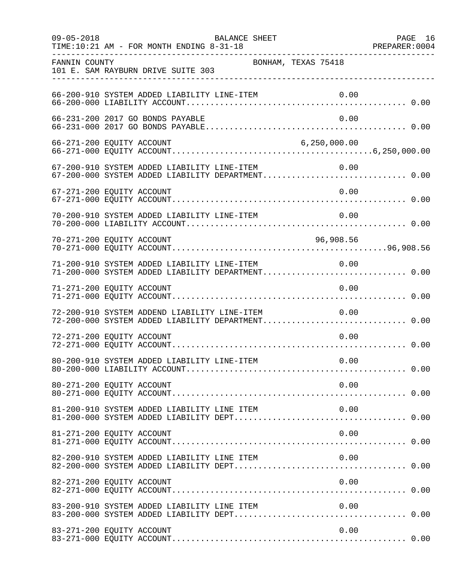| $09 - 05 - 2018$          | TIME:10:21 AM - FOR MONTH ENDING 8-31-18    | BALANCE SHEET                                |                                                                                                       | PAGE 16 |
|---------------------------|---------------------------------------------|----------------------------------------------|-------------------------------------------------------------------------------------------------------|---------|
| FANNIN COUNTY             | 101 E. SAM RAYBURN DRIVE SUITE 303          | BONHAM, TEXAS 75418                          |                                                                                                       |         |
|                           | 66-200-910 SYSTEM ADDED LIABILITY LINE-ITEM |                                              | 0.00                                                                                                  |         |
|                           | 66-231-200 2017 GO BONDS PAYABLE            |                                              | 0.00                                                                                                  |         |
| 66-271-200 EQUITY ACCOUNT |                                             |                                              | 6, 250, 000.00                                                                                        |         |
|                           |                                             |                                              | 67-200-910 SYSTEM ADDED LIABILITY LINE-ITEM 0.00<br>67-200-000 SYSTEM ADDED LIABILITY DEPARTMENT 0.00 |         |
| 67-271-200 EQUITY ACCOUNT |                                             |                                              | 0.00                                                                                                  |         |
|                           |                                             | 70-200-910 SYSTEM ADDED LIABILITY LINE-ITEM  | 0.00                                                                                                  |         |
| 70-271-200 EQUITY ACCOUNT |                                             |                                              | 96,908.56                                                                                             |         |
|                           |                                             | 71-200-910 SYSTEM ADDED LIABILITY LINE-ITEM  | 0.00<br>71-200-000 SYSTEM ADDED LIABILITY DEPARTMENT 0.00                                             |         |
| 71-271-200 EQUITY ACCOUNT |                                             |                                              | 0.00                                                                                                  |         |
|                           |                                             | 72-200-910 SYSTEM ADDEND LIABILITY LINE-ITEM | 0.00<br>72-200-000 SYSTEM ADDED LIABILITY DEPARTMENT 0.00                                             |         |
| 72-271-200 EQUITY ACCOUNT |                                             |                                              | 0.00                                                                                                  |         |
|                           | 80-200-910 SYSTEM ADDED LIABILITY LINE-ITEM |                                              | 0.00                                                                                                  |         |
| 80-271-200 EQUITY ACCOUNT |                                             |                                              | 0.00                                                                                                  |         |
|                           | 81-200-910 SYSTEM ADDED LIABILITY LINE ITEM |                                              | 0.00                                                                                                  |         |
| 81-271-200 EQUITY ACCOUNT |                                             |                                              | 0.00                                                                                                  |         |
|                           |                                             | 82-200-910 SYSTEM ADDED LIABILITY LINE ITEM  | 0.00                                                                                                  |         |
| 82-271-200 EQUITY ACCOUNT |                                             |                                              | 0.00                                                                                                  |         |
|                           | 83-200-910 SYSTEM ADDED LIABILITY LINE ITEM |                                              | 0.00                                                                                                  |         |
| 83-271-200 EQUITY ACCOUNT |                                             |                                              | 0.00                                                                                                  |         |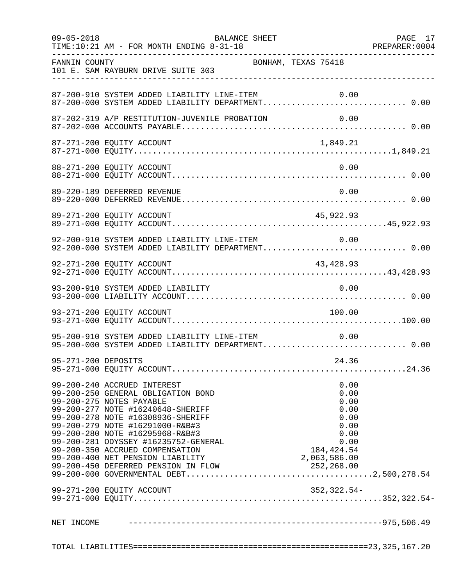| $09 - 05 - 2018$    | TIME:10:21 AM - FOR MONTH ENDING 8-31-18                                                                                                                                                                                                                                                                                                                     | BALANCE SHEET                                                                               | PAGE 17 |
|---------------------|--------------------------------------------------------------------------------------------------------------------------------------------------------------------------------------------------------------------------------------------------------------------------------------------------------------------------------------------------------------|---------------------------------------------------------------------------------------------|---------|
| FANNIN COUNTY       | 101 E. SAM RAYBURN DRIVE SUITE 303                                                                                                                                                                                                                                                                                                                           | BONHAM, TEXAS 75418                                                                         |         |
|                     | 87-200-910 SYSTEM ADDED LIABILITY LINE-ITEM                                                                                                                                                                                                                                                                                                                  | 0.00                                                                                        |         |
|                     | 87-202-319 A/P RESTITUTION-JUVENILE PROBATION                                                                                                                                                                                                                                                                                                                | 0.00                                                                                        |         |
|                     | 87-271-200 EQUITY ACCOUNT                                                                                                                                                                                                                                                                                                                                    | 1,849.21                                                                                    |         |
|                     | 88-271-200 EQUITY ACCOUNT                                                                                                                                                                                                                                                                                                                                    | 0.00                                                                                        |         |
|                     | 89-220-189 DEFERRED REVENUE                                                                                                                                                                                                                                                                                                                                  | 0.00                                                                                        |         |
|                     | 89-271-200 EQUITY ACCOUNT                                                                                                                                                                                                                                                                                                                                    | 45,922.93                                                                                   |         |
|                     | 92-200-910 SYSTEM ADDED LIABILITY LINE-ITEM<br>92-200-000 SYSTEM ADDED LIABILITY DEPARTMENT 0.00                                                                                                                                                                                                                                                             | 0.00                                                                                        |         |
|                     | 92-271-200 EQUITY ACCOUNT                                                                                                                                                                                                                                                                                                                                    | 43,428.93                                                                                   |         |
|                     | 93-200-910 SYSTEM ADDED LIABILITY                                                                                                                                                                                                                                                                                                                            | 0.00                                                                                        |         |
|                     | 93-271-200 EQUITY ACCOUNT                                                                                                                                                                                                                                                                                                                                    | 100.00                                                                                      |         |
|                     | 95-200-910 SYSTEM ADDED LIABILITY LINE-ITEM<br>95-200-000 SYSTEM ADDED LIABILITY DEPARTMENT 0.00                                                                                                                                                                                                                                                             | 0.00                                                                                        |         |
| 95-271-200 DEPOSITS |                                                                                                                                                                                                                                                                                                                                                              | 24.36                                                                                       |         |
|                     | 99-200-240 ACCRUED INTEREST<br>99-200-250 GENERAL OBLIGATION BOND<br>99-200-275 NOTES PAYABLE<br>99-200-277 NOTE #16240648-SHERIFF<br>99-200-278 NOTE #16308936-SHERIFF<br>99-200-279 NOTE #16291000-R&B#3<br>99-200-280 NOTE #16295968-R&B#3<br>99-200-281 ODYSSEY #16235752-GENERAL<br>99-200-350 ACCRUED COMPENSATION<br>99-200-400 NET PENSION LIABILITY | 0.00<br>0.00<br>0.00<br>0.00<br>0.00<br>0.00<br>0.00<br>0.00<br>184, 424.54<br>2,063,586.00 |         |
|                     | 99-271-200 EQUITY ACCOUNT                                                                                                                                                                                                                                                                                                                                    | 352,322.54-                                                                                 |         |
|                     |                                                                                                                                                                                                                                                                                                                                                              |                                                                                             |         |
|                     |                                                                                                                                                                                                                                                                                                                                                              |                                                                                             |         |